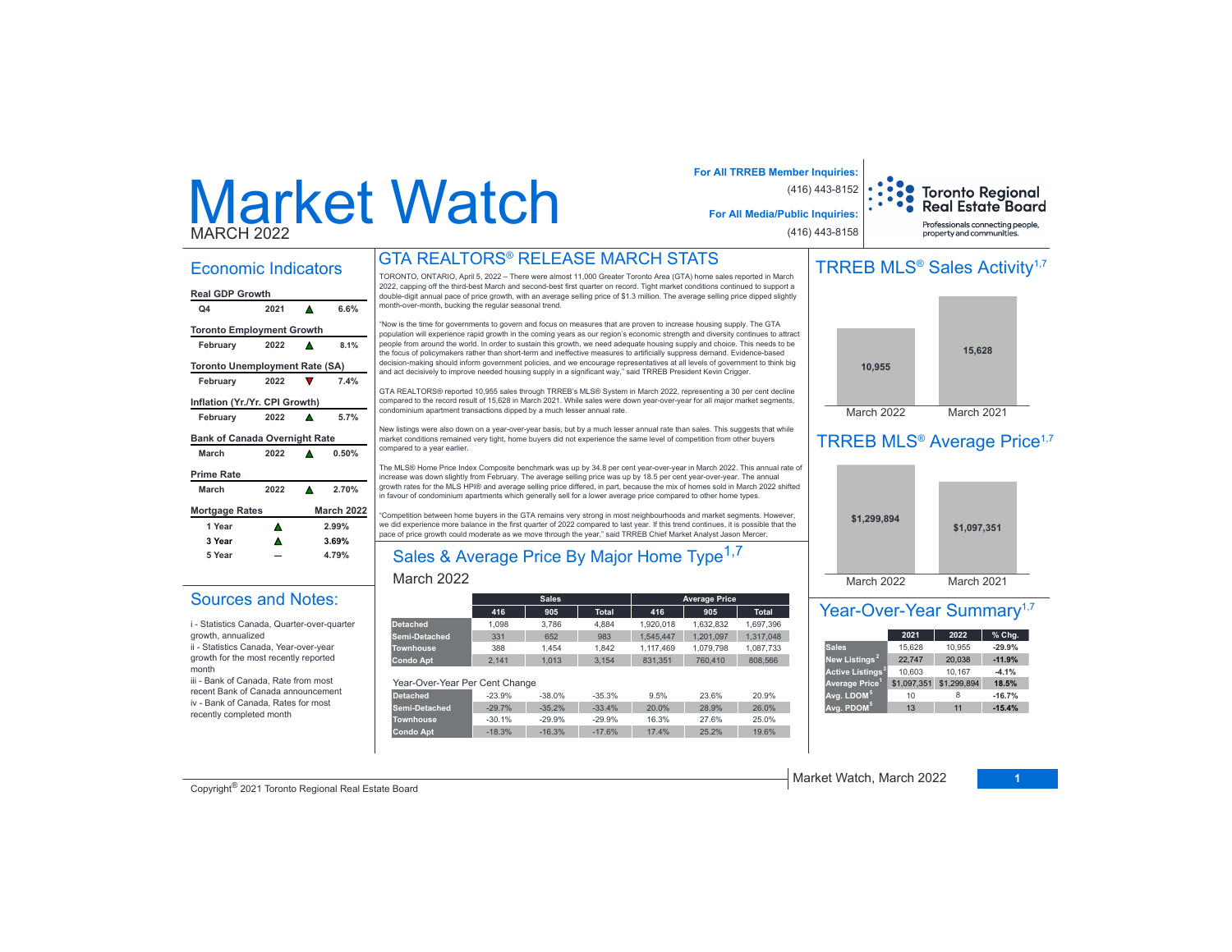# Market WatchMARCH 2022

## **For All TRREB Member Inquiries: For All Media/Public Inquiries:** (416) 443-8152

# Toronto Regional<br>Real Estate Board Professionals connecting people

(416) 443-8158

# property and communities.

#### Economic Indicators

| Ο4                                    | 2021 |   | 6.6%              |  |  |  |  |  |  |
|---------------------------------------|------|---|-------------------|--|--|--|--|--|--|
| <b>Toronto Employment Growth</b>      |      |   |                   |  |  |  |  |  |  |
| February                              | 2022 |   | 8.1%              |  |  |  |  |  |  |
| <b>Toronto Unemployment Rate (SA)</b> |      |   |                   |  |  |  |  |  |  |
| February                              | 2022 |   | 7.4%              |  |  |  |  |  |  |
| Inflation (Yr./Yr. CPI Growth)        |      |   |                   |  |  |  |  |  |  |
| February                              | 2022 | A | 5.7%              |  |  |  |  |  |  |
| <b>Bank of Canada Overnight Rate</b>  |      |   |                   |  |  |  |  |  |  |
| March                                 | 2022 |   | 0.50%             |  |  |  |  |  |  |
| <b>Prime Rate</b>                     |      |   |                   |  |  |  |  |  |  |
| March                                 | 2022 | ▲ | 2.70%             |  |  |  |  |  |  |
| <b>Mortgage Rates</b>                 |      |   | <b>March 2022</b> |  |  |  |  |  |  |
| 1 Year                                | Λ    |   | 2.99%             |  |  |  |  |  |  |
| 3 Year                                |      |   | 3.69%             |  |  |  |  |  |  |
| 5 Year                                |      |   | 4.79%             |  |  |  |  |  |  |
|                                       |      |   |                   |  |  |  |  |  |  |

Sources and Notes:i - Statistics Canada, Quarter-over-quarter

ii - Statistics Canada, Year-over-year growth for the most recently reported

iii - Bank of Canada, Rate from most recent Bank of Canada announcement iv - Bank of Canada, Rates for most recently completed month

growth, annualized

month

# GTA REALTORS® RELEASE MARCH STATS

TORONTO, ONTARIO, April 5, 2022 – There were almost 11,000 Greater Toronto Area (GTA) home sales reported in March 2022, capping off the third-best March and second-best first quarter on record. Tight market conditions continued to support a double-digit annual pace of price growth, with an average selling price of \$1.3 million. The average selling price dipped slightly Process and a process processes. The contract with the contract of the month-over-month, bucking the regular seasonal trend.

"Now is the time for governments to govern and focus on measures that are proven to increase housing supply. The GTA population will experience rapid growth in the coming vears as our region's economic strength and diversity continues to attract people from around the world. In order to sustain this growth, we need adequate housing supply and choice. This needs to be .<br>The focus of policymakers rather than short-term and ineffective measures to artificially suppress demand. Evidence-based decision-making should inform government policies, and we encourage representatives at all levels of government to think big and act decisively to improve needed housing supply in a significant way," said TRREB President Kevin Crigger.

GTA REALTORS® reported 10,955 sales through TRREB's MLS® System in March 2022, representing a 30 per cent decline FREDUCE SUBSUPS TO SUBSURGE THE SUBSURFUGUHT CONSIDERED SUBSURFUGUHT COMPARED UP TO SUBSURFUGUHT COMPARED UP TO DURYHURS COMPARED UP TO DURYHURS TO DURYHURS OF DURYHURS OF DURYHURS OF DURYHURS OF DURYHURS OF DURYHURS OF DU condominium apartment transactions dipped by a much lesser annual rate

New listings were also down on a year-over-year basis, but by a much lesser annual rate than sales. This suggests that while market conditions remained very tight, home buyers did not experience the same level of competition from other buyers compared to a vear earlier

The MLS® Home Price Index Composite benchmark was up by 34.8 per cent year-over-year in March 2022. This annual rate of increase was down slightly from February. The average selling price was up by 18.5 per cent year-over-year. The annual growth rates for the MLS HPI® and average selling price differed, in part, because the mix of homes sold in March 2022 shifted in favour of condominium apartments which generally sell for a lower average price compared to other home types.

'Competition between home buyers in the GTA remains very strong in most neighbourhoods and market segments. However, we did experience more balance in the first quarter of 2022 compared to last year. If this trend continues, it is possible that the pace of price growth could moderate as we move through the year," said TRREB Chief Market Analyst Jason Mercer.

# Sales & Average Price By Major Home Type<sup>1,7</sup>

#### March 2022

|                                |          | <b>Sales</b> |              |           | <b>Average Price</b> |              |  |  |  |  |
|--------------------------------|----------|--------------|--------------|-----------|----------------------|--------------|--|--|--|--|
|                                | 416      | 905          | <b>Total</b> | 416       | 905                  | <b>Total</b> |  |  |  |  |
| <b>Detached</b>                | 1.098    | 3.786        | 4.884        | 1.920.018 | 1.632.832            | 1,697,396    |  |  |  |  |
| <b>Semi-Detached</b>           | 331      | 652          | 983          | 1.545.447 | 1.201.097            | 1.317.048    |  |  |  |  |
| <b>Townhouse</b>               | 388      | 1.454        | 1.842        | 1.117.469 | 1.079.798            | 1.087.733    |  |  |  |  |
| <b>Condo Apt</b>               | 2.141    | 1.013        | 3.154        | 831.351   | 760,410              | 808.566      |  |  |  |  |
|                                |          |              |              |           |                      |              |  |  |  |  |
| Year-Over-Year Per Cent Change |          |              |              |           |                      |              |  |  |  |  |
| <b>Detached</b>                | $-23.9%$ | $-38.0%$     | $-35.3%$     | 9.5%      | 23.6%                | 20.9%        |  |  |  |  |

| Detached         | $-23.9%$ | $-38.0%$ | $-35.3%$ | 9.5%  | 23.6% | 20.9% |
|------------------|----------|----------|----------|-------|-------|-------|
| Semi-Detached    | $-29.7%$ | $-35.2%$ | $-33.4%$ | 20.0% | 28.9% | 26.0% |
| <b>Townhouse</b> | $-30.1%$ | $-29.9%$ | $-29.9%$ | 16.3% | 27.6% | 25.0% |
| Condo Apt        | $-18.3%$ | $-16.3%$ | $-17.6%$ | 17.4% | 25.2% | 19.6% |

# TRREB MLS<sup>®</sup> Sales Activity<sup>1,7</sup>



# TRREB MLS<sup>®</sup> Average Price<sup>1,7</sup>



### Year-Over-Year Summary<sup>1,7</sup>

|                              | 2021        | 2022        | % Chg.   |
|------------------------------|-------------|-------------|----------|
| <b>Sales</b>                 | 15.628      | 10,955      | $-29.9%$ |
| New Listings <sup>2</sup>    | 22.747      | 20.038      | $-11.9%$ |
| Active Listings <sup>3</sup> | 10,603      | 10,167      | $-4.1%$  |
| Average Price <sup>1</sup>   | \$1,097,351 | \$1,299,894 | 18.5%    |
| Avg. LDOM <sup>5</sup>       | 10          |             | $-16.7%$ |
| Avg. PDOM <sup>5</sup>       | 13          | 11          | $-15.4%$ |

Copyright® 2021 Toronto Regional Real Estate Board

Market Watch, March 2022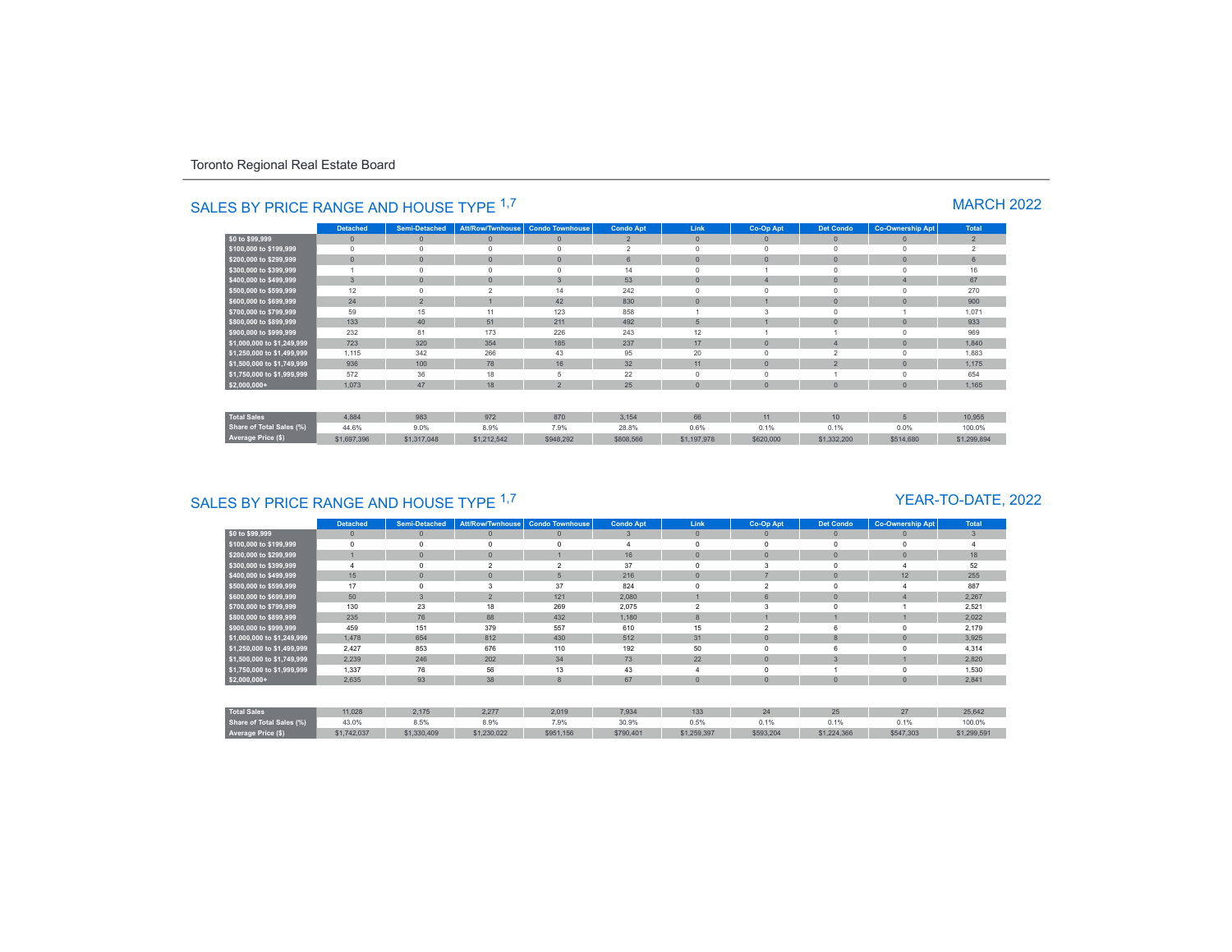|                                 | <b>Detached</b> | <b>Semi-Detached</b> |                | Att/Row/Twnhouse Condo Townhouse | <b>Condo Apt</b> | Link           | Co-Op Apt | <b>Det Condo</b> | <b>Co-Ownership Apt</b> | Total          |
|---------------------------------|-----------------|----------------------|----------------|----------------------------------|------------------|----------------|-----------|------------------|-------------------------|----------------|
| \$0 to \$99,999                 | $\mathbf{0}$    | $\mathbf{0}$         | $\mathbf{0}$   | $\mathbf{0}$                     | $\overline{2}$   | $\mathbf{0}$   | $\Omega$  | $\mathbf{0}$     | $\mathbf{0}$            | $\overline{2}$ |
| \$100,000 to \$199,999          | $\Omega$        |                      | $\Omega$       | $\Omega$                         | $\overline{2}$   | $\Omega$       | $\Omega$  | $\Omega$         | $\Omega$                | $\overline{2}$ |
| \$200,000 to \$299,999          | $\mathbf{0}$    | $\mathbf{0}$         | $\mathbf{0}$   | $\Omega$                         | $6\phantom{1}$   | $\overline{0}$ | $\Omega$  | $\overline{0}$   | $\mathbf{0}$            | $6\phantom{1}$ |
| \$300,000 to \$399,999          |                 |                      | $\mathbf 0$    | $\Omega$                         | 14               | $\Omega$       |           | $\Omega$         | $\Omega$                | 16             |
| \$400,000 to \$499,999          | $\overline{3}$  |                      | $\mathbf{0}$   | $\overline{3}$                   | 53               | $\mathbf{0}$   |           | $\overline{0}$   |                         | 67             |
| \$500,000 to \$599,999          | 12              |                      | $\mathfrak{p}$ | 14                               | 242              | $\Omega$       | $\Omega$  | $\Omega$         | $\Omega$                | 270            |
| \$600,000 to \$699,999          | 24              | $\overline{2}$       |                | 42                               | 830              | $\mathbf{0}$   |           | $\mathbf{0}$     | $\Omega$                | 900            |
| \$700,000 to \$799,999          | 59              | 15                   | 11             | 123                              | 858              |                | 3         | $\overline{0}$   |                         | 1,071          |
| \$800,000 to \$899,999          | 133             | 40                   | 51             | 211                              | 492              | 5              |           | $\overline{0}$   | $\Omega$                | 933            |
| \$900,000 to \$999,999          | 232             | 81                   | 173            | 226                              | 243              | 12             |           |                  | $^{\circ}$              | 969            |
| \$1,000,000 to \$1,249,999      | 723             | 320                  | 354            | 185                              | 237              | 17             | $\Omega$  | $\overline{4}$   | $\mathbf{0}$            | 1,840          |
| \$1,250,000 to \$1,499,999      | 1,115           | 342                  | 266            | 43                               | 95               | 20             | $\Omega$  | $\overline{2}$   | $\Omega$                | 1,883          |
| \$1,500,000 to \$1,749,999      | 936             | 100                  | 78             | 16                               | 32               | 11             | $\Omega$  | $\overline{2}$   | $\mathbf{0}$            | 1,175          |
| \$1,750,000 to \$1,999,999      | 572             | 36                   | 18             | 5                                | 22               | $\Omega$       | $\Omega$  |                  | $\Omega$                | 654            |
| $$2,000,000+$                   | 1,073           | 47                   | 18             | $\overline{2}$                   | 25               | $\mathbf{0}$   | $\Omega$  | $\mathbf{0}$     | $\mathbf{0}$            | 1,165          |
|                                 |                 |                      |                |                                  |                  |                |           |                  |                         |                |
| <b>Total Sales</b>              | 4.884           | 983                  | 972            | 870                              | 3.154            | 66             | 11        | 10               | 5                       | 10.955         |
| <b>Share of Total Sales (%)</b> | 44.6%           | 9.0%                 | 8.9%           | 7.9%                             | 28.8%            | 0.6%           | 0.1%      | 0.1%             | 0.0%                    | 100.0%         |
| Average Price (\$)              | \$1,697,396     | \$1,317,048          | \$1,212,542    | \$948,292                        | \$808,566        | \$1,197,978    | \$620,000 | \$1,332,200      | \$514,680               | \$1,299,894    |

# SALES BY PRICE RANGE AND HOUSE TYPE <sup>1,7</sup> MARCH 2022

# SALES BY PRICE RANGE AND HOUSE TYPE <sup>1,7</sup>

### YEAR-TO-DATE, 2022

|                            | <b>Detached</b> | <b>Semi-Detached</b> | <b>Att/Row/Twnhouse</b>  | <b>Condo Townhouse</b>   | <b>Condo Apt</b> | Link           | Co-Op Apt      | <b>Det Condo</b> | <b>Co-Ownership Apt</b> | <b>Total</b>   |
|----------------------------|-----------------|----------------------|--------------------------|--------------------------|------------------|----------------|----------------|------------------|-------------------------|----------------|
| \$0 to \$99,999            | $\mathbf{0}$    | $\mathbf{0}$         | $\mathbf{0}$             | $\overline{0}$           | 3                | $\mathbf{0}$   | $\Omega$       | $\mathbf{0}$     |                         | $\overline{3}$ |
| \$100,000 to \$199,999     | $\Omega$        | $\Omega$             | $\Omega$                 | $\Omega$                 |                  | $\Omega$       | $\Omega$       | $\mathbf 0$      |                         |                |
| \$200,000 to \$299,999     |                 | $\overline{0}$       | $\mathbf{0}$             |                          | 16               | $\mathbf{0}$   | $\mathbf{0}$   | $\mathbf{0}$     |                         | 18             |
| \$300,000 to \$399,999     | $\overline{4}$  | $\Omega$             | $\overline{\phantom{a}}$ | $\overline{\phantom{a}}$ | 37               | $\Omega$       |                | $\mathbf 0$      |                         | 52             |
| \$400,000 to \$499,999     | 15              | $\mathbf{0}$         | $\mathbf{0}$             | $5\overline{5}$          | 216              | $\mathbf{0}$   |                | $\mathbf{0}$     | 12                      | 255            |
| \$500,000 to \$599,999     | 17              | $\Omega$             | 3                        | 37                       | 824              | $\Omega$       | $\overline{2}$ | $\mathbf 0$      |                         | 887            |
| \$600,000 to \$699,999     | 50              | $\overline{3}$       | $\overline{2}$           | 121                      | 2,080            |                | 6              | $\mathbf{0}$     |                         | 2,267          |
| \$700,000 to \$799,999     | 130             | 23                   | 18                       | 269                      | 2,075            | $\mathfrak{p}$ |                | $\Omega$         |                         | 2,521          |
| \$800,000 to \$899,999     | 235             | 76                   | 88                       | 432                      | 1,180            | $\mathbf{8}$   |                |                  |                         | 2,022          |
| \$900,000 to \$999,999     | 459             | 151                  | 379                      | 557                      | 610              | 15             |                | 6                |                         | 2,179          |
| \$1,000,000 to \$1,249,999 | 1,478           | 654                  | 812                      | 430                      | 512              | 31             | $\Omega$       | 8                |                         | 3,925          |
| \$1,250,000 to \$1,499,999 | 2,427           | 853                  | 676                      | 110                      | 192              | 50             | $\Omega$       | 6                |                         | 4,314          |
| \$1,500,000 to \$1,749,999 | 2,239           | 246                  | 202                      | 34                       | 73               | 22             | $\Omega$       | 3                |                         | 2,820          |
| \$1,750,000 to \$1,999,999 | 1,337           | 76                   | 56                       | 13                       | 43               |                | $\Omega$       |                  |                         | 1,530          |
| $$2,000,000+$              | 2,635           | 93                   | 38                       | 8                        | 67               | $\mathbf{0}$   | $\mathbf{0}$   | $\theta$         |                         | 2,841          |
|                            |                 |                      |                          |                          |                  |                |                |                  |                         |                |
| <b>Total Sales</b>         | 11,028          | 2,175                | 2,277                    | 2,019                    | 7,934            | 133            | 24             | 25               | 27                      | 25,642         |
| Share of Total Sales (%)   | 43.0%           | 8.5%                 | 8.9%                     | 7.9%                     | 30.9%            | 0.5%           | 0.1%           | 0.1%             | 0.1%                    | 100.0%         |
| Average Price (\$)         | \$1,742,037     | \$1,330,409          | \$1,230,022              | \$951,156                | \$790,401        | \$1,259,397    | \$593,204      | \$1,224,366      | \$547,303               | \$1,299,591    |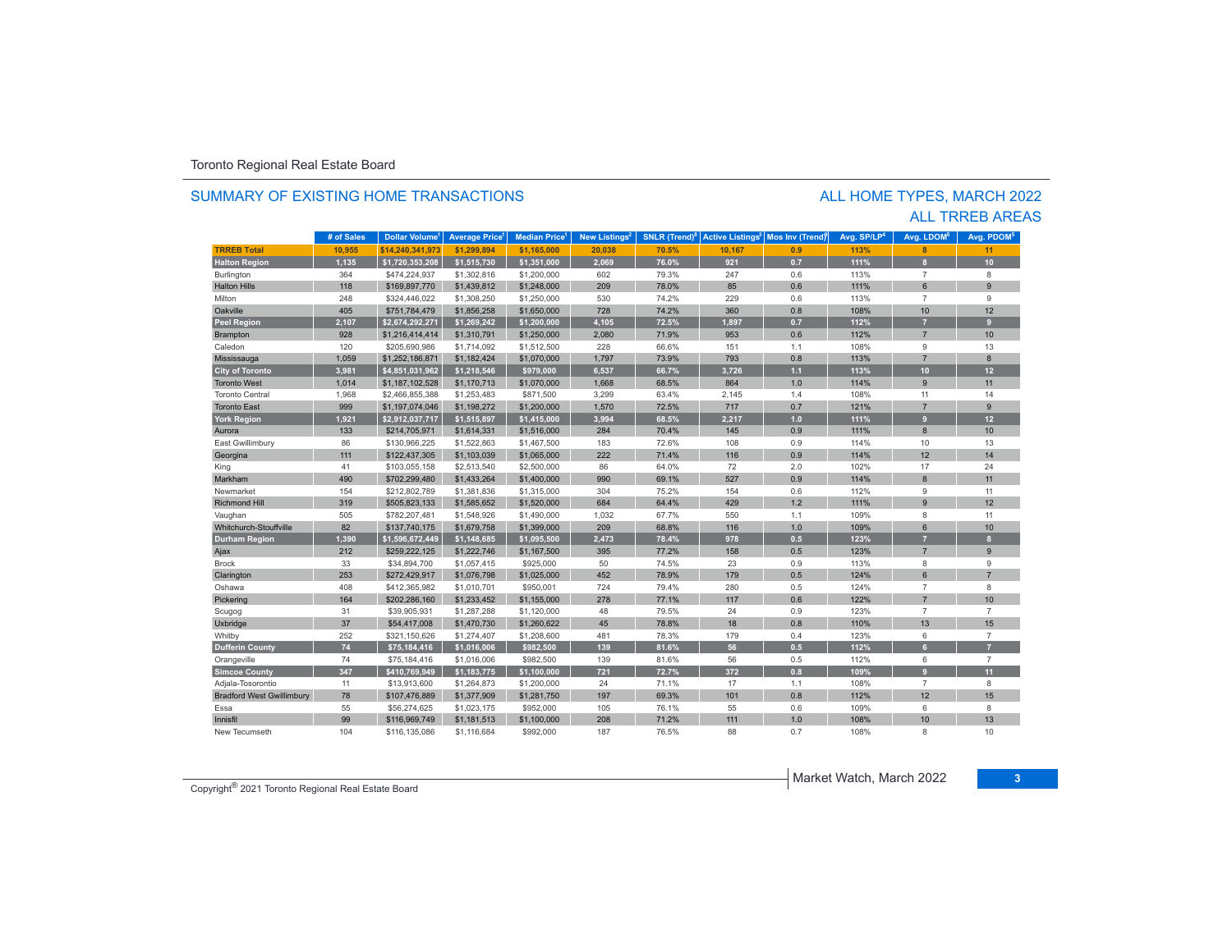#### SUMMARY OF EXISTING HOME TRANSACTIONS

### ALL TRREB AREAS ALL HOME TYPES, MARCH 2022

|                                  | # of Sales | <b>Dollar Volume</b> | <b>Average Price</b> | <b>Median Price</b> | New Listings <sup>2</sup> | <b>SNLR</b> (Trend) <sup>8</sup> | <b>Active Listings<sup>3</sup></b> | <b>Mos Inv (Trend)</b> | Avg. SP/LP <sup>4</sup> | Avg. LDOM <sup>5</sup> | Avg. PDOM <sup>5</sup> |
|----------------------------------|------------|----------------------|----------------------|---------------------|---------------------------|----------------------------------|------------------------------------|------------------------|-------------------------|------------------------|------------------------|
| <b>TRREB Total</b>               | 10,955     | \$14.240.341.973     | \$1,299,894          | \$1,165,000         | 20,038                    | 70.5%                            | 10,167                             | 0.9                    | 113%                    | 8                      | 11                     |
| <b>Halton Region</b>             | 1,135      | \$1,720,353,208      | \$1,515,730          | \$1,351,000         | 2,069                     | 76.0%                            | 921                                | 0.7                    | 111%                    | $\mathbf{8}$           | 10                     |
| Burlington                       | 364        | \$474,224,937        | \$1,302,816          | \$1,200,000         | 602                       | 79.3%                            | 247                                | 0.6                    | 113%                    | $\overline{7}$         | 8                      |
| <b>Halton Hills</b>              | 118        | \$169,897,770        | \$1,439,812          | \$1,248,000         | 209                       | 78.0%                            | 85                                 | 0.6                    | 111%                    | $6 \overline{6}$       | 9                      |
| Milton                           | 248        | \$324,446,022        | \$1,308,250          | \$1,250,000         | 530                       | 74.2%                            | 229                                | 0.6                    | 113%                    | $\overline{7}$         | 9                      |
| Oakville                         | 405        | \$751,784,479        | \$1,856,258          | \$1,650,000         | 728                       | 74.2%                            | 360                                | 0.8                    | 108%                    | 10                     | 12                     |
| <b>Peel Region</b>               | 2,107      | \$2,674,292,271      | \$1,269,242          | \$1,200,000         | 4,105                     | 72.5%                            | 1,897                              | 0.7                    | 112%                    | $\overline{7}$         | 9                      |
| Brampton                         | 928        | \$1,216,414,414      | \$1,310,791          | \$1,250,000         | 2,080                     | 71.9%                            | 953                                | 0.6                    | 112%                    | $\overline{7}$         | 10                     |
| Caledon                          | 120        | \$205,690,986        | \$1,714,092          | \$1,512,500         | 228                       | 66.6%                            | 151                                | 1.1                    | 108%                    | 9                      | 13                     |
| Mississauga                      | 1,059      | \$1,252,186,871      | \$1,182,424          | \$1,070,000         | 1,797                     | 73.9%                            | 793                                | 0.8                    | 113%                    | $\overline{7}$         | 8                      |
| <b>City of Toronto</b>           | 3,981      | \$4,851,031,962      | \$1,218,546          | \$979,000           | 6,537                     | 66.7%                            | 3,726                              | $1.1$                  | 113%                    | 10                     | 12                     |
| <b>Toronto West</b>              | 1,014      | \$1,187,102,528      | \$1,170,713          | \$1,070,000         | 1,668                     | 68.5%                            | 864                                | 1.0                    | 114%                    | 9                      | 11                     |
| <b>Toronto Central</b>           | 1,968      | \$2,466,855,388      | \$1,253,483          | \$871,500           | 3,299                     | 63.4%                            | 2,145                              | 1.4                    | 108%                    | 11                     | 14                     |
| <b>Toronto East</b>              | 999        | \$1,197,074,046      | \$1,198,272          | \$1,200,000         | 1,570                     | 72.5%                            | 717                                | 0.7                    | 121%                    | $\overline{7}$         | 9                      |
| <b>York Region</b>               | 1,921      | \$2,912,037,717      | \$1,515,897          | \$1,415,000         | 3,994                     | 68.5%                            | 2,217                              | 1.0                    | 111%                    | $\overline{9}$         | 12                     |
| Aurora                           | 133        | \$214,705,971        | \$1,614,331          | \$1,516,000         | 284                       | 70.4%                            | 145                                | 0.9                    | 111%                    | 8                      | 10                     |
| East Gwillimbury                 | 86         | \$130,966,225        | \$1,522,863          | \$1,467,500         | 183                       | 72.6%                            | 108                                | 0.9                    | 114%                    | 10                     | 13                     |
| Georgina                         | 111        | \$122,437,305        | \$1,103,039          | \$1,065,000         | 222                       | 71.4%                            | 116                                | 0.9                    | 114%                    | 12                     | 14                     |
| King                             | 41         | \$103,055,158        | \$2,513,540          | \$2,500,000         | 86                        | 64.0%                            | 72                                 | 2.0                    | 102%                    | 17                     | 24                     |
| Markham                          | 490        | \$702,299,480        | \$1,433,264          | \$1,400,000         | 990                       | 69.1%                            | 527                                | 0.9                    | 114%                    | 8                      | 11                     |
| Newmarket                        | 154        | \$212,802,789        | \$1,381,836          | \$1,315,000         | 304                       | 75.2%                            | 154                                | 0.6                    | 112%                    | 9                      | 11                     |
| <b>Richmond Hill</b>             | 319        | \$505,823,133        | \$1,585,652          | \$1,520,000         | 684                       | 64.4%                            | 429                                | 1.2                    | 111%                    | 9                      | 12                     |
| Vaughan                          | 505        | \$782,207,481        | \$1,548,926          | \$1,490,000         | 1,032                     | 67.7%                            | 550                                | 1.1                    | 109%                    | 8                      | 11                     |
| Whitchurch-Stouffville           | 82         | \$137,740,175        | \$1,679,758          | \$1,399,000         | 209                       | 68.8%                            | 116                                | 1.0                    | 109%                    | $6\phantom{1}$         | 10                     |
| <b>Durham Region</b>             | 1,390      | \$1,596,672,449      | \$1,148,685          | \$1,095,500         | 2,473                     | 78.4%                            | 978                                | 0.5                    | 123%                    | $\overline{7}$         | $\mathbf{8}$           |
| Ajax                             | 212        | \$259,222,125        | \$1,222,746          | \$1,167,500         | 395                       | 77.2%                            | 158                                | 0.5                    | 123%                    | $\overline{7}$         | $\overline{9}$         |
| <b>Brock</b>                     | 33         | \$34,894,700         | \$1,057,415          | \$925,000           | 50                        | 74.5%                            | 23                                 | 0.9                    | 113%                    | 8                      | 9                      |
| Clarington                       | 253        | \$272,429,917        | \$1,076,798          | \$1,025,000         | 452                       | 78.9%                            | 179                                | 0.5                    | 124%                    | 6                      | $\overline{7}$         |
| Oshawa                           | 408        | \$412,365,982        | \$1,010,701          | \$950,001           | 724                       | 79.4%                            | 280                                | 0.5                    | 124%                    | $\overline{7}$         | 8                      |
| Pickering                        | 164        | \$202,286,160        | \$1,233,452          | \$1,155,000         | 278                       | 77.1%                            | 117                                | 0.6                    | 122%                    | $\overline{7}$         | 10                     |
| Scugog                           | 31         | \$39,905,931         | \$1,287,288          | \$1,120,000         | 48                        | 79.5%                            | 24                                 | 0.9                    | 123%                    | $\overline{7}$         | $\overline{7}$         |
| Uxbridge                         | 37         | \$54,417,008         | \$1,470,730          | \$1,260,622         | 45                        | 78.8%                            | 18                                 | 0.8                    | 110%                    | 13                     | 15                     |
| Whitby                           | 252        | \$321,150,626        | \$1,274,407          | \$1,208,600         | 481                       | 78.3%                            | 179                                | 0.4                    | 123%                    | 6                      | $\overline{7}$         |
| <b>Dufferin County</b>           | 74         | \$75,184,416         | \$1,016,006          | \$982,500           | 139                       | 81.6%                            | 56                                 | 0.5                    | 112%                    | 6 <sup>1</sup>         | $\overline{z}$         |
| Orangeville                      | 74         | \$75,184,416         | \$1,016,006          | \$982,500           | 139                       | 81.6%                            | 56                                 | 0.5                    | 112%                    | 6                      | $\overline{7}$         |
| <b>Simcoe County</b>             | 347        | \$410,769,949        | \$1,183,775          | \$1,100,000         | 721                       | 72.7%                            | 372                                | 0.8                    | 109%                    | $\overline{9}$         | 11                     |
| Adjala-Tosorontio                | 11         | \$13,913,600         | \$1,264,873          | \$1,200,000         | 24                        | 71.1%                            | 17                                 | 1.1                    | 108%                    | $\overline{7}$         | 8                      |
| <b>Bradford West Gwillimbury</b> | 78         | \$107,476,889        | \$1,377,909          | \$1,281,750         | 197                       | 69.3%                            | 101                                | 0.8                    | 112%                    | 12                     | 15                     |
| Essa                             | 55         | \$56,274,625         | \$1,023,175          | \$952,000           | 105                       | 76.1%                            | 55                                 | 0.6                    | 109%                    | 6                      | 8                      |
| Innisfil                         | 99         | \$116,969,749        | \$1,181,513          | \$1,100,000         | 208                       | 71.2%                            | 111                                | 1.0                    | 108%                    | 10                     | 13                     |
| New Tecumseth                    | 104        | \$116,135,086        | \$1,116,684          | \$992,000           | 187                       | 76.5%                            | 88                                 | 0.7                    | 108%                    | 8                      | 10                     |

Copyright® 2021 Toronto Regional Real Estate Board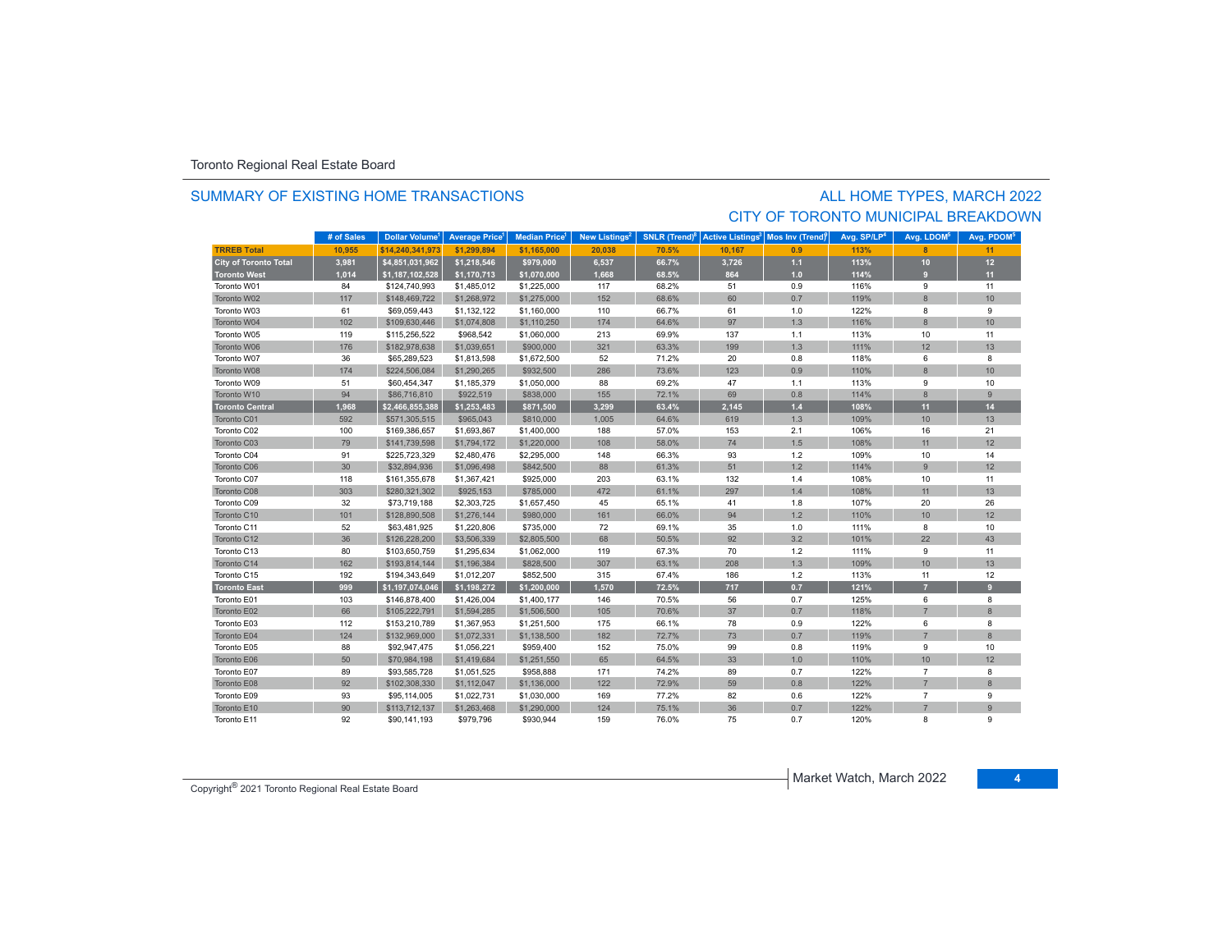#### SUMMARY OF EXISTING HOME TRANSACTIONS

### ALL HOME TYPES, MARCH 2022 CITY OF TORONTO MUNICIPAL BREAKDOWN

|                              | # of Sales | Dollar Volume <sup>1</sup> | <b>Average Price</b> | <b>Median Price</b> | New Listings <sup>2</sup> | SNLR (Trend) <sup>8</sup> | <b>Active Listings<sup>3</sup></b> | Mos Inv (Trendf | Avg. SP/LP <sup>4</sup> | Avg. LDOM <sup>5</sup> | Avg. PDOM <sup>5</sup> |
|------------------------------|------------|----------------------------|----------------------|---------------------|---------------------------|---------------------------|------------------------------------|-----------------|-------------------------|------------------------|------------------------|
| <b>TRREB Total</b>           | 10,955     | \$14.240.341.973           | \$1,299,894          | \$1,165,000         | 20,038                    | 70.5%                     | 10.167                             | 0.9             | 113%                    | $\mathbf{R}$           | 11                     |
| <b>City of Toronto Total</b> | 3,981      | \$4,851,031,962            | \$1,218,546          | \$979,000           | 6,537                     | 66.7%                     | 3,726                              | $1.1$           | 113%                    | $10$                   | 12                     |
| <b>Toronto West</b>          | 1,014      | \$1,187,102,528            | \$1,170,713          | \$1,070,000         | 1,668                     | 68.5%                     | 864                                | $1.0$           | 114%                    | $\overline{9}$         | 11                     |
| Toronto W01                  | 84         | \$124,740,993              | \$1,485,012          | \$1,225,000         | 117                       | 68.2%                     | 51                                 | 0.9             | 116%                    | 9                      | 11                     |
| Toronto W02                  | 117        | \$148,469,722              | \$1,268,972          | \$1,275,000         | 152                       | 68.6%                     | 60                                 | 0.7             | 119%                    | $\bf{8}$               | 10                     |
| Toronto W03                  | 61         | \$69,059,443               | \$1,132,122          | \$1,160,000         | 110                       | 66.7%                     | 61                                 | 1.0             | 122%                    | 8                      | 9                      |
| Toronto W04                  | 102        | \$109,630,446              | \$1,074,808          | \$1,110,250         | 174                       | 64.6%                     | 97                                 | 1.3             | 116%                    | 8                      | 10                     |
| Toronto W05                  | 119        | \$115,256,522              | \$968,542            | \$1,060,000         | 213                       | 69.9%                     | 137                                | 1.1             | 113%                    | 10                     | 11                     |
| Toronto W06                  | 176        | \$182,978,638              | \$1,039,651          | \$900,000           | 321                       | 63.3%                     | 199                                | 1.3             | 111%                    | 12                     | 13                     |
| Toronto W07                  | 36         | \$65,289,523               | \$1,813,598          | \$1,672,500         | 52                        | 71.2%                     | 20                                 | 0.8             | 118%                    | 6                      | 8                      |
| Toronto W08                  | 174        | \$224,506,084              | \$1,290,265          | \$932,500           | 286                       | 73.6%                     | 123                                | 0.9             | 110%                    | $\bf{8}$               | 10 <sup>1</sup>        |
| Toronto W09                  | 51         | \$60,454,347               | \$1,185,379          | \$1,050,000         | 88                        | 69.2%                     | 47                                 | 1.1             | 113%                    | 9                      | 10                     |
| Toronto W10                  | 94         | \$86,716,810               | \$922,519            | \$838,000           | 155                       | 72.1%                     | 69                                 | 0.8             | 114%                    | $\bf{8}$               | 9                      |
| <b>Toronto Central</b>       | 1,968      | \$2,466,855,388            | \$1,253,483          | \$871,500           | 3,299                     | 63.4%                     | 2,145                              | $1.4$           | 108%                    | 11                     | 14                     |
| Toronto C01                  | 592        | \$571,305,515              | \$965,043            | \$810,000           | 1,005                     | 64.6%                     | 619                                | 1.3             | 109%                    | 10                     | 13                     |
| Toronto C02                  | 100        | \$169,386,657              | \$1,693,867          | \$1,400,000         | 188                       | 57.0%                     | 153                                | 2.1             | 106%                    | 16                     | 21                     |
| Toronto C03                  | 79         | \$141,739,598              | \$1,794,172          | \$1,220,000         | 108                       | 58.0%                     | $74$                               | 1.5             | 108%                    | 11                     | 12                     |
| Toronto C04                  | 91         | \$225,723,329              | \$2,480,476          | \$2,295,000         | 148                       | 66.3%                     | 93                                 | 1.2             | 109%                    | 10                     | 14                     |
| Toronto C06                  | 30         | \$32,894,936               | \$1,096,498          | \$842,500           | 88                        | 61.3%                     | 51                                 | 1.2             | 114%                    | $\overline{9}$         | 12                     |
| Toronto C07                  | 118        | \$161,355,678              | \$1,367,421          | \$925,000           | 203                       | 63.1%                     | 132                                | 1.4             | 108%                    | 10                     | 11                     |
| Toronto C08                  | 303        | \$280,321,302              | \$925,153            | \$785,000           | 472                       | 61.1%                     | 297                                | 1.4             | 108%                    | 11                     | 13                     |
| Toronto C09                  | 32         | \$73,719,188               | \$2,303,725          | \$1,657,450         | 45                        | 65.1%                     | 41                                 | 1.8             | 107%                    | 20                     | 26                     |
| Toronto C10                  | 101        | \$128,890,508              | \$1,276,144          | \$980,000           | 161                       | 66.0%                     | 94                                 | 1.2             | 110%                    | 10                     | 12 <sup>12</sup>       |
| Toronto C11                  | 52         | \$63,481,925               | \$1,220,806          | \$735,000           | 72                        | 69.1%                     | 35                                 | 1.0             | 111%                    | 8                      | 10                     |
| Toronto C12                  | 36         | \$126,228,200              | \$3,506,339          | \$2,805,500         | 68                        | 50.5%                     | 92                                 | 3.2             | 101%                    | 22                     | 43                     |
| Toronto C13                  | 80         | \$103,650,759              | \$1,295,634          | \$1,062,000         | 119                       | 67.3%                     | 70                                 | 1.2             | 111%                    | 9                      | 11                     |
| Toronto C14                  | 162        | \$193,814,144              | \$1,196,384          | \$828,500           | 307                       | 63.1%                     | 208                                | 1.3             | 109%                    | 10                     | 13                     |
| Toronto C15                  | 192        | \$194,343,649              | \$1,012,207          | \$852,500           | 315                       | 67.4%                     | 186                                | $1.2$           | 113%                    | 11                     | 12                     |
| Toronto East                 | 999        | \$1,197,074,046            | \$1,198,272          | \$1,200,000         | 1,570                     | 72.5%                     | 717                                | 0.7             | 121%                    | $\overline{7}$         | 9 <sup>°</sup>         |
| Toronto E01                  | 103        | \$146,878,400              | \$1,426,004          | \$1,400,177         | 146                       | 70.5%                     | 56                                 | 0.7             | 125%                    | 6                      | 8                      |
| Toronto E02                  | 66         | \$105,222,791              | \$1,594,285          | \$1,506,500         | 105                       | 70.6%                     | 37                                 | 0.7             | 118%                    | $\overline{7}$         | $\bf{8}$               |
| Toronto E03                  | 112        | \$153,210,789              | \$1,367,953          | \$1,251,500         | 175                       | 66.1%                     | 78                                 | 0.9             | 122%                    | 6                      | 8                      |
| Toronto E04                  | 124        | \$132,969,000              | \$1,072,331          | \$1,138,500         | 182                       | 72.7%                     | 73                                 | 0.7             | 119%                    | $\overline{7}$         | 8                      |
| Toronto E05                  | 88         | \$92,947,475               | \$1,056,221          | \$959,400           | 152                       | 75.0%                     | 99                                 | 0.8             | 119%                    | 9                      | 10                     |
| Toronto E06                  | 50         | \$70,984,198               | \$1,419,684          | \$1,251,550         | 65                        | 64.5%                     | 33                                 | 1.0             | 110%                    | 10                     | 12                     |
| Toronto E07                  | 89         | \$93,585,728               | \$1,051,525          | \$958,888           | 171                       | 74.2%                     | 89                                 | 0.7             | 122%                    | $\overline{7}$         | 8                      |
| Toronto E08                  | 92         | \$102,308,330              | \$1,112,047          | \$1,136,000         | 122                       | 72.9%                     | 59                                 | 0.8             | 122%                    | $\overline{7}$         | $\bf{8}$               |
| Toronto E09                  | 93         | \$95,114,005               | \$1,022,731          | \$1,030,000         | 169                       | 77.2%                     | 82                                 | 0.6             | 122%                    | $\overline{7}$         | 9                      |
| Toronto E10                  | 90         | \$113,712,137              | \$1,263,468          | \$1,290,000         | 124                       | 75.1%                     | 36                                 | 0.7             | 122%                    | $\overline{7}$         | $\overline{9}$         |
| Toronto E11                  | 92         | \$90,141,193               | \$979,796            | \$930,944           | 159                       | 76.0%                     | 75                                 | 0.7             | 120%                    | 8                      | 9                      |

Copyright® 2021 Toronto Regional Real Estate Board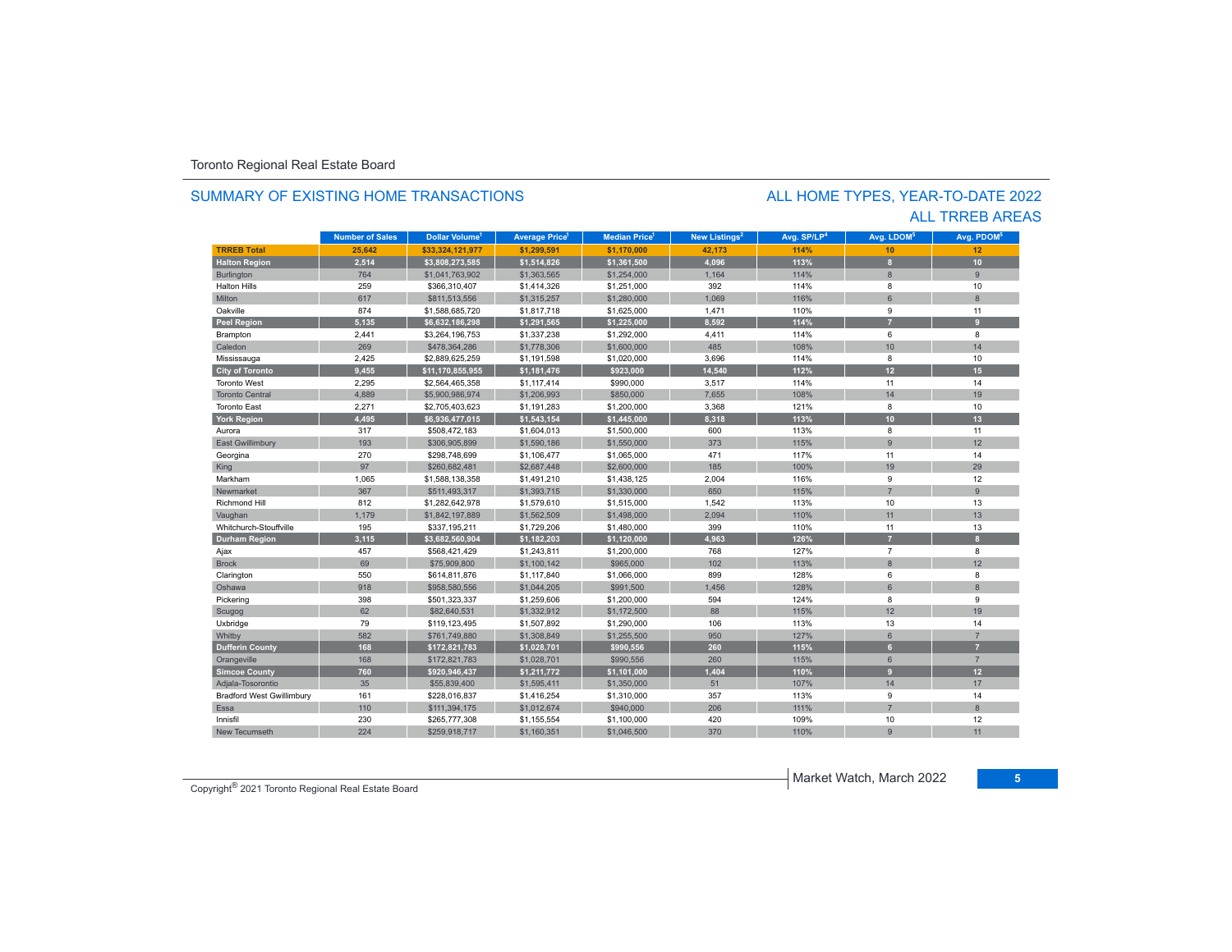#### SUMMARY OF EXISTING HOME TRANSACTIONS

### ALL TRREB AREAS ALL HOME TYPES, YEAR-TO-DATE 2022

|                                  | <b>Number of Sales</b> | Dollar Volume <sup>1</sup> | <b>Average Price</b> | <b>Median Price</b> | New Listings <sup>2</sup> | Avg. SP/LP <sup>4</sup> | Avg. LDOM <sup>5</sup> | Avg. PDOM <sup>6</sup>  |
|----------------------------------|------------------------|----------------------------|----------------------|---------------------|---------------------------|-------------------------|------------------------|-------------------------|
| <b>TRREB Total</b>               | 25,642                 | \$33,324,121,977           | \$1,299,591          | \$1,170,000         | 42,173                    | 114%                    | 10                     | 12                      |
| <b>Halton Region</b>             | 2,514                  | \$3,808,273,585            | \$1,514,826          | \$1,361,500         | 4,096                     | 113%                    | 8                      | 10                      |
| <b>Burlington</b>                | 764                    | \$1,041,763,902            | \$1,363,565          | \$1,254,000         | 1,164                     | 114%                    | 8                      | 9                       |
| <b>Halton Hills</b>              | 259                    | \$366,310,407              | \$1,414,326          | \$1,251,000         | 392                       | 114%                    | 8                      | 10                      |
| Milton                           | 617                    | \$811,513,556              | \$1,315,257          | \$1,280,000         | 1.069                     | 116%                    | 6                      | $\overline{8}$          |
| Oakville                         | 874                    | \$1,588,685,720            | \$1,817,718          | \$1,625,000         | 1,471                     | 110%                    | 9                      | 11                      |
| <b>Peel Region</b>               | 5,135                  | \$6,632,186,298            | \$1,291,565          | \$1,225,000         | 8.592                     | 114%                    | z                      | $\mathbf{q}$            |
| Brampton                         | 2,441                  | \$3,264,196,753            | \$1,337,238          | \$1,292,000         | 4,411                     | 114%                    | 6                      | 8                       |
| Caledon                          | 269                    | \$478,364,286              | \$1,778,306          | \$1,600,000         | 485                       | 108%                    | 10                     | 14                      |
| Mississauga                      | 2,425                  | \$2,889,625,259            | \$1,191,598          | \$1,020,000         | 3,696                     | 114%                    | 8                      | 10                      |
| <b>City of Toronto</b>           | 9,455                  | \$11,170,855,955           | \$1,181,476          | \$923,000           | 14,540                    | 112%                    | 12                     | 15                      |
| <b>Toronto West</b>              | 2,295                  | \$2,564,465,358            | \$1,117,414          | \$990,000           | 3,517                     | 114%                    | 11                     | 14                      |
| <b>Toronto Central</b>           | 4,889                  | \$5,900,986,974            | \$1,206,993          | \$850,000           | 7,655                     | 108%                    | 14                     | 19                      |
| <b>Toronto East</b>              | 2,271                  | \$2,705,403,623            | \$1,191,283          | \$1,200,000         | 3,368                     | 121%                    | 8                      | 10                      |
| <b>York Region</b>               | 4,495                  | \$6,936,477,015            | \$1,543,154          | \$1,445,000         | 8,318                     | 113%                    | 10                     | 13                      |
| Aurora                           | 317                    | \$508,472,183              | \$1,604,013          | \$1,500,000         | 600                       | 113%                    | 8                      | 11                      |
| <b>East Gwillimbury</b>          | 193                    | \$306,905,899              | \$1,590,186          | \$1,550,000         | 373                       | 115%                    | 9                      | 12                      |
| Georgina                         | 270                    | \$298,748,699              | \$1,106,477          | \$1,065,000         | 471                       | 117%                    | 11                     | 14                      |
| King                             | 97                     | \$260,682,481              | \$2,687,448          | \$2,600,000         | 185                       | 100%                    | 19                     | 29                      |
| Markham                          | 1,065                  | \$1,588,138,358            | \$1,491,210          | \$1,438,125         | 2,004                     | 116%                    | 9                      | 12                      |
| Newmarket                        | 367                    | \$511,493,317              | \$1,393,715          | \$1,330,000         | 650                       | 115%                    | $\overline{7}$         | $\overline{9}$          |
| Richmond Hill                    | 812                    | \$1,282,642,978            | \$1,579,610          | \$1,515,000         | 1,542                     | 113%                    | 10                     | 13                      |
| Vaughan                          | 1,179                  | \$1,842,197,889            | \$1,562,509          | \$1,498,000         | 2,094                     | 110%                    | 11                     | 13                      |
| Whitchurch-Stouffville           | 195                    | \$337,195,211              | \$1,729,206          | \$1,480,000         | 399                       | 110%                    | 11                     | 13                      |
| <b>Durham Region</b>             | 3,115                  | \$3,682,560,904            | \$1,182,203          | \$1,120,000         | 4,963                     | 126%                    | 7                      | $\overline{\mathbf{8}}$ |
| Ajax                             | 457                    | \$568,421,429              | \$1,243,811          | \$1,200,000         | 768                       | 127%                    | $\overline{7}$         | 8                       |
| <b>Brock</b>                     | 69                     | \$75,909,800               | \$1,100,142          | \$965,000           | 102                       | 113%                    | $\overline{8}$         | 12                      |
| Clarington                       | 550                    | \$614,811,876              | \$1,117,840          | \$1,066,000         | 899                       | 128%                    | 6                      | 8                       |
| Oshawa                           | 918                    | \$958,580,556              | \$1,044,205          | \$991,500           | 1,456                     | 128%                    | 6                      | $\overline{8}$          |
| Pickering                        | 398                    | \$501,323,337              | \$1,259,606          | \$1,200,000         | 594                       | 124%                    | 8                      | 9                       |
| Scugog                           | 62                     | \$82,640,531               | \$1,332,912          | \$1,172,500         | 88                        | 115%                    | 12                     | 19                      |
| Uxbridge                         | 79                     | \$119,123,495              | \$1,507,892          | \$1,290,000         | 106                       | 113%                    | 13                     | 14                      |
| Whitby                           | 582                    | \$761,749,880              | \$1,308,849          | \$1,255,500         | 950                       | 127%                    | $6\phantom{1}$         | $\overline{7}$          |
| <b>Dufferin County</b>           | 168                    | \$172,821,783              | \$1,028,701          | \$990,556           | 260                       | 115%                    | 6 <sup>1</sup>         | $\overline{z}$          |
| Orangeville                      | 168                    | \$172,821,783              | \$1,028,701          | \$990,556           | 260                       | 115%                    | 6                      | $\overline{7}$          |
| <b>Simcoe County</b>             | 760                    | \$920,946,437              | \$1,211,772          | \$1,101,000         | 1,404                     | 110%                    | 9                      | 12                      |
| Adjala-Tosorontio                | 35                     | \$55,839,400               | \$1,595,411          | \$1,350,000         | 51                        | 107%                    | 14                     | 17                      |
| <b>Bradford West Gwillimbury</b> | 161                    | \$228,016,837              | \$1,416,254          | \$1,310,000         | 357                       | 113%                    | 9                      | 14                      |
| Essa                             | 110                    | \$111,394,175              | \$1,012,674          | \$940,000           | 206                       | 111%                    | $\overline{7}$         | $\mathbf{8}$            |
| Innisfil                         | 230                    | \$265,777,308              | \$1,155,554          | \$1,100,000         | 420                       | 109%                    | 10                     | 12                      |
| New Tecumseth                    | 224                    | \$259,918,717              | \$1,160,351          | \$1,046,500         | 370                       | 110%                    | $\mathbf{Q}$           | 11                      |

Copyright® 2021 Toronto Regional Real Estate Board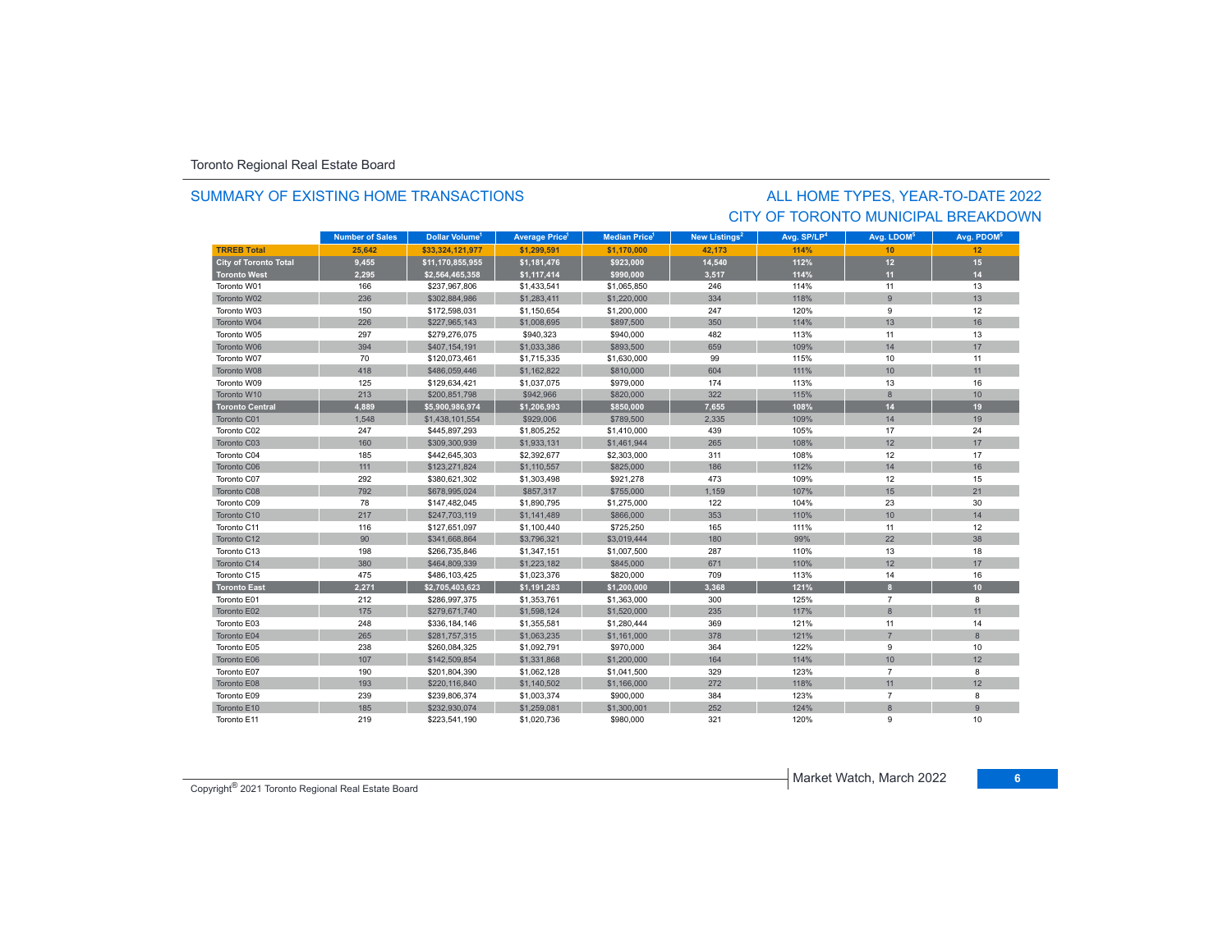#### SUMMARY OF EXISTING HOME TRANSACTIONS

### CITY OF TORONTO MUNICIPAL BREAKDOWNALL HOME TYPES, YEAR-TO-DATE 2022

|                              | <b>Number of Sales</b> | Dollar Volume <sup>1</sup> | <b>Average Price<sup>1</sup></b> | <b>Median Price</b> <sup>1</sup> | New Listings <sup>2</sup> | Avg. SP/LP <sup>4</sup> | Avg. LDOM <sup>5</sup> | Avg. PDOM <sup>5</sup> |
|------------------------------|------------------------|----------------------------|----------------------------------|----------------------------------|---------------------------|-------------------------|------------------------|------------------------|
| <b>TRREB Total</b>           | 25.642                 | \$33.324.121.977           | \$1.299.591                      | \$1.170.000                      | 42.173                    | 114%                    | 10                     | 12                     |
| <b>City of Toronto Total</b> | 9,455                  | \$11,170,855,955           | \$1,181,476                      | \$923,000                        | 14,540                    | 112%                    | 12                     | 15                     |
| <b>Toronto West</b>          | 2,295                  | \$2,564,465,358            | \$1,117,414                      | \$990,000                        | 3,517                     | 114%                    | 11                     | 14                     |
| Toronto W01                  | 166                    | \$237.967.806              | \$1,433,541                      | \$1,065,850                      | 246                       | 114%                    | 11                     | 13                     |
| Toronto W02                  | 236                    | \$302,884,986              | \$1,283,411                      | \$1,220,000                      | 334                       | 118%                    | $\overline{9}$         | 13                     |
| Toronto W03                  | 150                    | \$172,598,031              | \$1,150,654                      | \$1,200,000                      | 247                       | 120%                    | 9                      | 12                     |
| Toronto W04                  | 226                    | \$227,965,143              | \$1,008,695                      | \$897,500                        | 350                       | 114%                    | 13                     | 16                     |
| Toronto W05                  | 297                    | \$279,276,075              | \$940,323                        | \$940,000                        | 482                       | 113%                    | 11                     | 13                     |
| Toronto W06                  | 394                    | \$407,154,191              | \$1,033,386                      | \$893,500                        | 659                       | 109%                    | 14                     | 17                     |
| Toronto W07                  | 70                     | \$120,073,461              | \$1,715,335                      | \$1,630,000                      | 99                        | 115%                    | 10                     | 11                     |
| Toronto W08                  | 418                    | \$486,059,446              | \$1,162,822                      | \$810,000                        | 604                       | 111%                    | 10                     | 11                     |
| Toronto W09                  | 125                    | \$129,634,421              | \$1,037,075                      | \$979,000                        | 174                       | 113%                    | 13                     | 16                     |
| Toronto W10                  | 213                    | \$200,851,798              | \$942,966                        | \$820,000                        | 322                       | 115%                    | 8                      | 10                     |
| <b>Toronto Central</b>       | 4,889                  | \$5,900,986,974            | \$1,206,993                      | \$850,000                        | 7,655                     | 108%                    | 14                     | 19                     |
| Toronto C01                  | 1,548                  | \$1,438,101,554            | \$929,006                        | \$789,500                        | 2,335                     | 109%                    | 14                     | 19                     |
| Toronto C02                  | 247                    | \$445,897,293              | \$1,805,252                      | \$1,410,000                      | 439                       | 105%                    | 17                     | 24                     |
| Toronto C03                  | 160                    | \$309,300,939              | \$1,933,131                      | \$1,461,944                      | 265                       | 108%                    | 12                     | 17                     |
| Toronto C04                  | 185                    | \$442,645,303              | \$2,392,677                      | \$2,303,000                      | 311                       | 108%                    | 12                     | 17                     |
| Toronto C06                  | 111                    | \$123,271,824              | \$1,110,557                      | \$825,000                        | 186                       | 112%                    | 14                     | 16                     |
| Toronto C07                  | 292                    | \$380,621,302              | \$1,303,498                      | \$921,278                        | 473                       | 109%                    | 12                     | 15                     |
| Toronto C08                  | 792                    | \$678,995,024              | \$857,317                        | \$755,000                        | 1,159                     | 107%                    | 15                     | 21                     |
| Toronto C09                  | 78                     | \$147,482,045              | \$1,890,795                      | \$1,275,000                      | 122                       | 104%                    | 23                     | 30                     |
| Toronto C10                  | 217                    | \$247,703,119              | \$1,141,489                      | \$866,000                        | 353                       | 110%                    | 10                     | 14                     |
| Toronto C11                  | 116                    | \$127,651,097              | \$1,100,440                      | \$725,250                        | 165                       | 111%                    | 11                     | 12                     |
| Toronto C12                  | 90                     | \$341,668,864              | \$3,796,321                      | \$3,019,444                      | 180                       | 99%                     | 22                     | 38                     |
| Toronto C13                  | 198                    | \$266,735,846              | \$1,347,151                      | \$1,007,500                      | 287                       | 110%                    | 13                     | 18                     |
| Toronto C14                  | 380                    | \$464,809,339              | \$1,223,182                      | \$845,000                        | 671                       | 110%                    | 12                     | 17                     |
| Toronto C15                  | 475                    | \$486,103,425              | \$1,023,376                      | \$820,000                        | 709                       | 113%                    | 14                     | 16                     |
| <b>Toronto East</b>          | 2,271                  | \$2,705,403,623            | \$1,191,283                      | \$1,200,000                      | 3.368                     | 121%                    | $\mathbf{a}$           | 10 <sub>10</sub>       |
| Toronto E01                  | 212                    | \$286,997,375              | \$1,353,761                      | \$1,363,000                      | 300                       | 125%                    | $\overline{7}$         | 8                      |
| Toronto E02                  | 175                    | \$279,671,740              | \$1,598,124                      | \$1,520,000                      | 235                       | 117%                    | 8                      | 11                     |
| Toronto E03                  | 248                    | \$336,184,146              | \$1,355,581                      | \$1,280,444                      | 369                       | 121%                    | 11                     | 14                     |
| Toronto E04                  | 265                    | \$281,757,315              | \$1,063,235                      | \$1,161,000                      | 378                       | 121%                    | $\overline{7}$         | 8                      |
| Toronto E05                  | 238                    | \$260,084,325              | \$1,092,791                      | \$970,000                        | 364                       | 122%                    | 9                      | 10                     |
| Toronto E06                  | 107                    | \$142,509,854              | \$1,331,868                      | \$1,200,000                      | 164                       | 114%                    | 10                     | 12                     |
| Toronto E07                  | 190                    | \$201,804,390              | \$1,062,128                      | \$1,041,500                      | 329                       | 123%                    | $\overline{7}$         | 8                      |
| Toronto E08                  | 193                    | \$220,116,840              | \$1,140,502                      | \$1,166,000                      | 272                       | 118%                    | 11                     | 12                     |
| Toronto E09                  | 239                    | \$239,806,374              | \$1,003,374                      | \$900,000                        | 384                       | 123%                    | $\overline{7}$         | 8                      |
| Toronto E10                  | 185                    | \$232,930,074              | \$1,259,081                      | \$1,300,001                      | 252                       | 124%                    | 8                      | 9                      |
| Toronto E11                  | 219                    | \$223,541,190              | \$1,020,736                      | \$980,000                        | 321                       | 120%                    | 9                      | 10                     |

Copyright® 2021 Toronto Regional Real Estate Board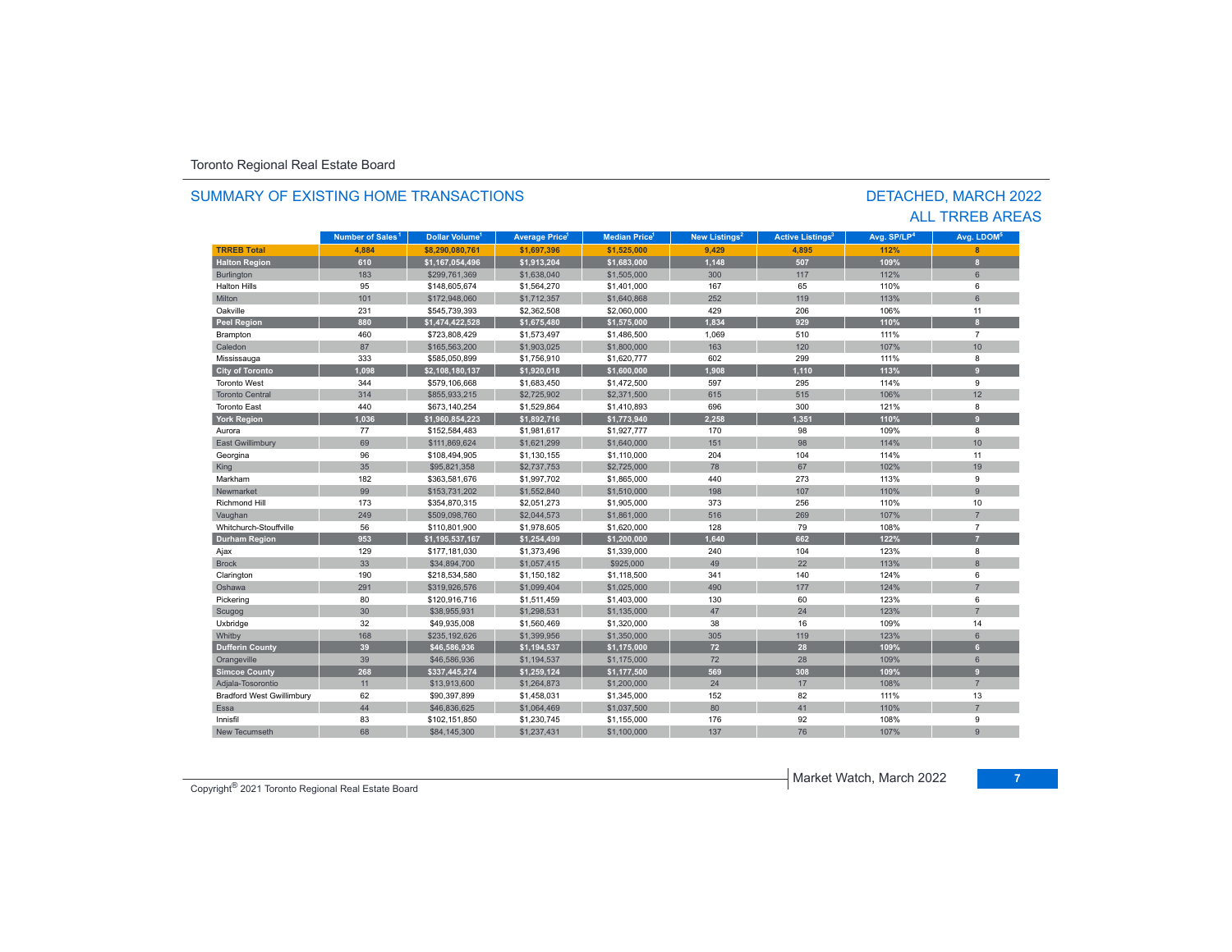#### **TR5EB Total 4,88 \$8,2000,761 \$1,697, \$1,525,000 9,429 4,895 112% 8 Halton Region 610 \$1,167,054,496 \$1,913,204 \$1,683,000 1,148 507 109% 8** Burlington 183 | \$299,761,369 | \$1,638,040 | \$1,505,000 | 300 | 117 | 112% | 6 Halton Hillss 95 \$148,605,674 \$1,564,270 \$1,401,000 167 65 110% 6 Miltonn 101 \$172,948,060 \$1,712,357 \$1,640,868 252 119 113% 6 Oakvillee 231 \$545,739,393 \$2,362,508 \$2,060,000 429 206 106% % 11 **Peel Region 880 \$1,474,422,528 \$1,675,480 \$1,575,000 1,834 929 110% 8** Brampton 460 \$723,808,429 \$1,573,497 \$1,486,500 1,069 510 111% 7 Caledonn 87 \$165,563,200 \$1,903,025 \$1,800,000 163 120 107% 107% 10 Mississauga 333 \$585,050,899 \$1,756,910 \$1,620,777 602 299 111% 8 **City of Toronto 1,09 \$2,1010137 \$1,920,01 \$1,600,000 1,908 1,110 113% 9** Toronto West 344 \$579,106,668 \$1,683,450 \$1,472,500 597 295 114% 9 Toronto Central 31.4 | \$855,933,215 \$2,725,902 | \$2,371,500 | 615 | 515 | 106% 106% 12 Toronto East 440 \$673,140,254 \$1,529,864 \$1,410,893 696 300 121% 8 **York Region 1,036 \$1,960,854,223 \$1,892,716 \$1,773,940 2,258 1,351 110% 9** Auroraa 77 \$152,584,483 \$1,981,617 \$1,927,777 170 98 109% 8 East Gwillimbury 69 \$111,869,624 \$1,621,299 \$1,640,000 151 98 114% 10 Georgina 96 \$108,494,905 \$1,130,155 \$1,110,000 204 104 114% 11 King 35 | \$95,821,358 | \$2,737,753 | \$2,725,000 | 78 | 67 | 102% | 19 Markhamm 182 \$363,581,676 \$1,997,702 \$1,865,000 440 273 113% 9 Newmarket 99\$153,731,202 \$1,552,840 \$1,510,000 198 107 107 110% 9 Richmond Hill 173 \$354,870,315 \$2,051,273 \$1,905,000 373 256 110%% 10 Vaughan 249 (1990), 249 (1990), 2509,098,760 (1990), 26,044,573 (1991), 261,861,000 (1991), 269 107% 107% 707% Whitchurch-Stouffville 56 \$110,801,900 \$1,978,605 \$1,620,000 128 79 108% 7 **Durham Region 953 \$1,195,537,167 \$1,254,499 \$1,200,000 1,640 662 122% 7** Ajax 129 \$177,181,030 \$1,373,496 \$1,339,000 240 104 123% 8 Brockk 33 \$34,894,700 \$1,057,415 \$925,000 49 22 113% 8 Clarington 190 \$218,534,580 \$1,150,182 \$1,118,500 341 140 124% 6 Oshawa 291 \$319,926,576 \$1,099,404 \$1,025,000 490 177 124% 7 60 \$120,916,716 \$1,511,459 \$1,403,000 130 60 \$1,23% 6 1,403,000 51,403,000 60 123% 60 Scugog 30 | \$38,955,931 | \$1,298,531 | \$1,135,000 | 47 | 24 | 123% | 7 Uxbridge 32 \$49,935,008 \$1,560,469 \$1,320,000 38 16 109% 14 Whitby 168 | \$235,192,626 \$1,399,956 \$1,350,000 | 305 | 119 | 123% | 6 **Dufferin County 39 \$46,586,936 \$1,194,537 \$1,175,000 72 28 109% 6** Orangeville 39 | \$46,586,936 \$1,194,537 \$1,175,000 72 | 28 | 109% | 6 **Simcoe County 268 \$337,445,274 \$1,259,124 \$1,177,500 569 308 109% 9** Adjala-Tosorontio 11 \$13,913,600 \$1,264,873 \$1,200,000 24 17 108% 7 Bradford West Gwillimbury 62 \$90,397,899 \$1,458,031 \$1,345,000 152 82 111% 131% 13 Essa 44 \$46,836,625 \$1,064,469 \$1,037,500 80 41 110%110% 7 Innisfil 83 \$102,151,850 \$1,230,745 \$1,155,000 176 92 108% 9 New Tecumsethh 68 \$84,145,300 \$1,237,431 \$1,100,000 137 76 107% % 9 **Municipality Number of Sales Dollar Volume Average Price Median Price New Listings Active Listings Avg. SP/LP Avg. LDOM Number of Sales<sup>1</sup>** 1 **Dollar Volume<sup>1</sup> Aversen Price<sup>1</sup> Median Price<sup>1</sup> Maw Listings<sup>2</sup> Active Listings<sup>3</sup> Ave SD/LD<sup>4</sup> Ave LDOM<sup>5</sup>**

#### SUMMARY OF EXISTING HOME TRANSACTIONS

#### DETACHED, MARCH 2022 ALL TRREB AREAS

Copyright® 2021 Toronto Regional Real Estate Board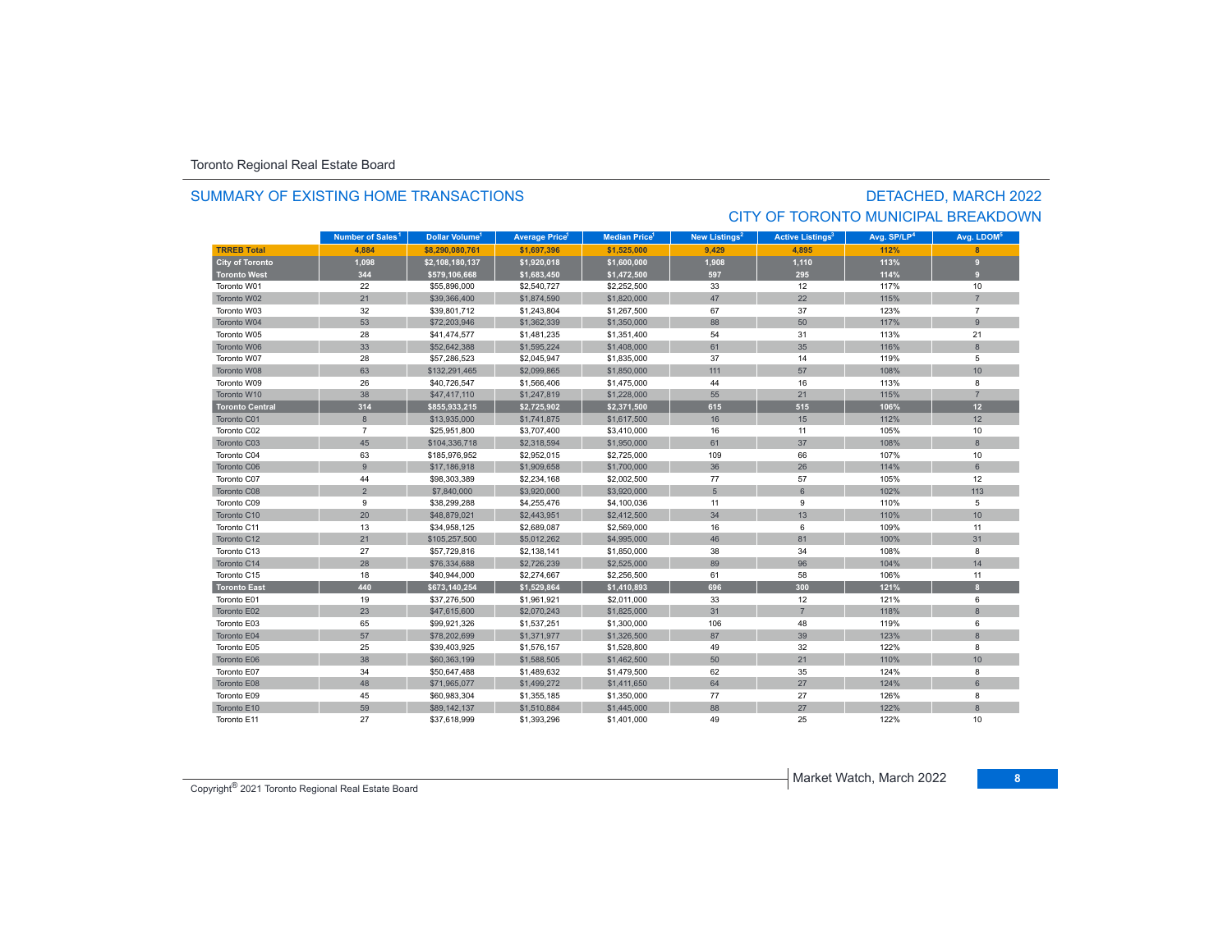#### SUMMARY OF EXISTING HOME TRANSACTIONS

# DETACHED, MARCH 2022 CITY OF TORONTO MUNICIPAL BREAKDOWN

|                        | Number of Sales <sup>1</sup> | <b>Dollar Volume<sup>1</sup></b> | <b>Average Price</b> | <b>Median Price</b> <sup>1</sup> | New Listings <sup>2</sup> | <b>Active Listings<sup>3</sup></b> | Avg. SP/LP <sup>4</sup> | Avg. LDOM <sup>5</sup> |
|------------------------|------------------------------|----------------------------------|----------------------|----------------------------------|---------------------------|------------------------------------|-------------------------|------------------------|
| <b>TRREB Total</b>     | 4.884                        | \$8,290,080,761                  | \$1,697.396          | \$1,525,000                      | 9.429                     | 4.895                              | 112%                    |                        |
| <b>City of Toronto</b> | 1,098                        | \$2,108,180,137                  | \$1,920,018          | \$1,600,000                      | 1,908                     | 1,110                              | 113%                    | o                      |
| <b>Toronto West</b>    | 344                          | \$579,106,668                    | \$1,683,450          | \$1,472,500                      | 597                       | 295                                | 114%                    | $\mathbf{q}$           |
| Toronto W01            | 22                           | \$55,896,000                     | \$2,540,727          | \$2,252,500                      | 33                        | 12                                 | 117%                    | 10                     |
| Toronto W02            | 21                           | \$39,366,400                     | \$1,874,590          | \$1,820,000                      | 47                        | 22                                 | 115%                    | $\overline{7}$         |
| Toronto W03            | 32                           | \$39,801,712                     | \$1,243,804          | \$1,267,500                      | 67                        | 37                                 | 123%                    | $\overline{7}$         |
| Toronto W04            | 53                           | \$72,203,946                     | \$1,362,339          | \$1,350,000                      | 88                        | 50                                 | 117%                    | 9                      |
| Toronto W05            | 28                           | \$41,474,577                     | \$1,481,235          | \$1,351,400                      | 54                        | 31                                 | 113%                    | 21                     |
| Toronto W06            | 33                           | \$52,642,388                     | \$1,595,224          | \$1,408,000                      | 61                        | 35                                 | 116%                    | 8                      |
| Toronto W07            | 28                           | \$57,286,523                     | \$2,045,947          | \$1,835,000                      | 37                        | 14                                 | 119%                    | 5                      |
| Toronto W08            | 63                           | \$132,291,465                    | \$2,099,865          | \$1,850,000                      | 111                       | 57                                 | 108%                    | 10                     |
| Toronto W09            | 26                           | \$40,726,547                     | \$1,566,406          | \$1,475,000                      | 44                        | 16                                 | 113%                    | 8                      |
| Toronto W10            | 38                           | \$47,417,110                     | \$1,247,819          | \$1,228,000                      | 55                        | 21                                 | 115%                    | $\overline{7}$         |
| <b>Toronto Central</b> | 314                          | \$855,933,215                    | \$2,725,902          | \$2,371,500                      | 615                       | 515                                | 106%                    | 12                     |
| Toronto C01            | 8                            | \$13,935,000                     | \$1,741,875          | \$1,617,500                      | 16                        | 15                                 | 112%                    | 12                     |
| Toronto C02            | $\overline{7}$               | \$25,951,800                     | \$3,707,400          | \$3,410,000                      | 16                        | 11                                 | 105%                    | 10                     |
| Toronto C03            | 45                           | \$104,336,718                    | \$2,318,594          | \$1,950,000                      | 61                        | 37                                 | 108%                    | 8                      |
| Toronto C04            | 63                           | \$185,976,952                    | \$2,952,015          | \$2,725,000                      | 109                       | 66                                 | 107%                    | 10                     |
| Toronto C06            | $\overline{9}$               | \$17,186,918                     | \$1,909,658          | \$1,700,000                      | 36                        | 26                                 | 114%                    | 6                      |
| Toronto C07            | 44                           | \$98,303,389                     | \$2,234,168          | \$2,002,500                      | 77                        | 57                                 | 105%                    | 12                     |
| Toronto C08            | $\overline{2}$               | \$7,840,000                      | \$3,920,000          | \$3,920,000                      | 5                         | 6                                  | 102%                    | 113                    |
| Toronto C09            | 9                            | \$38,299,288                     | \$4,255,476          | \$4,100,036                      | 11                        | 9                                  | 110%                    | 5                      |
| Toronto C10            | 20                           | \$48,879,021                     | \$2,443.951          | \$2,412,500                      | 34                        | 13                                 | 110%                    | 10                     |
| Toronto C11            | 13                           | \$34,958,125                     | \$2,689,087          | \$2,569,000                      | 16                        | 6                                  | 109%                    | 11                     |
| Toronto C12            | 21                           | \$105,257,500                    | \$5,012,262          | \$4,995,000                      | 46                        | 81                                 | 100%                    | 31                     |
| Toronto C13            | 27                           | \$57,729,816                     | \$2,138,141          | \$1,850,000                      | 38                        | 34                                 | 108%                    | 8                      |
| Toronto C14            | 28                           | \$76,334,688                     | \$2,726,239          | \$2,525,000                      | 89                        | 96                                 | 104%                    | 14                     |
| Toronto C15            | 18                           | \$40,944,000                     | \$2,274,667          | \$2,256,500                      | 61                        | 58                                 | 106%                    | 11                     |
| <b>Toronto East</b>    | 440                          | \$673,140,254                    | \$1,529,864          | \$1,410,893                      | 696                       | 300                                | 121%                    | $\mathbf{8}$           |
| Toronto E01            | 19                           | \$37,276,500                     | \$1,961,921          | \$2,011,000                      | 33                        | 12                                 | 121%                    | 6                      |
| Toronto E02            | 23                           | \$47,615,600                     | \$2,070,243          | \$1,825,000                      | 31                        | $\overline{7}$                     | 118%                    | $\bf 8$                |
| Toronto E03            | 65                           | \$99,921,326                     | \$1,537,251          | \$1,300,000                      | 106                       | 48                                 | 119%                    | 6                      |
| Toronto E04            | 57                           | \$78,202,699                     | \$1,371,977          | \$1,326,500                      | 87                        | 39                                 | 123%                    | 8                      |
| Toronto E05            | 25                           | \$39,403,925                     | \$1,576,157          | \$1,528,800                      | 49                        | 32                                 | 122%                    | 8                      |
| Toronto E06            | 38                           | \$60,363,199                     | \$1,588,505          | \$1,462,500                      | 50                        | 21                                 | 110%                    | 10                     |
| Toronto E07            | 34                           | \$50,647,488                     | \$1,489,632          | \$1,479,500                      | 62                        | 35                                 | 124%                    | 8                      |
| Toronto E08            | 48                           | \$71,965,077                     | \$1,499,272          | \$1,411,650                      | 64                        | 27                                 | 124%                    | 6                      |
| Toronto E09            | 45                           | \$60,983,304                     | \$1,355,185          | \$1,350,000                      | 77                        | 27                                 | 126%                    | 8                      |
| Toronto E10            | 59                           | \$89,142,137                     | \$1,510,884          | \$1,445,000                      | 88                        | 27                                 | 122%                    | $\overline{8}$         |
| Toronto E11            | 27                           | \$37,618,999                     | \$1,393,296          | \$1,401,000                      | 49                        | 25                                 | 122%                    | 10                     |

Copyright® 2021 Toronto Regional Real Estate Board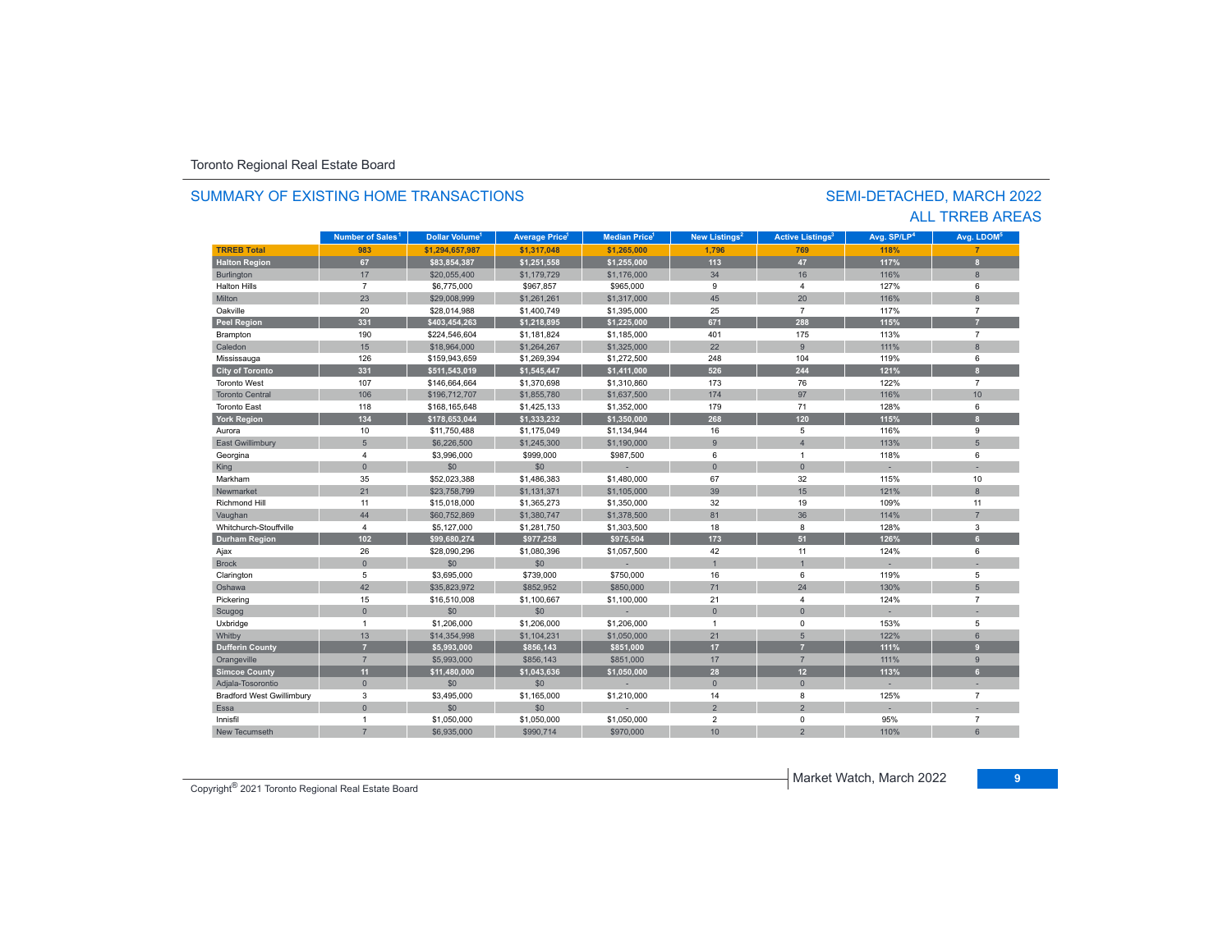#### **TR5EB Total 983 \$1,294,657,987 \$1,317,048 \$1,265,000 1,796 769 118% 7 Halton Region 67 \$83,854,387 \$1,251,558 \$1,255,000 113 47 117% 8** Burlington 17 = 17 \$20,055,400 \$1,179,729 \$1,176,000 34 16 16 16 116% 81,176,000 \$ Halton Hills $\sim$  7 \$6,775,000 \$967,857 \$965,000 9 4 127% 6 Miltonn 23 \$29,008,999 \$1,261,261 \$1,317,000 45 20 116% 8 Oakvillee 20 \$28,014,988 \$1,400,749 \$1,395,000 25 7 117% 7 **Peel Region 331 \$403,454,263 \$1,218,895 \$1,225,000 671 288 115% 7** Brampton 190 \$224,546,604 \$1,181,824 \$1,185,000 401 175 113% 7 Caledonn 15 \$18,964,000 \$1,264,267 \$1,325,000 22 9 111% 8 Mississauga 126 \$159,943,659 \$1,269,394 \$1,272,500 248 104 119% 6 **City of Toronto 331 \$511,543,019 \$1,545,447 \$1,411,000 526 244 121% 8** Toronto West 107 \$146,664,664 \$1,370,698 \$1,310,860 173 76 122% 7 Toronto Central 106\$196,712,707 \$1,855,780 \$1,637,500 174 97 97 116% 10 Toronto East 118 \$168,165,648 \$1,425,133 \$1,352,000 179 71 128% 6 **York Region 134 \$178,653,044 \$1,333,232 \$1,350,000 268 120 115% 8** Aurora10 \$11,750,488 \$1,175,049 \$1,134,944 16 \$16 5 116% 116% 9 East Gwillimbury 5 \$6,226,500 \$1,245,300 \$1,190,000 9 4 113% 5 Georgina 4 \$3,996,000 \$999,000 \$987,500 6 1 118% 6 King the second term of the second term of the second term of the second term of the second term of the second Markhamm 35 \$52,023,388 \$1,486,383 \$1,480,000 67 32 115% 115% 10 Newmarket 211 \$23,758,799 \$1,131,371 \$1,105,000 39 15 121% 8 Richmond Hill 11 \$15,018,000 \$1,365,273 \$1,350,000 32 19 109%% 11 Vaughan 44 \$60,752,869 \$1,380,747 \$1,378,500 81 36 114% 7 Whitchurch-Stouffvillee 4 \$5,127,000 \$1,281,750 \$1,303,500 18 8 128% 3 **Durham Region 102 \$99,680,274 \$977,258 \$975,504 173 51 126% 6** Ajax 26 \$28,090,296 \$1,080,396 \$1,057,500 42 11 124% 6 Brock 0. 0 50 \$0 \$0 - 1 - 1 - 1 - 1 - 1 - 1 Clarington 5 \$3,695,000 \$739,000 16 6 119% 5 Oshawa 42 \$35,823,972 \$852,952 \$850,000 71 24 130% 5 Pickering 15 \$16,510,008 \$1,100,667 \$1,100,000 21 4 7 Scugog 0 \$0 \$0 - 0 0 - - Uxbridge 1 \$1,206,000 \$1,206,000 \$1,206,000 1 0 153% 5 Whitby 13 (13 13 14,354,998 \$1,104,231 \$1,050,000 21 5 122% 6 **Dufferin County 7 \$5,993,000 \$856,143 \$851,000 17 7 111% 9** Orangeville 7 \$5,993,000 \$856,143 \$851,000 17 7 111% 9 **Simcoe County 11 \$11,480,000 \$1,043,636 \$1,050,000 28 12 113% 6** Adjala-Tosorontio 0 \$0 \$0 - 0 0 - - Bradford West Gwillimbury 3 \$3,495,000 \$1,165,000 \$1,210,000 14 8 125% 7 Essa 0 \$0 \$0 - 2 2 - - Innisfil 1 \$1,050,000 \$1,050,000 \$1,050,000 2 0 95% 7 **Municipality Number of Sales Dollar Volume Average Price Median Price New Listings Active Listings Avg. SP/LP Avg. LDOM** SEMI-DETACHED, MARCH 2022 SUMMARY OF EXISTING HOME TRANSACTIONS**Number of Sales<sup>1</sup> 1** Dollar Volume<sup>1</sup> | Average Price<sup>1</sup> | Median Price<sup>1</sup> | New Listings<sup>2</sup> | Active Listings<sup>3</sup> | Avg. SP/LP<sup>4</sup> | Avg. LDOM<sup>s</sup>

h 7 \$6,935,000 \$990,714 \$970,000 10 2 110%

### ALL TRREB AREAS

Copyright® 2021 Toronto Regional Real Estate Board

New Tecumseth

6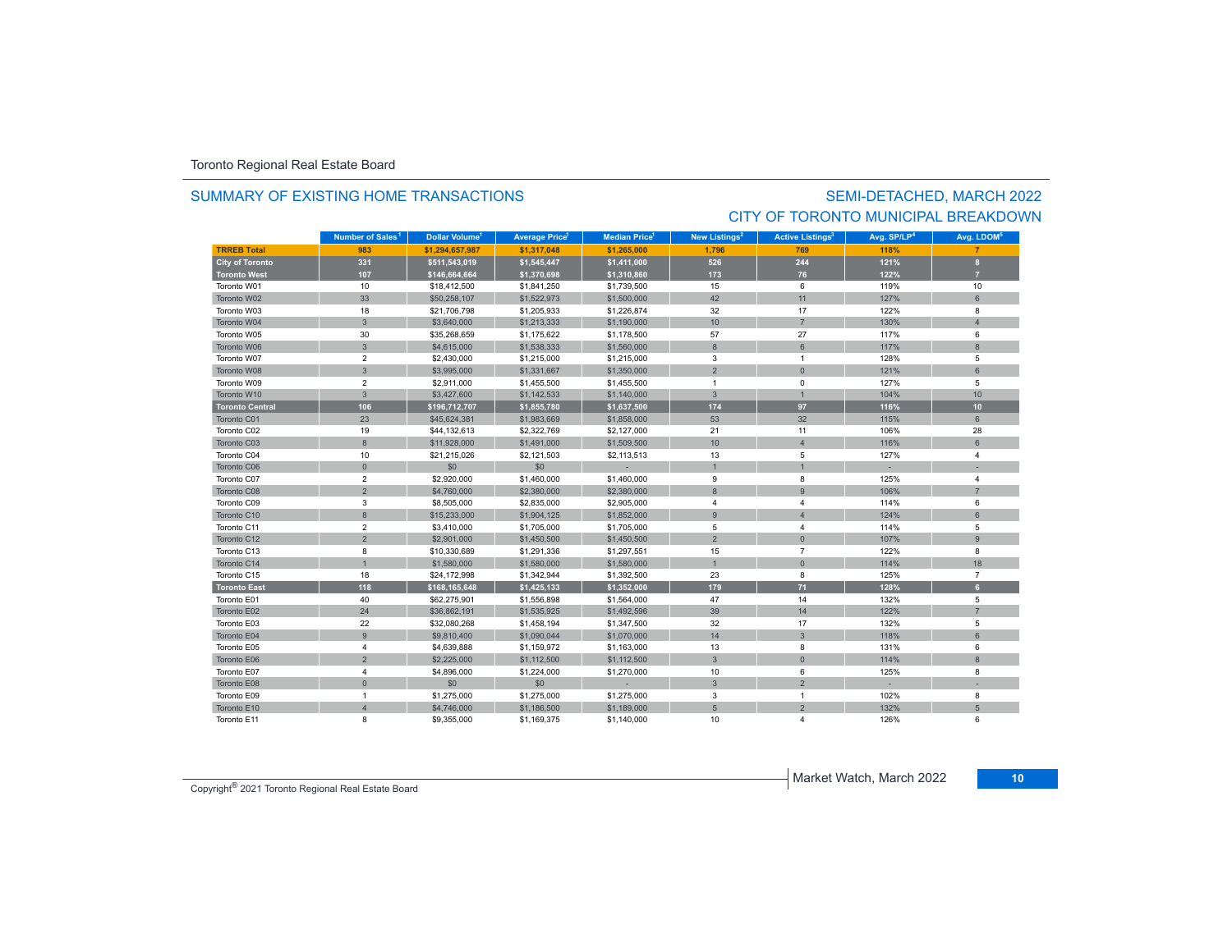#### SUMMARY OF EXISTING HOME TRANSACTIONS

# SEMI-DETACHED, MARCH 2022 CITY OF TORONTO MUNICIPAL BREAKDOWN

|                        | Number of Sales <sup>1</sup> | Dollar Volume <sup>1</sup> | <b>Average Price</b> | <b>Median Price<sup>1</sup></b> | New Listings <sup>2</sup> | <b>Active Listings<sup>3</sup></b> | Avg. SP/LP <sup>4</sup> | Avg. LDOM <sup>5</sup> |
|------------------------|------------------------------|----------------------------|----------------------|---------------------------------|---------------------------|------------------------------------|-------------------------|------------------------|
| <b>TRREB Total</b>     | 983                          | \$1.294.657.987            | \$1.317.048          | \$1,265,000                     | 1,796                     | 769                                | 118%                    |                        |
| <b>City of Toronto</b> | 331                          | \$511,543,019              | \$1,545,447          | \$1,411,000                     | 526                       | 244                                | 121%                    | $\mathbf{a}$           |
| <b>Toronto West</b>    | 107                          | \$146,664,664              | \$1,370,698          | \$1,310,860                     | 173                       | 76                                 | 122%                    |                        |
| Toronto W01            | 10                           | \$18,412,500               | \$1,841,250          | \$1,739,500                     | 15                        | 6                                  | 119%                    | 10                     |
| Toronto W02            | 33                           | \$50,258,107               | \$1,522,973          | \$1,500,000                     | 42                        | 11                                 | 127%                    | $6\phantom{1}$         |
| Toronto W03            | 18                           | \$21,706,798               | \$1,205,933          | \$1,226,874                     | 32                        | 17                                 | 122%                    | 8                      |
| Toronto W04            | $\mathbf{3}$                 | \$3,640,000                | \$1,213,333          | \$1,190,000                     | 10                        | $\overline{7}$                     | 130%                    | $\Delta$               |
| Toronto W05            | 30                           | \$35,268,659               | \$1,175,622          | \$1,178,500                     | 57                        | 27                                 | 117%                    | 6                      |
| Toronto W06            | $\mathbf{3}$                 | \$4,615,000                | \$1,538,333          | \$1,560,000                     | 8                         | 6                                  | 117%                    | 8                      |
| Toronto W07            | $\overline{2}$               | \$2,430,000                | \$1,215,000          | \$1,215,000                     | 3                         | $\overline{1}$                     | 128%                    | 5                      |
| Toronto W08            | $\mathbf{3}$                 | \$3,995,000                | \$1,331,667          | \$1,350,000                     | $\overline{2}$            | $\Omega$                           | 121%                    | 6                      |
| Toronto W09            | $\overline{2}$               | \$2,911,000                | \$1,455,500          | \$1,455,500                     | $\overline{1}$            | $\mathbf 0$                        | 127%                    | 5                      |
| Toronto W10            | $\mathbf{3}$                 | \$3,427,600                | \$1,142,533          | \$1,140,000                     | $\mathbf{3}$              | $\overline{1}$                     | 104%                    | 10                     |
| <b>Toronto Central</b> | 106                          | \$196,712,707              | \$1,855,780          | \$1,637,500                     | 174                       | 97                                 | 116%                    | 10                     |
| Toronto C01            | 23                           | \$45,624,381               | \$1,983,669          | \$1,858,000                     | 53                        | 32                                 | 115%                    | 6                      |
| Toronto C02            | 19                           | \$44,132,613               | \$2,322,769          | \$2,127,000                     | 21                        | 11                                 | 106%                    | 28                     |
| Toronto C03            | 8                            | \$11,928,000               | \$1,491,000          | \$1,509,500                     | 10                        | $\overline{4}$                     | 116%                    | 6                      |
| Toronto C04            | 10                           | \$21,215,026               | \$2,121,503          | \$2,113,513                     | 13                        | 5                                  | 127%                    | $\overline{4}$         |
| Toronto C06            | $\mathbf{0}$                 | \$0                        | \$0                  |                                 |                           | $\overline{1}$                     |                         |                        |
| Toronto C07            | $\overline{2}$               | \$2,920,000                | \$1,460,000          | \$1,460,000                     | 9                         | 8                                  | 125%                    | $\overline{4}$         |
| Toronto C08            | $\overline{2}$               | \$4,760,000                | \$2,380,000          | \$2,380,000                     | 8                         | 9                                  | 106%                    | $\overline{7}$         |
| Toronto C09            | 3                            | \$8,505,000                | \$2,835,000          | \$2,905,000                     | $\overline{4}$            | $\overline{4}$                     | 114%                    | 6                      |
| Toronto C10            | 8                            | \$15,233,000               | \$1,904,125          | \$1,852,000                     | 9                         | $\overline{4}$                     | 124%                    | 6                      |
| Toronto C11            | $\overline{2}$               | \$3,410,000                | \$1,705,000          | \$1,705,000                     | 5                         | $\overline{4}$                     | 114%                    | 5                      |
| Toronto C12            | $\overline{2}$               | \$2,901,000                | \$1,450,500          | \$1,450,500                     | $\overline{2}$            | $\mathbf{0}$                       | 107%                    | $\overline{9}$         |
| Toronto C13            | 8                            | \$10,330,689               | \$1,291,336          | \$1,297,551                     | 15                        | $\overline{7}$                     | 122%                    | 8                      |
| Toronto C14            | $\overline{1}$               | \$1,580,000                | \$1,580,000          | \$1,580,000                     |                           | $\Omega$                           | 114%                    | 18                     |
| Toronto C15            | 18                           | \$24,172,998               | \$1,342,944          | \$1,392,500                     | 23                        | 8                                  | 125%                    | $\overline{7}$         |
| <b>Toronto East</b>    | 118                          | \$168,165,648              | \$1,425,133          | \$1,352,000                     | 179                       | 71                                 | 128%                    | $\bullet$              |
| Toronto E01            | 40                           | \$62,275,901               | \$1,556,898          | \$1,564,000                     | 47                        | 14                                 | 132%                    | 5                      |
| Toronto E02            | 24                           | \$36,862,191               | \$1,535,925          | \$1,492,596                     | 39                        | 14                                 | 122%                    | $\overline{7}$         |
| Toronto E03            | 22                           | \$32,080,268               | \$1,458,194          | \$1,347,500                     | 32                        | 17                                 | 132%                    | 5                      |
| Toronto E04            | 9                            | \$9,810,400                | \$1,090,044          | \$1,070,000                     | 14                        | $\mathbf{3}$                       | 118%                    | 6                      |
| Toronto E05            | $\overline{4}$               | \$4,639,888                | \$1,159,972          | \$1,163,000                     | 13                        | 8                                  | 131%                    | 6                      |
| Toronto E06            | $\overline{2}$               | \$2,225,000                | \$1,112,500          | \$1,112,500                     | $\mathbf{3}$              | $\mathbf{0}$                       | 114%                    | $\mathbf{8}$           |
| Toronto E07            | $\overline{4}$               | \$4,896,000                | \$1,224,000          | \$1,270,000                     | 10                        | 6                                  | 125%                    | 8                      |
| Toronto E08            | $\mathbf{0}$                 | \$0                        | \$0                  |                                 | $\mathbf{3}$              | $\overline{2}$                     |                         |                        |
| Toronto E09            | $\overline{1}$               | \$1,275,000                | \$1,275,000          | \$1,275,000                     | 3                         | $\overline{1}$                     | 102%                    | 8                      |
| Toronto E10            | $\overline{4}$               | \$4,746,000                | \$1,186,500          | \$1,189,000                     | 5                         | $\overline{2}$                     | 132%                    | 5                      |
| Toronto E11            | 8                            | \$9,355,000                | \$1,169,375          | \$1,140,000                     | 10                        |                                    | 126%                    | ĥ                      |

Copyright® 2021 Toronto Regional Real Estate Board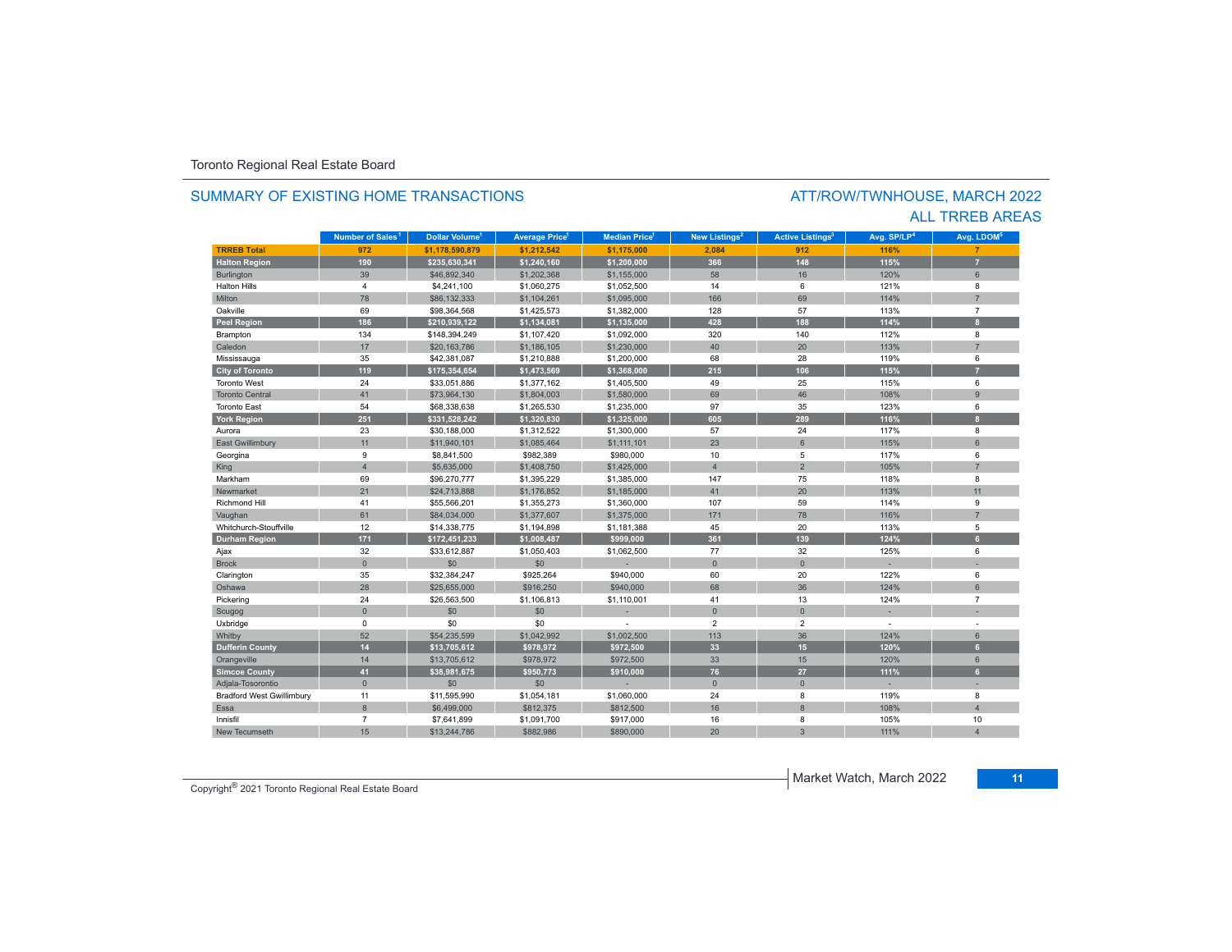#### SUMMARY OF EXISTING HOME TRANSACTIONS

#### ATT/ROW/TWNHOUSE, MARCH 2022 ALL TRREB AREAS

|                                  | Number of Sales <sup>1</sup> | Dollar Volume <sup>1</sup> | <b>Average Price</b> | <b>Median Price</b> | New Listings <sup>2</sup> | <b>Active Listings<sup>3</sup></b> | Avg. SP/LP <sup>4</sup> | Avg. LDOM <sup>5</sup> |
|----------------------------------|------------------------------|----------------------------|----------------------|---------------------|---------------------------|------------------------------------|-------------------------|------------------------|
| <b>TRREB Total</b>               | 972                          | \$1,178,590,879            | \$1,212,542          | \$1,175,000         | 2,084                     | 912                                | 116%                    |                        |
| <b>Halton Region</b>             | 190                          | \$235.630.341              | \$1,240,160          | \$1,200,000         | 366                       | 148                                | 115%                    | $\overline{7}$         |
| <b>Burlington</b>                | 39                           | \$46,892,340               | \$1,202,368          | \$1,155,000         | 58                        | 16                                 | 120%                    | 6                      |
| <b>Halton Hills</b>              | $\overline{4}$               | \$4,241,100                | \$1,060,275          | \$1,052,500         | 14                        | 6                                  | 121%                    | 8                      |
| Milton                           | 78                           | \$86,132,333               | \$1,104,261          | \$1,095,000         | 166                       | 69                                 | 114%                    |                        |
| Oakville                         | 69                           | \$98,364,568               | \$1,425,573          | \$1,382,000         | 128                       | 57                                 | 113%                    | $\overline{7}$         |
| <b>Peel Region</b>               | 186                          | \$210,939,122              | \$1,134,081          | \$1,135,000         | 428                       | 188                                | 114%                    | $\mathbf{R}$           |
| Brampton                         | 134                          | \$148,394,249              | \$1,107,420          | \$1,092,000         | 320                       | 140                                | 112%                    | 8                      |
| Caledon                          | 17                           | \$20,163,786               | \$1,186,105          | \$1,230,000         | 40                        | 20                                 | 113%                    | $\overline{7}$         |
| Mississauga                      | 35                           | \$42,381,087               | \$1,210,888          | \$1,200,000         | 68                        | 28                                 | 119%                    | 6                      |
| <b>City of Toronto</b>           | 119                          | \$175,354,654              | \$1,473,569          | \$1,368,000         | 215                       | 106                                | 115%                    | 7                      |
| <b>Toronto West</b>              | 24                           | \$33,051,886               | \$1,377,162          | \$1,405,500         | 49                        | 25                                 | 115%                    | 6                      |
| <b>Toronto Central</b>           | 41                           | \$73.964.130               | \$1,804,003          | \$1,580,000         | 69                        | 46                                 | 108%                    | $\overline{9}$         |
| <b>Toronto East</b>              | 54                           | \$68,338,638               | \$1,265,530          | \$1,235,000         | 97                        | 35                                 | 123%                    | 6                      |
| <b>York Region</b>               | 251                          | \$331,528,242              | \$1,320,830          | \$1,325,000         | 605                       | 289                                | 116%                    | $\mathbf{R}$           |
| Aurora                           | 23                           | \$30,188,000               | \$1,312,522          | \$1,300,000         | 57                        | 24                                 | 117%                    | 8                      |
| <b>East Gwillimbury</b>          | 11                           | \$11,940,101               | \$1,085,464          | \$1,111,101         | 23                        | 6                                  | 115%                    | 6                      |
| Georgina                         | 9                            | \$8,841,500                | \$982,389            | \$980,000           | 10                        | 5                                  | 117%                    | 6                      |
| King                             | $\overline{4}$               | \$5,635,000                | \$1,408,750          | \$1,425,000         | $\overline{4}$            | $\overline{2}$                     | 105%                    | $\overline{7}$         |
| Markham                          | 69                           | \$96,270,777               | \$1,395,229          | \$1,385,000         | 147                       | 75                                 | 118%                    | 8                      |
| Newmarket                        | 21                           | \$24,713,888               | \$1,176,852          | \$1,185,000         | 41                        | 20                                 | 113%                    | 11                     |
| <b>Richmond Hill</b>             | 41                           | \$55,566,201               | \$1,355,273          | \$1,360,000         | 107                       | 59                                 | 114%                    | 9                      |
| Vaughan                          | 61                           | \$84,034,000               | \$1,377,607          | \$1,375,000         | 171                       | 78                                 | 116%                    | 7                      |
| Whitchurch-Stouffville           | 12                           | \$14,338,775               | \$1,194,898          | \$1,181,388         | 45                        | 20                                 | 113%                    | 5                      |
| <b>Durham Region</b>             | 171                          | \$172,451,233              | \$1,008,487          | \$999,000           | 361                       | 139                                | 124%                    | 6 <sup>1</sup>         |
| Ajax                             | 32                           | \$33,612,887               | \$1,050,403          | \$1,062,500         | 77                        | 32                                 | 125%                    | 6                      |
| <b>Brock</b>                     | $\mathbf{0}$                 | \$0                        | \$0                  |                     | $\overline{0}$            | $\overline{0}$                     |                         |                        |
| Clarington                       | 35                           | \$32,384,247               | \$925,264            | \$940,000           | 60                        | 20                                 | 122%                    | 6                      |
| Oshawa                           | 28                           | \$25,655,000               | \$916,250            | \$940,000           | 68                        | 36                                 | 124%                    | 6                      |
| Pickering                        | 24                           | \$26,563,500               | \$1,106,813          | \$1,110,001         | 41                        | 13                                 | 124%                    | $\overline{7}$         |
| Scugog                           | $\mathbf{0}$                 | \$0                        | \$0                  |                     | $\overline{0}$            | $\overline{0}$                     |                         |                        |
| Uxbridge                         | 0                            | \$0                        | \$0                  |                     | $\overline{2}$            | $\overline{2}$                     |                         |                        |
| Whitby                           | 52                           | \$54,235,599               | \$1,042,992          | \$1,002,500         | 113                       | 36                                 | 124%                    | $6\,$                  |
| <b>Dufferin County</b>           | 14                           | \$13,705,612               | \$978,972            | \$972,500           | 33                        | 15                                 | 120%                    | 6                      |
| Orangeville                      | 14                           | \$13,705,612               | \$978,972            | \$972,500           | 33                        | 15                                 | 120%                    | 6                      |
| <b>Simcoe County</b>             | 41                           | \$38,981,675               | \$950,773            | \$910,000           | 76                        | 27                                 | 111%                    | 6 <sup>1</sup>         |
| Adjala-Tosorontio                | $\mathbf{0}$                 | \$0                        | \$0                  |                     | $\mathbf{0}$              | $\mathbf{0}$                       |                         |                        |
| <b>Bradford West Gwillimbury</b> | 11                           | \$11,595,990               | \$1,054,181          | \$1,060,000         | 24                        | 8                                  | 119%                    | 8                      |
| Essa                             | 8                            | \$6,499,000                | \$812,375            | \$812,500           | 16                        | 8                                  | 108%                    | $\overline{A}$         |
| Innisfil                         | $\overline{7}$               | \$7.641.899                | \$1.091.700          | \$917,000           | 16                        | 8                                  | 105%                    | 10                     |
| New Tecumseth                    | 15                           | \$13,244,786               | \$882,986            | \$890,000           | 20                        | $\overline{3}$                     | 111%                    |                        |

Copyright® 2021 Toronto Regional Real Estate Board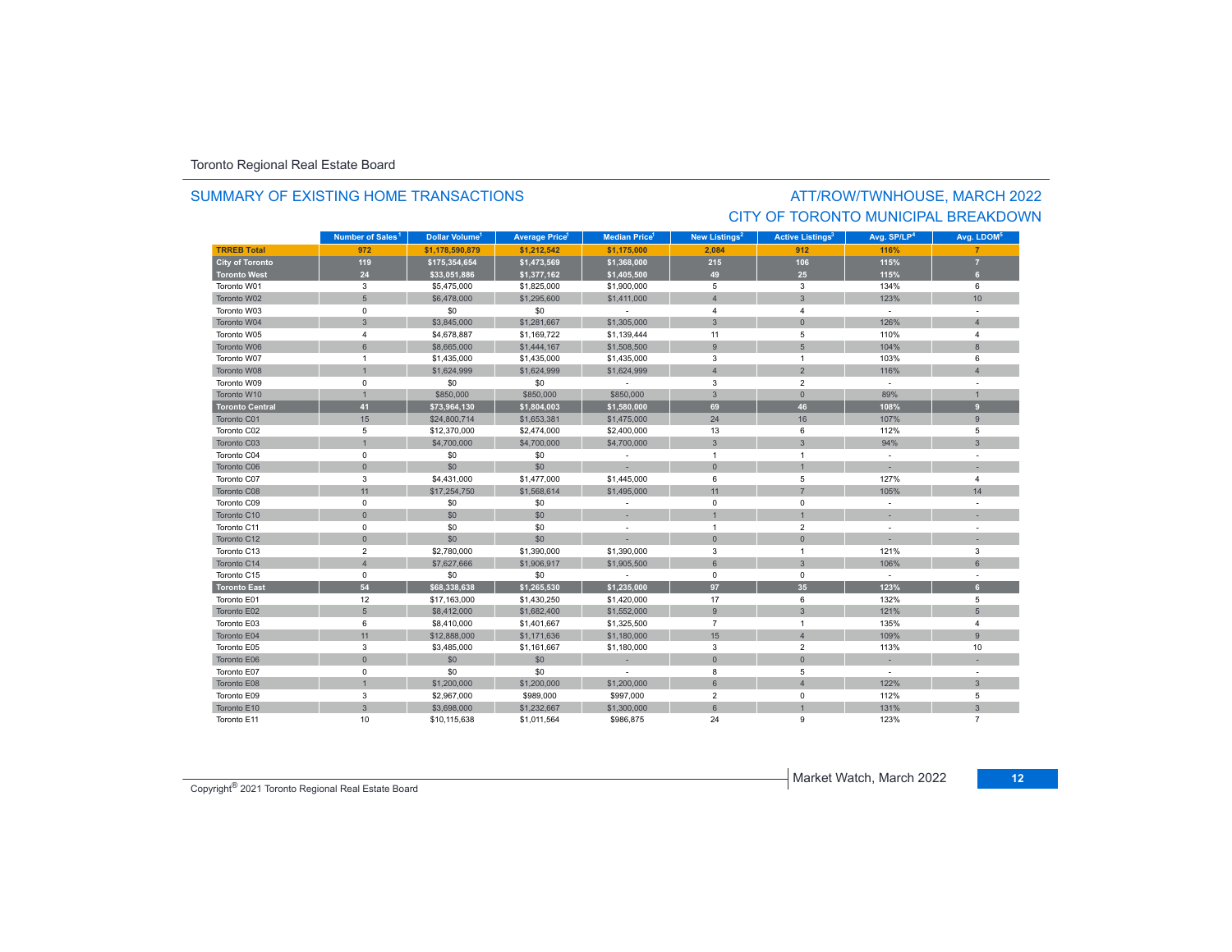#### SUMMARY OF EXISTING HOME TRANSACTIONS

### ATT/ROW/TWNHOUSE, MARCH 2022 CITY OF TORONTO MUNICIPAL BREAKDOWN

|                        | Number of Sales <sup>1</sup> | Dollar Volume <sup>1</sup> | <b>Average Price<sup>1</sup></b> | <b>Median Price</b> <sup>1</sup> | New Listings <sup>2</sup> | <b>Active Listings<sup>3</sup></b> | Avg. SP/LP <sup>4</sup> | Avg. LDOM <sup>5</sup> |
|------------------------|------------------------------|----------------------------|----------------------------------|----------------------------------|---------------------------|------------------------------------|-------------------------|------------------------|
| <b>TRREB Total</b>     | 972                          | \$1.178.590.879            | \$1.212.542                      | \$1.175.000                      | 2.084                     | 912                                | 116%                    |                        |
| <b>City of Toronto</b> | 119                          | \$175,354,654              | \$1,473,569                      | \$1,368,000                      | 215                       | 106                                | 115%                    | $\overline{7}$         |
| <b>Toronto West</b>    | 24                           | \$33,051,886               | \$1,377,162                      | \$1,405,500                      | 49                        | 25                                 | 115%                    | 6 <sup>1</sup>         |
| Toronto W01            | 3                            | \$5,475,000                | \$1,825,000                      | \$1,900,000                      | 5                         | 3                                  | 134%                    | 6                      |
| Toronto W02            | 5                            | \$6,478,000                | \$1,295,600                      | \$1,411,000                      | $\overline{4}$            | 3                                  | 123%                    | 10                     |
| Toronto W03            | 0                            | \$0                        | \$0                              | $\sim$                           | $\overline{4}$            | 4                                  | $\sim$                  |                        |
| Toronto W04            | $\mathbf{3}$                 | \$3,845,000                | \$1,281,667                      | \$1,305,000                      | 3                         | $\Omega$                           | 126%                    | $\overline{4}$         |
| Toronto W05            | $\overline{4}$               | \$4,678,887                | \$1,169,722                      | \$1,139,444                      | 11                        | 5                                  | 110%                    | $\overline{4}$         |
| Toronto W06            | 6                            | \$8,665,000                | \$1,444,167                      | \$1,508,500                      | 9                         | $5\phantom{.0}$                    | 104%                    | 8                      |
| Toronto W07            | $\mathbf{1}$                 | \$1,435,000                | \$1,435,000                      | \$1,435,000                      | 3                         | $\mathbf{1}$                       | 103%                    | 6                      |
| Toronto W08            | $\overline{1}$               | \$1,624,999                | \$1,624,999                      | \$1,624,999                      | $\overline{4}$            | $\overline{2}$                     | 116%                    | $\overline{4}$         |
| Toronto W09            | $\mathbf 0$                  | \$0                        | \$0                              | $\sim$                           | 3                         | $\overline{2}$                     | $\sim$                  |                        |
| Toronto W10            | $\overline{1}$               | \$850,000                  | \$850,000                        | \$850,000                        | $\mathbf{3}$              | $\mathbf{0}$                       | 89%                     |                        |
| <b>Toronto Central</b> | 41                           | \$73,964,130               | \$1,804,003                      | \$1,580,000                      | 69                        | 46                                 | 108%                    | 9                      |
| Toronto C01            | 15                           | \$24,800,714               | \$1,653,381                      | \$1,475,000                      | 24                        | 16                                 | 107%                    | 9                      |
| Toronto C02            | 5                            | \$12,370,000               | \$2,474,000                      | \$2,400,000                      | 13                        | 6                                  | 112%                    | 5                      |
| Toronto C03            | $\mathbf{1}$                 | \$4,700,000                | \$4,700,000                      | \$4,700,000                      | $\mathbf{3}$              | 3                                  | 94%                     | $\overline{3}$         |
| Toronto C04            | $\mathsf 0$                  | \$0                        | \$0                              | $\sim$                           | $\overline{1}$            | $\mathbf{1}$                       | $\sim$                  |                        |
| Toronto C06            | $\mathbf{0}$                 | \$0                        | \$0                              |                                  | $\mathbf{0}$              |                                    |                         |                        |
| Toronto C07            | 3                            | \$4,431,000                | \$1,477,000                      | \$1,445,000                      | 6                         | 5                                  | 127%                    | 4                      |
| Toronto C08            | 11                           | \$17,254,750               | \$1,568,614                      | \$1,495,000                      | 11                        | $\overline{7}$                     | 105%                    | 14                     |
| Toronto C09            | $\mathsf 0$                  | \$0                        | \$0                              | $\sim$                           | $\mathbf 0$               | $\mathbf 0$                        | ÷                       |                        |
| Toronto C10            | $\mathsf{O}\xspace$          | \$0                        | \$0                              | $\overline{\phantom{a}}$         |                           |                                    |                         |                        |
| Toronto C11            | $\mathsf 0$                  | \$0                        | \$0                              | $\sim$                           | $\overline{1}$            | $\overline{2}$                     | ÷                       |                        |
| Toronto C12            | $\mathsf{O}\xspace$          | \$0                        | \$0                              |                                  | $\mathbf{0}$              | $\overline{0}$                     |                         |                        |
| Toronto C13            | $\overline{2}$               | \$2,780,000                | \$1,390,000                      | \$1,390,000                      | 3                         | 1                                  | 121%                    | 3                      |
| Toronto C14            | $\overline{4}$               | \$7,627,666                | \$1,906,917                      | \$1,905,500                      | 6                         | 3                                  | 106%                    | $6\phantom{1}$         |
| Toronto C15            | 0                            | \$0                        | \$0                              | $\sim$                           | $\mathbf 0$               | $\mathbf 0$                        | $\sim$                  |                        |
| <b>Toronto East</b>    | 54                           | \$68,338,638               | \$1,265,530                      | \$1,235,000                      | 97                        | 35                                 | 123%                    | 6 <sup>1</sup>         |
| Toronto E01            | 12                           | \$17,163,000               | \$1,430,250                      | \$1,420,000                      | 17                        | 6                                  | 132%                    | 5                      |
| Toronto E02            | $5\phantom{.0}$              | \$8,412,000                | \$1,682,400                      | \$1,552,000                      | 9                         | $\mathbf{3}$                       | 121%                    | 5                      |
| Toronto E03            | 6                            | \$8,410,000                | \$1,401,667                      | \$1,325,500                      | $\overline{7}$            | $\mathbf{1}$                       | 135%                    | $\overline{4}$         |
| Toronto E04            | 11                           | \$12,888,000               | \$1,171,636                      | \$1,180,000                      | 15                        | $\overline{4}$                     | 109%                    | 9                      |
| Toronto E05            | 3                            | \$3,485,000                | \$1,161,667                      | \$1,180,000                      | 3                         | 2                                  | 113%                    | 10                     |
| Toronto E06            | $\mathbf{0}$                 | \$0                        | \$0                              | u.                               | $\mathbf{0}$              | $\overline{0}$                     |                         |                        |
| Toronto E07            | $\mathbf 0$                  | \$0                        | \$0                              |                                  | 8                         | 5                                  | $\sim$                  |                        |
| Toronto E08            | $\overline{1}$               | \$1,200,000                | \$1,200,000                      | \$1,200,000                      | $6\phantom{1}$            | $\overline{4}$                     | 122%                    | $\overline{3}$         |
| Toronto E09            | 3                            | \$2,967,000                | \$989,000                        | \$997,000                        | $\overline{2}$            | 0                                  | 112%                    | 5                      |
| Toronto E10            | $\mathbf{3}$                 | \$3,698,000                | \$1,232,667                      | \$1,300,000                      | 6                         |                                    | 131%                    | $\overline{3}$         |
| Toronto E11            | 10                           | \$10,115,638               | \$1,011,564                      | \$986,875                        | 24                        | 9                                  | 123%                    | $\overline{7}$         |

Copyright® 2021 Toronto Regional Real Estate Board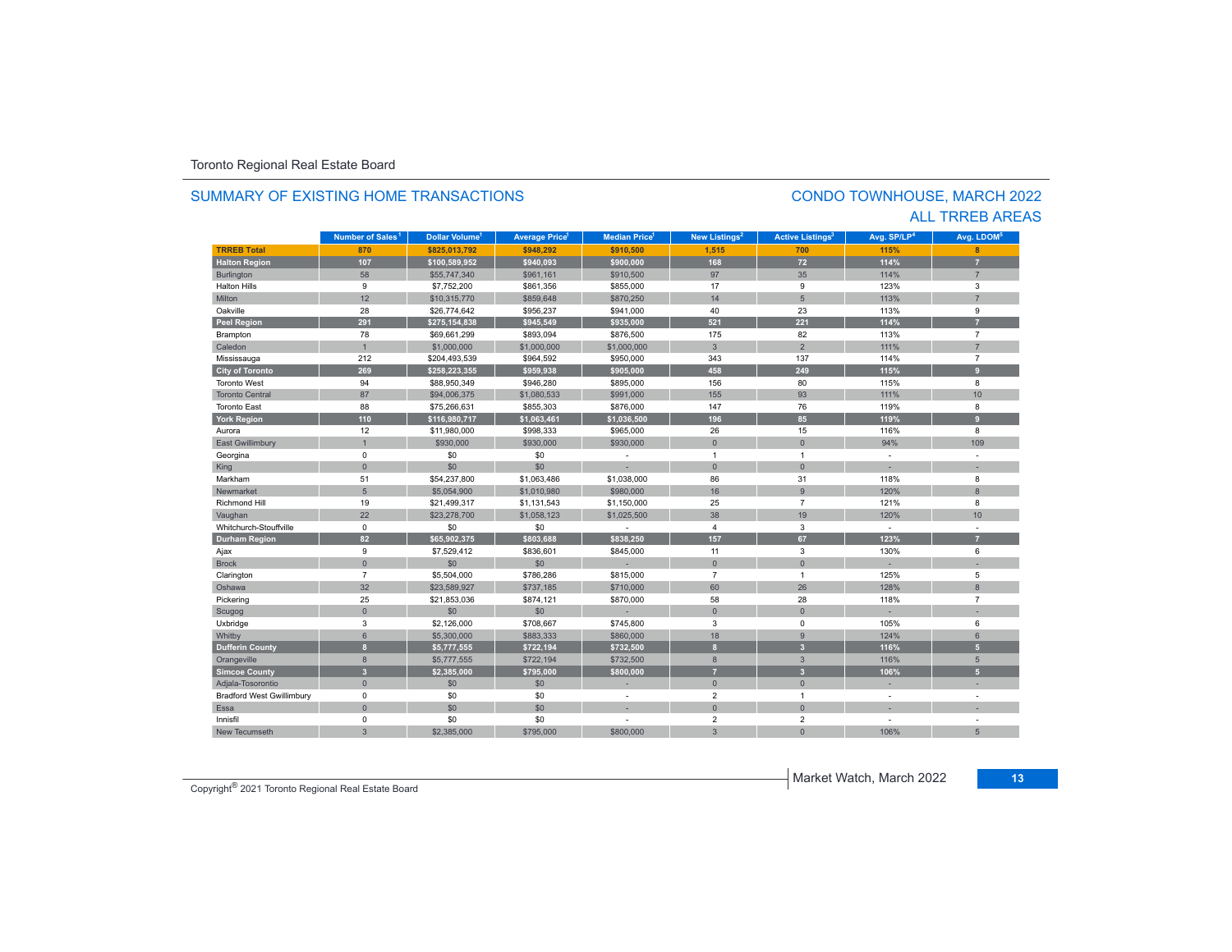#### **TRREB Total 870 \$825,013,792 \$948,292 \$910,500 1,515 700 115% 8 Halton Region 107 \$100,589,952 \$940,093 \$900,000 168 72 114% 7** Burlington 58 58 \$55,747,340 \$961,161 \$910,500 \$97 \$97 35 | 114% | 7 Halton Hillss 9 \$7,752,200 \$861,356 \$855,000 17 9 123% 3 Miltonn 12 \$10,315,770 \$859,648 \$870,250 14 5 113% 113% 7 Oakvillee 28 \$26,774,642 \$956,237 \$941,000 40 23 113% 9 **Peel Region 291 \$275,154,838 \$945,549 \$935,000 521 221 114% 7** Brampton 78 \$69,661,299 \$893,094 \$876,500 175 82 113% 7 Caledonn 1 \$1,000,000 \$1,000,000 \$1,000,000 3 2 111% 7 Mississauga 212 \$204,493,539 \$964,592 \$950,000 343 137 114% 7 **City of Toronto 269 \$258,223,355 \$959,938 \$905,000 458 249 115% 9** Toronto West 94 \$88,950,349 \$946,280 \$895,000 156 80 115% 8 Toronto Central 87 \$94,006,375 \$1,080,533 \$991,000 155 93 111%111% 10 Toronto East 88 \$75,266,631 \$855,303 \$876,000 147 76 119% 8 **York Region 110 \$116,980,717 \$1,063,461 \$1,036,500 196 85 119% 9** Aurora12 \$11,980,000 \$998,333 \$965,000 \$965,000 \$965,000 46 115 116% 116% 8 East Gwillimbury | 1 \$930,000 \$930,000 \$930,000 0 109 Georgina 0 \$0 \$0 - 1 1 - - King the second term of the second term of the second term of the second term of the second term of the second Markhamm 51 \$54,237,800 \$1,063,486 \$1,038,000 86 31 118% 8 Newmarket 5 \$5,054,900 \$1,010,980 \$980,000 16 9 120% 8 Richmond Hill 19 \$21,499,317 \$1,131,543 \$1,150,000 25 7 121% 8 Vaughan 20 10 22 \$23,278,700 \$1,058,123 \$1,025,500 \$38 19 19 120% 120% 10 Whitchurch-Stouffville 0 \$0 \$0 - 4 3 - - **Durham Region 82 \$65,902,375 \$803,688 \$838,250 157 67 123% 7** Ajax 9 \$7,529,412 \$836,601 \$845,000 11 3 130% 6 Brock 0 \$0 \$0 - 0 0 - - Clarington 7 \$5,504,000 \$786,286 \$815,000 7 1 125% 5 Oshawaa 32 \$23,589,927 \$737,185 \$710,000 60 26 128% 8 Pickering 25 \$21,853,036 \$874,121 \$870,000 58 28 118% 7 Scugog 0 \$0 \$0 - 0 0 - - Uxbridge 3 \$2,126,000 \$708,667 \$745,800 3 0 105% 6 Whitby 6 \$5,300,000 \$883,333 \$860,000 18 9 124% 6 **Dufferin County 8 \$5,777,555 \$722,194 \$732,500 8 3 116% 5** Orangeville 8 \$5,777,555 \$722,194 \$732,500 8 3 116% 5 **Simcoe County 3 \$2,385,000 \$795,000 \$800,000 7 3 106% 5** Adjala-Tosorontio 0 \$0 \$0 - 0 0 - - Bradford West Gwillimbury 0 \$0 \$0 - 2 1 - - Essaa dia 1980 - Aniso ao amin'ny faritr'i Nouvelle-Aquitaine, ao amin'ny faritr'i Nouvelle-Aquitaine, ao amin'ny Innisfil 0 \$0 \$0 - 2 2 - - New Tecumsethh | 3 \$2,385,000 \$795,000 | \$800,000 | 3 0 106% 5 **Municipality Number of Sales Dollar Volume Average Price Median Price New Listings Active Listings Avg. SP/LP Avg. LDOM Number of Sales<sup>1</sup> 1** Dollar Volume<sup>1</sup> | Average Price<sup>1</sup> | Median Price<sup>1</sup> | New Listings<sup>2</sup> | Active Listings<sup>3</sup> | Avg. SP/LP<sup>4</sup> | Avg. LDOM<sup>s</sup>

#### SUMMARY OF EXISTING HOME TRANSACTIONS

#### CONDO TOWNHOUSE, MARCH 2022 ALL TRREB AREAS

Copyright® 2021 Toronto Regional Real Estate Board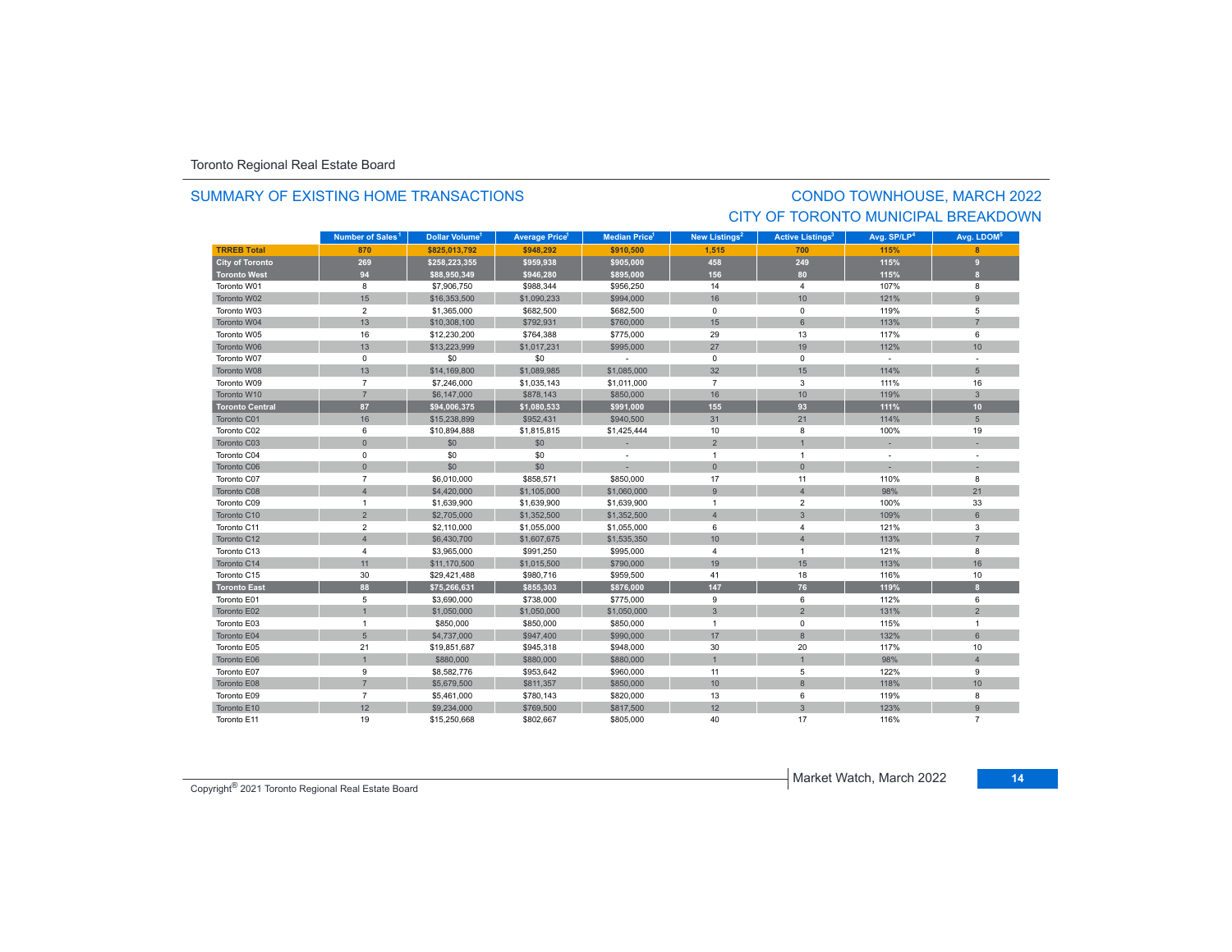#### SUMMARY OF EXISTING HOME TRANSACTIONS

### CONDO TOWNHOUSE, MARCH 2022 CITY OF TORONTO MUNICIPAL BREAKDOWN

|                        | Number of Sales <sup>1</sup> | Dollar Volume <sup>1</sup> | <b>Average Price</b> | Median Price <sup>1</sup> | New Listings <sup>2</sup> | <b>Active Listings<sup>3</sup></b> | Avg. SP/LP <sup>4</sup> | Avg. LDOM <sup>5</sup> |
|------------------------|------------------------------|----------------------------|----------------------|---------------------------|---------------------------|------------------------------------|-------------------------|------------------------|
| <b>TRREB Total</b>     | 870                          | \$825,013,792              | \$948.292            | \$910,500                 | 1,515                     | 700                                | 115%                    |                        |
| <b>City of Toronto</b> | 269                          | \$258,223,355              | \$959,938            | \$905,000                 | 458                       | 249                                | 115%                    | 9                      |
| <b>Toronto West</b>    | 94                           | \$88,950,349               | \$946,280            | \$895,000                 | 156                       | 80                                 | 115%                    | $\mathbf{a}$           |
| Toronto W01            | 8                            | \$7,906,750                | \$988,344            | \$956,250                 | 14                        | $\overline{4}$                     | 107%                    | 8                      |
| Toronto W02            | 15                           | \$16,353,500               | \$1,090,233          | \$994,000                 | 16                        | 10                                 | 121%                    | 9                      |
| Toronto W03            | $\overline{2}$               | \$1,365,000                | \$682,500            | \$682,500                 | 0                         | $\mathbf 0$                        | 119%                    | 5                      |
| Toronto W04            | 13                           | \$10,308,100               | \$792,931            | \$760,000                 | 15                        | 6                                  | 113%                    |                        |
| Toronto W05            | 16                           | \$12,230,200               | \$764,388            | \$775,000                 | 29                        | 13                                 | 117%                    | 6                      |
| Toronto W06            | 13                           | \$13,223,999               | \$1,017,231          | \$995,000                 | 27                        | 19                                 | 112%                    | 10                     |
| Toronto W07            | $\mathbf 0$                  | \$0                        | \$0                  | $\sim$                    | $\mathbf 0$               | $\Omega$                           | $\sim$                  | ÷,                     |
| Toronto W08            | 13                           | \$14,169,800               | \$1,089,985          | \$1,085,000               | 32                        | 15                                 | 114%                    | 5                      |
| Toronto W09            | $\overline{7}$               | \$7,246,000                | \$1,035,143          | \$1,011,000               | $\overline{7}$            | 3                                  | 111%                    | 16                     |
| Toronto W10            | $\overline{7}$               | \$6,147,000                | \$878,143            | \$850,000                 | 16                        | 10                                 | 119%                    | $\mathbf{3}$           |
| <b>Toronto Central</b> | 87                           | \$94,006,375               | \$1,080,533          | \$991,000                 | 155                       | 93                                 | 111%                    | 10 <sup>10</sup>       |
| Toronto C01            | 16                           | \$15,238,899               | \$952,431            | \$940,500                 | 31                        | 21                                 | 114%                    | 5                      |
| Toronto C02            | 6                            | \$10,894,888               | \$1,815,815          | \$1,425,444               | 10                        | 8                                  | 100%                    | 19                     |
| Toronto C03            | $\mathbf{0}$                 | \$0                        | \$0                  |                           | $\overline{2}$            |                                    |                         |                        |
| Toronto C04            | $\mathsf 0$                  | \$0                        | \$0                  | $\sim$                    | $\overline{1}$            | $\overline{1}$                     | $\sim$                  |                        |
| Toronto C06            | $\mathbf{0}$                 | \$0                        | \$0                  |                           | $\mathbf{0}$              | $\mathbf{0}$                       |                         |                        |
| Toronto C07            | $\overline{7}$               | \$6,010,000                | \$858,571            | \$850,000                 | 17                        | 11                                 | 110%                    | 8                      |
| Toronto C08            | $\overline{4}$               | \$4,420,000                | \$1,105,000          | \$1,060,000               | $\overline{9}$            | $\overline{4}$                     | 98%                     | 21                     |
| Toronto C09            | $\mathbf{1}$                 | \$1,639,900                | \$1,639,900          | \$1,639,900               | $\overline{1}$            | $\overline{2}$                     | 100%                    | 33                     |
| Toronto C10            | $\overline{2}$               | \$2,705,000                | \$1,352,500          | \$1,352,500               | $\overline{4}$            | $\mathbf{3}$                       | 109%                    | 6                      |
| Toronto C11            | $\overline{2}$               | \$2,110,000                | \$1,055,000          | \$1,055,000               | 6                         | $\overline{4}$                     | 121%                    | 3                      |
| Toronto C12            | $\overline{4}$               | \$6,430,700                | \$1,607,675          | \$1,535,350               | 10                        | $\overline{4}$                     | 113%                    | $\overline{7}$         |
| Toronto C13            | $\overline{4}$               | \$3,965,000                | \$991,250            | \$995,000                 | $\overline{4}$            | $\overline{1}$                     | 121%                    | 8                      |
| Toronto C14            | 11                           | \$11,170,500               | \$1,015,500          | \$790,000                 | 19                        | 15                                 | 113%                    | 16                     |
| Toronto C15            | 30                           | \$29,421,488               | \$980,716            | \$959,500                 | 41                        | 18                                 | 116%                    | 10                     |
| <b>Toronto East</b>    | 88                           | \$75,266,631               | \$855,303            | \$876,000                 | 147                       | 76                                 | 119%                    | $\mathbf{a}$           |
| Toronto E01            | 5                            | \$3,690,000                | \$738,000            | \$775,000                 | 9                         | 6                                  | 112%                    | 6                      |
| Toronto E02            | $\overline{1}$               | \$1,050,000                | \$1,050,000          | \$1,050,000               | $\mathbf{3}$              | $\overline{2}$                     | 131%                    | $\overline{2}$         |
| Toronto E03            | $\mathbf{1}$                 | \$850,000                  | \$850,000            | \$850,000                 | $\overline{1}$            | $\mathbf 0$                        | 115%                    | $\mathbf{1}$           |
| Toronto E04            | 5                            | \$4,737,000                | \$947,400            | \$990,000                 | 17                        | 8                                  | 132%                    | $6 \overline{6}$       |
| Toronto E05            | 21                           | \$19,851,687               | \$945,318            | \$948,000                 | 30                        | 20                                 | 117%                    | 10                     |
| Toronto E06            | $\overline{1}$               | \$880,000                  | \$880,000            | \$880,000                 |                           |                                    | 98%                     | $\overline{4}$         |
| Toronto E07            | 9                            | \$8,582,776                | \$953,642            | \$960,000                 | 11                        | 5                                  | 122%                    | 9                      |
| Toronto E08            | $\overline{7}$               | \$5,679,500                | \$811,357            | \$850,000                 | 10                        | $\bf 8$                            | 118%                    | 10                     |
| Toronto E09            | $\overline{7}$               | \$5,461,000                | \$780,143            | \$820,000                 | 13                        | 6                                  | 119%                    | 8                      |
| Toronto E10            | 12                           | \$9,234,000                | \$769,500            | \$817,500                 | 12                        | 3                                  | 123%                    | 9                      |
| Toronto E11            | 19                           | \$15,250,668               | \$802,667            | \$805,000                 | 40                        | 17                                 | 116%                    | $\overline{7}$         |

Copyright® 2021 Toronto Regional Real Estate Board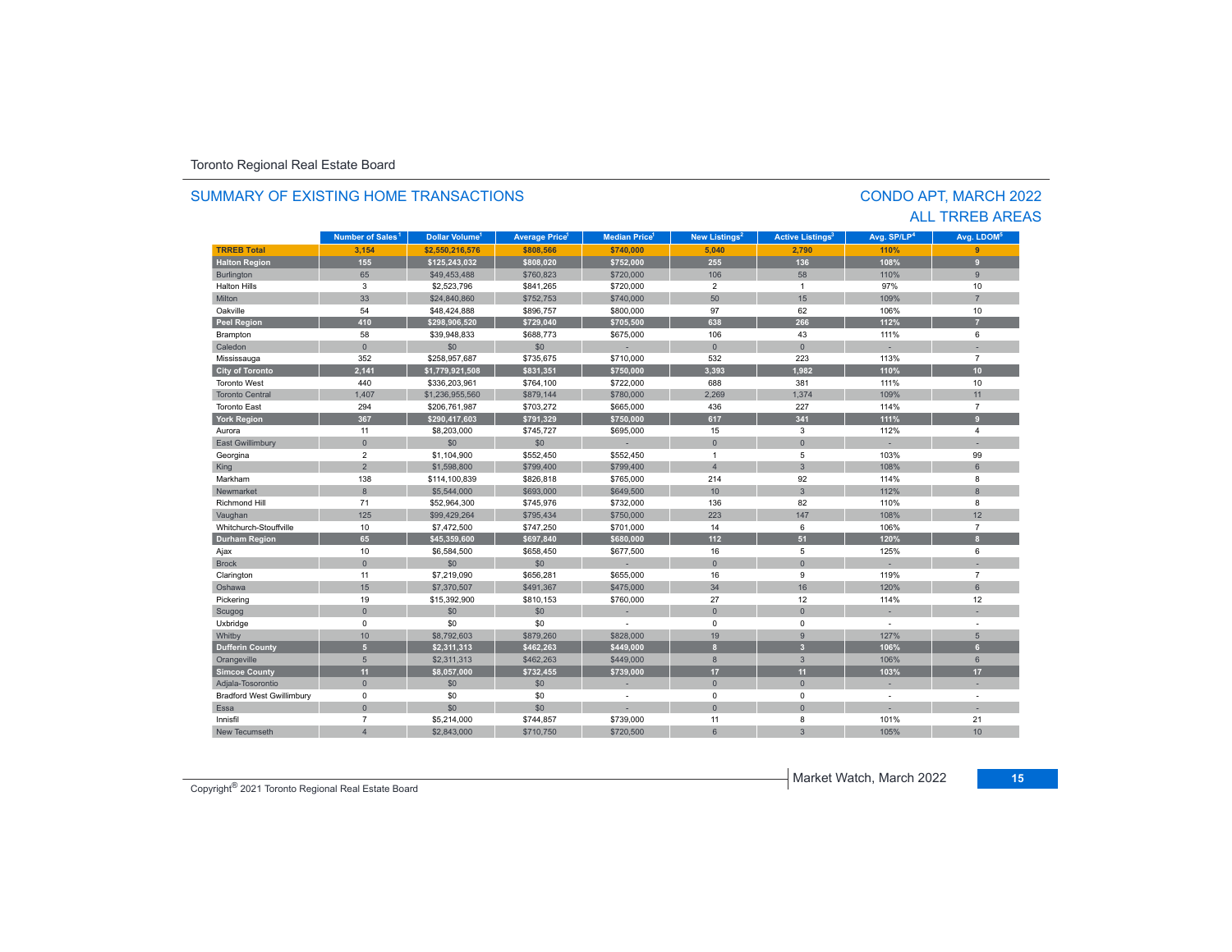| SUMMARY OF FXISTING HOMF TRANSACTIONS |                              |                                  |                      |                     |                           |                                    | <b>CONDO APT, MARCH 2022</b> | <b>ALL TRREB AREAS</b> |
|---------------------------------------|------------------------------|----------------------------------|----------------------|---------------------|---------------------------|------------------------------------|------------------------------|------------------------|
|                                       | Number of Sales <sup>1</sup> | <b>Dollar Volume<sup>1</sup></b> | <b>Average Price</b> | <b>Median Price</b> | New Listings <sup>2</sup> | <b>Active Listings<sup>3</sup></b> | Avg. SP/LP <sup>4</sup>      | Avg. LDOM <sup>5</sup> |
| <b>TRREB Total</b>                    | 3,154                        | \$2,550,216,576                  | \$808,566            | \$740,000           | 5,040                     | 2,790                              | 110%                         | 9                      |
| <b>Halton Region</b>                  | 155                          | \$125,243,032                    | \$808.020            | \$752,000           | 255                       | 136                                | 108%                         | $\overline{9}$         |
| Burlington                            | 65                           | \$49,453,488                     | \$760,823            | \$720,000           | 106                       | 58                                 | 110%                         | 9                      |
| <b>Halton Hills</b>                   | 3                            | \$2,523,796                      | \$841,265            | \$720,000           | $\overline{2}$            | $\overline{1}$                     | 97%                          | 10                     |
| Milton                                | 33                           | \$24,840,860                     | \$752,753            | \$740,000           | 50                        | 15                                 | 109%                         | $\overline{7}$         |
| Oakville                              | 54                           | \$48,424,888                     | \$896,757            | \$800,000           | 97                        | 62                                 | 106%                         | 10                     |
| <b>Peel Region</b>                    | 410                          | \$298.906.520                    | \$729.040            | \$705.500           | 638                       | 266                                | 112%                         | $\overline{7}$         |
| Brampton                              | 58                           | \$39.948.833                     | \$688,773            | \$675,000           | 106                       | 43                                 | 111%                         | 6                      |
| Caledon                               | $\mathbf{0}$                 | \$0                              | \$0                  |                     | $\Omega$                  | $\mathbf{0}$                       |                              | ×.                     |
| Mississauga                           | 352                          | \$258,957,687                    | \$735,675            | \$710,000           | 532                       | 223                                | 113%                         | $\overline{7}$         |
| <b>City of Toronto</b>                | 2.141                        | \$1,779,921,508                  | \$831,351            | \$750,000           | 3.393                     | 1.982                              | 110%                         | 10 <sup>10</sup>       |
| <b>Toronto West</b>                   | 440                          | \$336,203,961                    | \$764,100            | \$722,000           | 688                       | 381                                | 111%                         | 10                     |
| <b>Toronto Central</b>                | 1.407                        | \$1,236,955,560                  | \$879,144            | \$780,000           | 2.269                     | 1.374                              | 109%                         | 11                     |
| <b>Toronto East</b>                   | 294                          | \$206,761,987                    | \$703,272            | \$665,000           | 436                       | 227                                | 114%                         | $\overline{7}$         |
| <b>York Region</b>                    | 367                          | \$290,417,603                    | \$791.329            | \$750.000           | 617                       | 341                                | 111%                         | 9                      |
| Aurora                                | 11                           | \$8,203,000                      | \$745,727            | \$695,000           | 15                        | 3                                  | 112%                         | $\overline{4}$         |
| East Gwillimbury                      | $\mathbf{0}$                 | \$0                              | \$0                  |                     | $\mathbf{0}$              | $\overline{0}$                     |                              | ÷.                     |
| Georgina                              | $\overline{2}$               | \$1,104,900                      | \$552,450            | \$552,450           | $\overline{1}$            | 5                                  | 103%                         | 99                     |
| King                                  | $\overline{2}$               | \$1,598,800                      | \$799,400            | \$799,400           | $\overline{4}$            | $\overline{3}$                     | 108%                         | 6                      |
| Markham                               | 138                          | \$114,100,839                    | \$826,818            | \$765,000           | 214                       | 92                                 | 114%                         | 8                      |
| Newmarket                             | 8                            | \$5,544,000                      | \$693,000            | \$649,500           | 10                        | $\overline{3}$                     | 112%                         | $\overline{8}$         |
| <b>Richmond Hill</b>                  | 71                           | \$52,964,300                     | \$745,976            | \$732,000           | 136                       | 82                                 | 110%                         | 8                      |
| Vaughan                               | 125                          | \$99,429,264                     | \$795.434            | \$750,000           | 223                       | 147                                | 108%                         | 12                     |
| Whitchurch-Stouffville                | 10                           | \$7,472,500                      | \$747,250            | \$701,000           | 14                        | 6                                  | 106%                         | $\overline{7}$         |
| <b>Durham Region</b>                  | 65                           | \$45,359,600                     | \$697,840            | \$680,000           | 112                       | 51                                 | 120%                         | $\mathbf{a}$           |
| Ajax                                  | 10                           | \$6,584,500                      | \$658,450            | \$677,500           | 16                        | 5                                  | 125%                         | 6                      |
| <b>Brock</b>                          | $\mathbf{0}$                 | \$0                              | \$0                  |                     | $\mathbf{0}$              | $\overline{0}$                     |                              |                        |
| Clarington                            | 11                           | \$7,219,090                      | \$656,281            | \$655,000           | 16                        | 9                                  | 119%                         | $\overline{7}$         |
| Oshawa                                | 15                           | \$7,370,507                      | \$491.367            | \$475,000           | 34                        | 16                                 | 120%                         | 6                      |
| Pickering                             | 19                           | \$15,392,900                     | \$810,153            | \$760,000           | 27                        | 12                                 | 114%                         | 12                     |
| Scugog                                | $\mathbf{0}$                 | \$0                              | \$0                  |                     | $\mathbf{0}$              | $\overline{0}$                     |                              |                        |
| Uxbridge                              | $\Omega$                     | \$0                              | \$0                  |                     | $\Omega$                  | $\Omega$                           | $\sim$                       | $\sim$                 |
| Whitby                                | 10                           | \$8,792,603                      | \$879,260            | \$828,000           | 19                        | 9                                  | 127%                         | 5                      |
| <b>Dufferin County</b>                | 5 <sup>5</sup>               | \$2.311.313                      | \$462.263            | \$449.000           | $\mathbf{a}$              | $\overline{3}$                     | 106%                         | 6 <sup>1</sup>         |
| Orangeville                           | 5                            | \$2,311,313                      | \$462,263            | \$449,000           | 8                         | $\overline{3}$                     | 106%                         | 6                      |
| <b>Simcoe County</b>                  | 11                           | \$8,057,000                      | \$732,455            | \$739,000           | 17                        | 11                                 | 103%                         | 17                     |
| Adjala-Tosorontio                     | $\Omega$                     | \$0                              | \$0                  |                     | $\mathbf{0}$              | $\Omega$                           | ٠                            | ÷.                     |
| <b>Bradford West Gwillimbury</b>      | 0                            | \$0                              | \$0                  |                     | 0                         | 0                                  | $\sim$                       | $\sim$                 |
| Essa                                  | $\mathbf{0}$                 | \$0                              | \$0                  |                     | $\overline{0}$            | $\Omega$                           |                              |                        |
| Innisfil                              | $\overline{7}$               | \$5,214,000                      | \$744,857            | \$739,000           | 11                        | 8                                  | 101%                         | 21                     |
| New Tecumseth                         | $\overline{4}$               | \$2.843.000                      | \$710,750            | \$720,500           | 6                         | $\overline{3}$                     | 105%                         | 10 <sup>1</sup>        |

#### SUMMARY OF EXISTING HOME TRANSACTIONS

Copyright® 2021 Toronto Regional Real Estate Board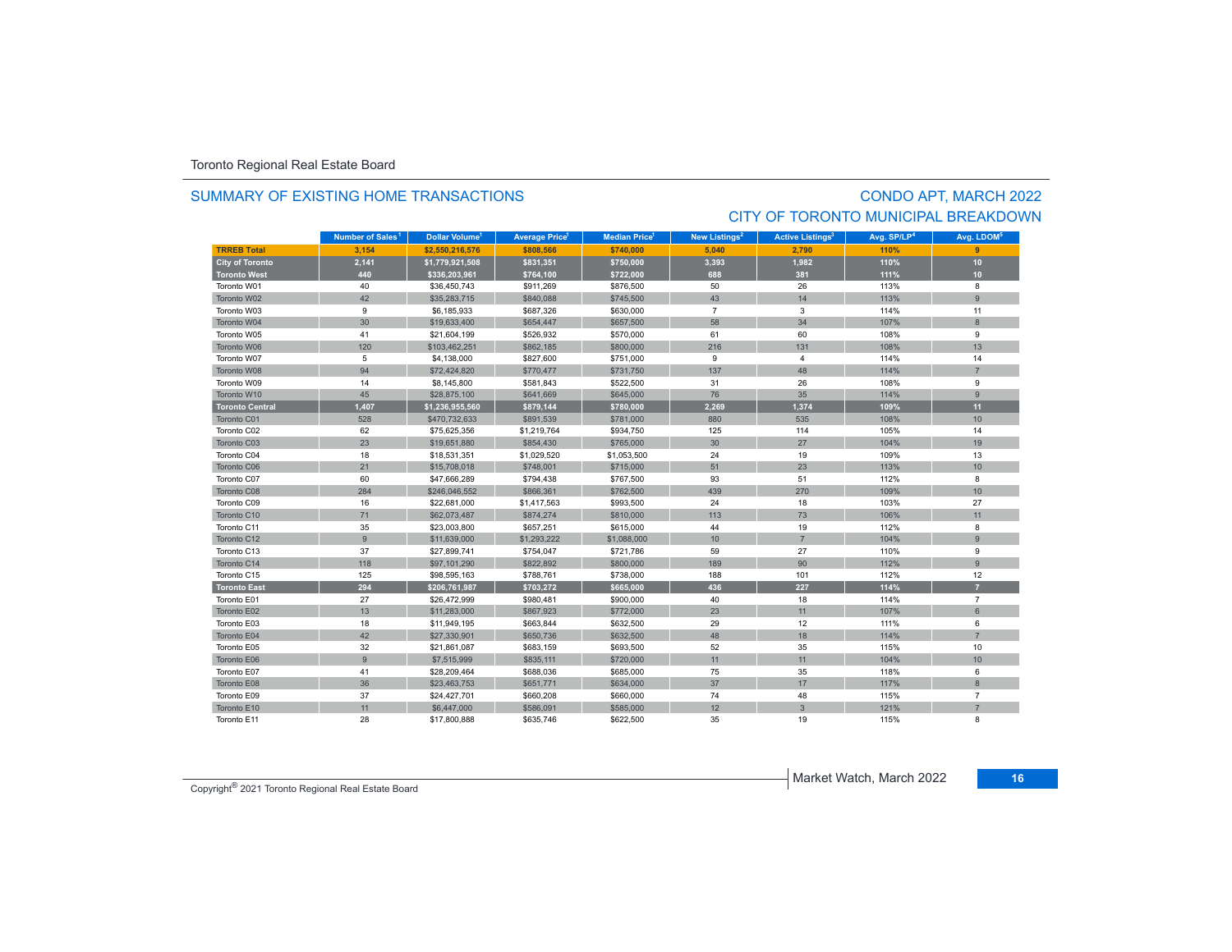#### SUMMARY OF EXISTING HOME TRANSACTIONS

# CONDO APT, MARCH 2022 CITY OF TORONTO MUNICIPAL BREAKDOWN

|                        | Number of Sales <sup>1</sup> | Dollar Volume <sup>1</sup> | New Listings <sup>2</sup><br><b>Average Price</b><br><b>Median Price</b> <sup>1</sup> |             | <b>Active Listings<sup>3</sup></b> | Avg. SP/LP <sup>4</sup> | Avg. LDOM <sup>5</sup> |                |
|------------------------|------------------------------|----------------------------|---------------------------------------------------------------------------------------|-------------|------------------------------------|-------------------------|------------------------|----------------|
| <b>TRREB Total</b>     | 3.154                        | \$2,550,216,576            | \$808,566                                                                             | \$740,000   | 5.040                              | 2.790                   | 110%                   | 9              |
| <b>City of Toronto</b> | 2,141                        | \$1,779,921,508            | \$831,351                                                                             | \$750,000   | 3,393                              | 1,982                   | 110%                   | 10             |
| <b>Toronto West</b>    | 440                          | \$336,203,961              | \$764,100                                                                             | \$722,000   | 688                                | 381                     | 111%                   | 10             |
| Toronto W01            | 40                           | \$36,450,743               | \$911,269                                                                             | \$876,500   | 50                                 | 26                      | 113%                   | 8              |
| Toronto W02            | 42                           | \$35,283,715               | \$840,088                                                                             | \$745,500   | 43                                 | 14                      | 113%                   | 9              |
| Toronto W03            | 9                            | \$6,185,933                | \$687,326                                                                             | \$630,000   | $\overline{7}$                     | 3                       | 114%                   | 11             |
| Toronto W04            | 30                           | \$19,633,400               | \$654,447                                                                             | \$657,500   | 58                                 | 34                      | 107%                   | 8              |
| Toronto W05            | 41                           | \$21,604,199               | \$526,932                                                                             | \$570,000   | 61                                 | 60                      | 108%                   | 9              |
| Toronto W06            | 120                          | \$103,462,251              | \$862,185                                                                             | \$800,000   | 216                                | 131                     | 108%                   | 13             |
| Toronto W07            | 5                            | \$4,138,000                | \$827,600                                                                             | \$751,000   | 9                                  | $\overline{4}$          | 114%                   | 14             |
| Toronto W08            | 94                           | \$72,424,820               | \$770,477                                                                             | \$731,750   | 137                                | 48                      | 114%                   | $\overline{7}$ |
| Toronto W09            | 14                           | \$8,145,800                | \$581,843                                                                             | \$522,500   | 31                                 | 26                      | 108%                   | 9              |
| Toronto W10            | 45                           | \$28,875,100               | \$641,669                                                                             | \$645,000   | 76                                 | 35                      | 114%                   | 9              |
| <b>Toronto Central</b> | 1,407                        | \$1,236,955,560            | \$879,144                                                                             | \$780,000   | 2.269                              | 1,374                   | 109%                   | 11             |
| Toronto C01            | 528                          | \$470,732,633              | \$891,539                                                                             | \$781,000   | 880                                | 535                     | 108%                   | 10             |
| Toronto C02            | 62                           | \$75,625,356               | \$1,219,764                                                                           | \$934,750   | 125                                | 114                     | 105%                   | 14             |
| Toronto C03            | 23                           | \$19,651,880               | \$854,430                                                                             | \$765,000   | 30                                 | 27                      | 104%                   | 19             |
| Toronto C04            | 18                           | \$18,531,351               | \$1,029,520                                                                           | \$1,053,500 | 24                                 | 19                      | 109%                   | 13             |
| Toronto C06            | 21                           | \$15,708,018               | \$748,001                                                                             | \$715,000   | 51                                 | 23                      | 113%                   | 10             |
| Toronto C07            | 60                           | \$47,666,289               | \$794,438                                                                             | \$767,500   | 93                                 | 51                      | 112%                   | 8              |
| Toronto C08            | 284                          | \$246,046,552              | \$866,361                                                                             | \$762,500   | 439                                | 270                     | 109%                   | 10             |
| Toronto C09            | 16                           | \$22,681,000               | \$1,417,563                                                                           | \$993,500   | 24                                 | 18                      | 103%                   | 27             |
| Toronto C10            | 71                           | \$62.073.487               | \$874,274                                                                             | \$810,000   | 113                                | 73                      | 106%                   | 11             |
| Toronto C11            | 35                           | \$23,003,800               | \$657,251                                                                             | \$615,000   | 44                                 | 19                      | 112%                   | 8              |
| Toronto C12            | 9                            | \$11,639,000               | \$1,293,222                                                                           | \$1,088,000 | 10                                 | $\overline{7}$          | 104%                   | 9              |
| Toronto C13            | 37                           | \$27,899,741               | \$754,047                                                                             | \$721,786   | 59                                 | 27                      | 110%                   | 9              |
| Toronto C14            | 118                          | \$97,101,290               | \$822,892                                                                             | \$800,000   | 189                                | 90                      | 112%                   | 9              |
| Toronto C15            | 125                          | \$98,595,163               | \$788,761                                                                             | \$738,000   | 188                                | 101                     | 112%                   | 12             |
| <b>Toronto East</b>    | 294                          | \$206,761,987              | \$703,272                                                                             | \$665,000   | 436                                | 227                     | 114%                   | $\overline{7}$ |
| Toronto E01            | 27                           | \$26,472,999               | \$980,481                                                                             | \$900,000   | 40                                 | 18                      | 114%                   | $\overline{7}$ |
| Toronto E02            | 13                           | \$11,283,000               | \$867,923                                                                             | \$772,000   | 23                                 | 11                      | 107%                   | 6              |
| Toronto E03            | 18                           | \$11,949,195               | \$663,844                                                                             | \$632,500   | 29                                 | 12                      | 111%                   | 6              |
| Toronto E04            | 42                           | \$27,330,901               | \$650,736                                                                             | \$632,500   | 48                                 | 18                      | 114%                   | $\overline{7}$ |
| Toronto E05            | 32                           | \$21,861,087               | \$683,159                                                                             | \$693,500   | 52                                 | 35                      | 115%                   | 10             |
| Toronto E06            | 9                            | \$7,515,999                | \$835,111                                                                             | \$720,000   | 11                                 | 11                      | 104%                   | 10             |
| Toronto E07            | 41                           | \$28,209,464               | \$688,036                                                                             | \$685,000   | 75                                 | 35                      | 118%                   | 6              |
| Toronto E08            | 36                           | \$23,463,753               | \$651,771                                                                             | \$634,000   | 37                                 | 17                      | 117%                   | 8              |
| Toronto E09            | 37                           | \$24,427,701               | \$660,208                                                                             | \$660,000   | 74                                 | 48                      | 115%                   | $\overline{7}$ |
| Toronto E10            | 11                           | \$6,447,000                | \$586,091                                                                             | \$585,000   | 12                                 | 3                       | 121%                   | $\overline{7}$ |
| Toronto E11            | 28                           | \$17,800,888               | \$635,746                                                                             | \$622,500   | 35                                 | 19                      | 115%                   | 8              |

Copyright® 2021 Toronto Regional Real Estate Board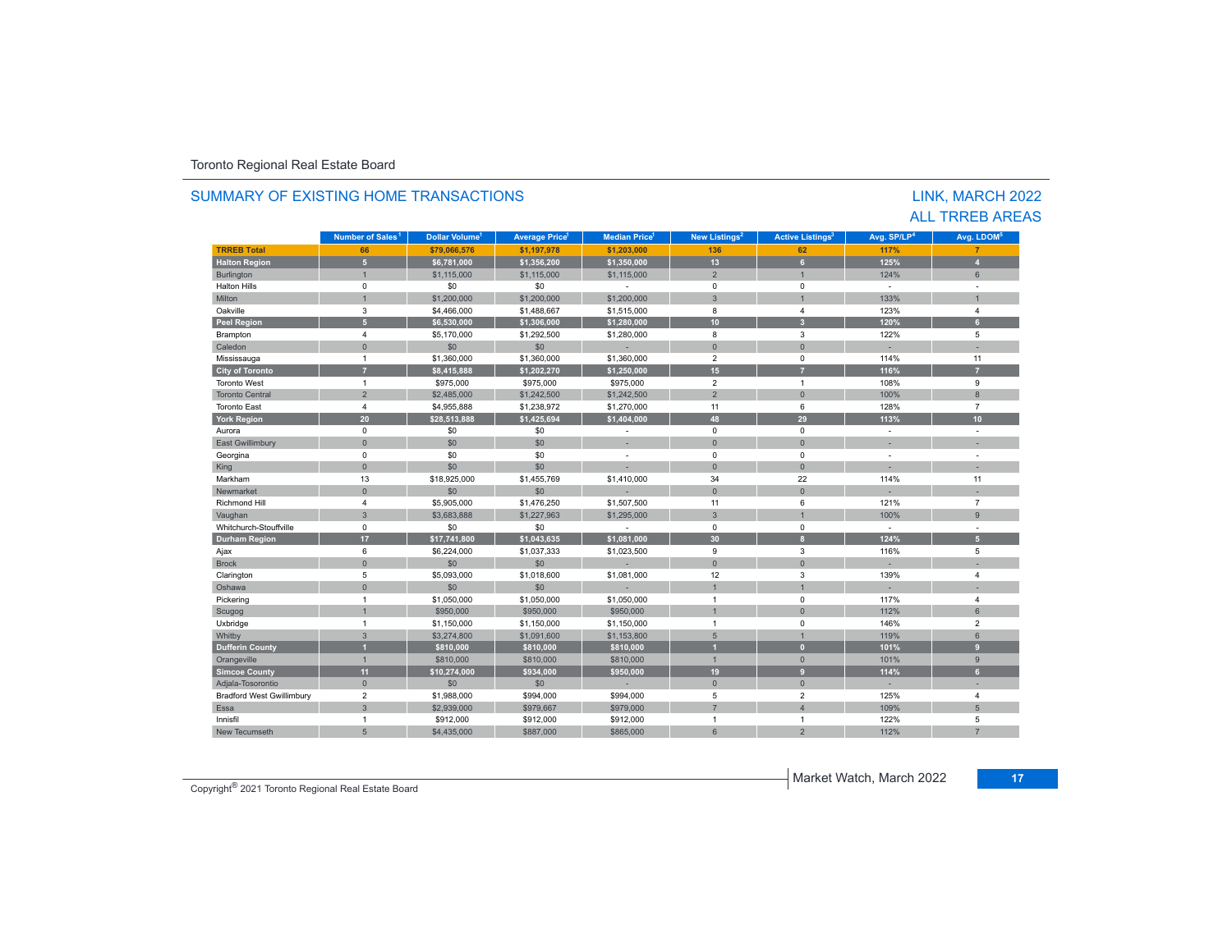#### **TRREB Total 66 \$79,066,576 \$1,197,978 \$1,203,000 136 62 117% 7 Halton Region 5 \$6,781,000 \$1,356,200 \$1,350,000 13 6 125% 4** Burlington 1 | \$1,115,000 \$1,115,000 \$1,115,000 \$1,115,000 \$1,115,000 2 1 1 124% 6 Halton Hills 0 \$0 \$0 - 0 0 - - Miltonn 1 \$1,200,000 \$1,200,000 \$1,200,000 3 1 133% 133% 1 Oakville<br>Peel Regio e 3 \$4,466,000 \$1,488,667 \$1,515,000 8 4 123%  $%$  4 **Peel Region 5 \$6,530,000 \$1,306,000 \$1,280,000 10 3 120% 6** Brampton 4 \$5,170,000 \$1,292,500 \$1,280,000 8 3 122% 5 Caledonn 1980 - 1980 - 1980 - 1981 - 1981 - 1982 - 1983 - 1984 - 1986 - 1986 - 1987 - 1988 - 1988 - 1988 - 1988 - 198 Mississauga 1 \$1,360,000 \$1,360,000 \$1,360,000 2 0 114% 11 **City of Toronto 7 \$8,415,888 \$1,202,270 \$1,250,000 15 7 116% 7** Toronto Westt and  $\sim$  1 \$975,000 \$975,000 \$975,000 2 1 108% 9 Toronto Central 2 \$2,485,000 \$1,242,500 \$1,242,500 2 0 100% 8 Toronto East 4 \$4,955,888 \$1,238,972 \$1,270,000 11 6 128% 7 **York Region 20 \$28,513,888 \$1,425,694 \$1,404,000 48 29 113% 10** Aurora 0 \$0 \$0 - 0 0 - - East Gwillimbury 0 \$0 \$0 - 0 0 - - Georgina 0 \$0 \$0 - 0 0 - - King the second term of the second term of the second term of the second term of the second term of the second Markhamm 13 \$18,925,000 \$1,455,769 \$1,410,000 34 22 114% 114% 11 Newmarket 0 \$0 \$0 - 0 0 - - Richmond Hill 4 \$5,905,000 \$1,476,250 \$1,507,500 11 6 121%121% 7 Vaughan 3 3 3 3,683,888 \$1,227,963 \$1,295,000 3 1 1 100% 900% 9 Whitchurch-Stouffvillee 0 \$0 \$0 - 0 0 - -**Durham Region 17 \$17,741,800 \$1,043,635 \$1,081,000 30 8 124% 5** Ajax 6 \$6,224,000 \$1,037,333 \$1,023,500 9 3 116% 5 Brock 0 \$0 \$0 - 0 0 - - Clarington 5 \$5,093,000 \$1,018,600 \$1,081,000 12 3 139% 4 Oshawaa dia 100 - 100 - 100 - 100 - 100 - 100 - 100 - 100 - 100 - 100 - 100 - 100 - 100 - 100 - 100 - 100 - 100 - 10 Pickering 1 \$1,050,000 \$1,050,000 \$1,050,000 1 0 117% 4 Scugog 1 \$950,000 \$950,000 \$950,000 1 0 112% 6 Uxbridge 1 \$1,150,000 \$1,150,000 \$1,150,000 1 0 146% 2 0/06/11/2000 11900 1191/2000 12000 131,091,600 1 \$1,153,800 1 5 1 110 119% 6 119% 6 100 110 119% 6 1 **Dufferin County 1 \$810,000 \$810,000 \$810,000 1 0 101% 9** Orangeville | 1 \$810,000 | \$810,000 | \$810,000 | 10 0 | 101% | 9 **Simcoe County 11 \$10,274,000 \$934,000 \$950,000 19 9 114% 6** Adjala-Tosorontio 0 \$0 \$0 - 0 0 - - Bradford West Gwillimbury 2 \$1,988,000 \$994,000 \$994,000 5 2 125% 4 Essaa 3 | 3 | \$2,939,000 | \$979,667 | \$979,000 | 7 | 4 | 109% 5 Innisfil 1 \$912,000 \$912,000 \$912,000 1 1 122% 5 New Tecumseth 5 \$4,435,000 \$887,000 \$865,000 6 2 112% 7 **Municipality Number of Sales Dollar Volume Average Price Median Price New Listings Active Listings Avg. SP/LP Avg. LDOM** LINK, MARCH 2022 ALL TRREB AREAS**Number of Sales<sup>1</sup> 1 1 1 2 3 4 5**

#### SUMMARY OF EXISTING HOME TRANSACTIONS

Copyright® 2021 Toronto Regional Real Estate Board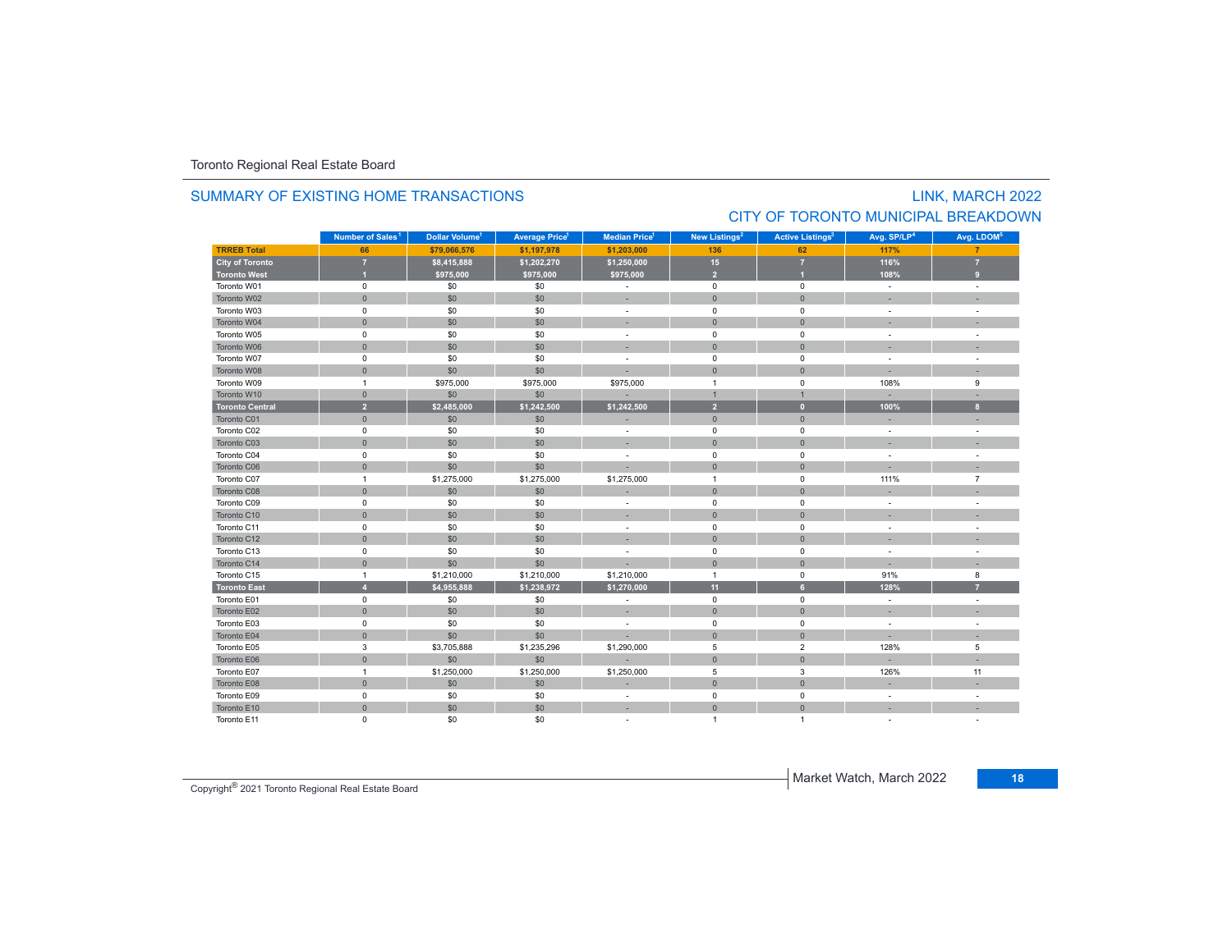# SUMMARY OF EXISTING HOME TRANSACTIONSCITY OF TORONTO MUNICIPAL BREAKDOWN

#### **TRREB Total 66 \$79,066,576 \$1,197,978 \$1,203,000 136 62 117% 7 City of Toronto 7 \$8,415,888 \$1,202,270 \$1,250,000 15 7 116% 7 Toronto West 1 \$975,000 \$975,000 \$975,000 2 1 108% 9** Toronto W01 $1$  and the contract of the contract of the contract of the contract of the contract of the contract of the contract of the contract of the contract of the contract of the contract of the contract of the contract of the c Toronto W022 - 1 0 - 1 - 50 - 50 - 50 - 1 - 0 - 1 - 0 - 1 - - 1 - -Toronto W03 $\begin{matrix} 3 \end{matrix}$  and the  $\begin{matrix} 0 \end{matrix}$  of  $\begin{matrix} 60 \end{matrix}$  ,  $\begin{matrix} 50 \end{matrix}$  ,  $\begin{matrix} 50 \end{matrix}$  , and  $\begin{matrix} 0 \end{matrix}$  , and  $\begin{matrix} 0 \end{matrix}$  , and  $\begin{matrix} 0 \end{matrix}$  , and  $\begin{matrix} 0 \end{matrix}$  , and  $\begin{matrix} 0 \end{matrix}$  , and  $\begin{matrix} 0 \end{matrix}$  , Toronto W044 0 0 0 \$0 \$0 \$0 0 - 0 0 0 0 - 1 Toronto W055 0 0 - 50 50 50 - 0 0 0 - 1 Toronto W066 - 1 0 - 1 - 50 - 50 - 50 - 50 - 0 - 0 - 0 - 1 - - 1 - -Toronto W07 $\begin{matrix}7\end{matrix}$  , the contract of the contract of the contract of the contract of the contract of the contract of the contract of the contract of the contract of the contract of the contract of the contract of the contract Toronto W088 - 1 0 | \$0 | \$0 | - - | 0 | 0 | - - | -Toronto W09 1 \$975,000 \$975,000 \$975,000 1 0 108% 9 Toronto W10 0 \$0 \$0 - 1 1 - - **Toronto Central 2 \$2,485,000 \$1,242,500 \$1,242,500 2 0 100% 8** Toronto C01 0 \$0 \$0 - 0 0 - - Toronto C02 0 \$0 \$0 - 0 0 - - Toronto C03 0 \$0 \$0 - 0 0 - - Toronto C04 0 \$0 \$0 - 0 0 - - Toronto C06 0 \$0 \$0 - 0 0 - - Toronto C077 1 \$1,275,000 \$1,275,000 \$1,275,000 1 0 111% 111% 7 Toronto C08 0 \$0 \$0 - 0 0 - - Toronto C09 0 \$0 \$0 - 0 0 - - Toronto C10 0 \$0 \$0 - 0 0 - - Toronto C11 $\begin{matrix}0\end{matrix} \hspace{1.5cm} \begin{matrix}0\end{matrix} \hspace{1.5cm} \begin{matrix}0\end{matrix} \hspace{1.5cm} \begin{matrix}0\end{matrix} \hspace{1.5cm} \begin{matrix}0\end{matrix} \hspace{1.5cm} \begin{matrix}0\end{matrix} \hspace{1.5cm} \begin{matrix}0\end{matrix} \hspace{1.5cm} \begin{matrix}0\end{matrix} \hspace{1.5cm} \begin{matrix}0\end{matrix} \hspace{1.5cm} \begin{matrix}0\end{matrix} \hspace{1.5cm} \begin{matrix}0\end{matrix} \hspace{1.5cm}$ Toronto C12 0 \$0 \$0 - 0 0 - - Toronto C13 $\begin{matrix}3\end{matrix}$  and the  $\begin{matrix}0\end{matrix}$  of  $\begin{matrix}50\end{matrix}$  ,  $\begin{matrix}50\end{matrix}$  ,  $\begin{matrix}0\end{matrix}$  ,  $\begin{matrix}0\end{matrix}$  ,  $\begin{matrix}0\end{matrix}$  ,  $\begin{matrix}0\end{matrix}$  ,  $\begin{matrix}0\end{matrix}$  ,  $\begin{matrix}0\end{matrix}$  ,  $\begin{matrix}0\end{matrix}$  ,  $\begin{matrix}0\end{matrix}$  ,  $\begin{matrix}0\end{matrix}$  ,  $\begin{$ Toronto C14 0 \$0 \$0 - 0 0 - - Toronto C15 1 \$1,210,000 \$1,210,000 \$1,210,000 1 0 91% 8 **Toronto East 4 \$4,955,888 \$1,238,972 \$1,270,000 11 6 128% 7** Toronto E01 $\begin{matrix}0\end{matrix}$  , and  $\begin{matrix}0\end{matrix}$  , and  $\begin{matrix}0\end{matrix}$  , and  $\begin{matrix}0\end{matrix}$  , and  $\begin{matrix}0\end{matrix}$  , and  $\begin{matrix}0\end{matrix}$  , and  $\begin{matrix}0\end{matrix}$  , and  $\begin{matrix}0\end{matrix}$  , and  $\begin{matrix}0\end{matrix}$  , and  $\begin{matrix}0\end{matrix}$  , and  $\begin{matrix}0\end{matrix}$  , and Toronto E02 0 \$0 \$0 - 0 0 - - Toronto E03 $\begin{matrix} 3 \end{matrix}$  and  $\begin{matrix} 0 \end{matrix}$  and  $\begin{matrix} 50 \end{matrix}$  and  $\begin{matrix} 50 \end{matrix}$  and  $\begin{matrix} 0 \end{matrix}$  and  $\begin{matrix} 0 \end{matrix}$  and  $\begin{matrix} 0 \end{matrix}$  and  $\begin{matrix} 0 \end{matrix}$  and  $\begin{matrix} 0 \end{matrix}$  and  $\begin{matrix} 0 \end{matrix}$  and  $\begin{matrix} 0 \end{matrix}$  and  $\begin{matrix} 0 \end$ Toronto E04 0 \$0 \$0 - 0 0 - - Toronto E05 3 \$3,705,888 \$1,235,296 \$1,290,000 5 2 128% 5 Toronto E066 - 1 0 - 1 30 30 30 - 1 0 0 0 0 - 1 - 1 Toronto E077 1 \$1,250,000 \$1,250,000 \$1,250,000 5 3 126% 126% 11 Toronto E088 - 0 - 1 - 50 - 50 - 50 - - 1 - 0 - 1 - 0 - 1 - - 1 - -Toronto E09 $0$  50 50 50 - 0 0 -  $1$ Toronto E10 0 \$0 \$0 - 0 0 - - Toronto E11 0 \$0 \$0 - 1 1 - - **Municipality Number of Sales Dollar Volume Average Price Median Price New Listings Active Listings Avg. SP/LP Avg. LDOM** Number of Sales<sup>1</sup> **1 1 1 2 3 4 5**

Copyright® 2021 Toronto Regional Real Estate Board

Market Watch, March 2022 **18**

LINK, MARCH 2022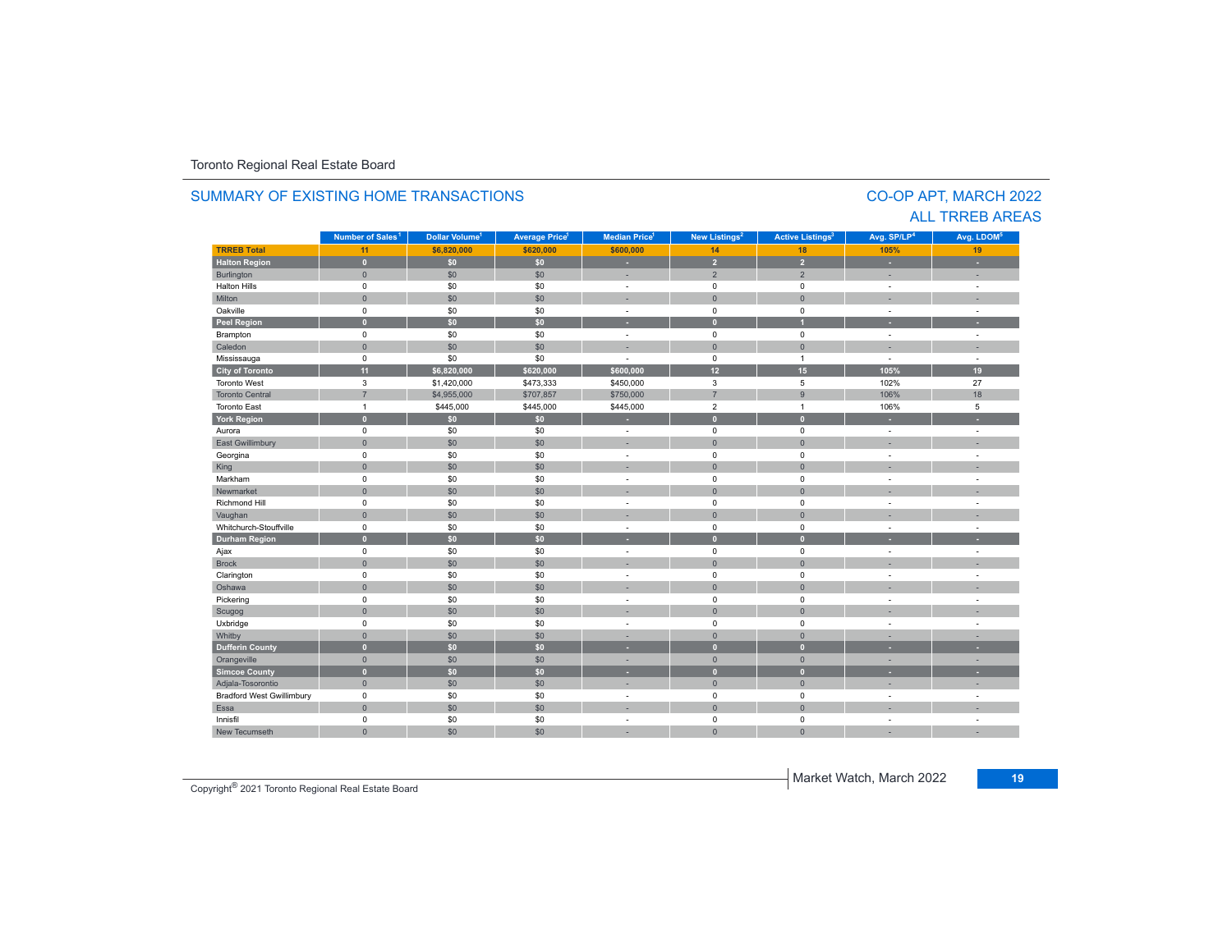#### **TRREB Total 11 \$6,820,000 \$620,000 \$600,000 14 18 105%105%** 19 **Halton Region 0 \$0 \$0 - 2 2 - -** Burlington 0 \$0 \$0 | = 2 | = | -= Halton Hills 0 \$0 \$0 - 0 0 - - Miltonn 1980 - 1991 - 1992 - 1993 - 1994 - 1994 - 1995 - 1996 - 1997 - 1998 - 1999 - 1999 - 1999 - 1999 - 1999 - 199 Oakville<br>Peel Region e 0 \$0 \$0 - 0 0 - -**Peel Region 0 \$0 \$0 - 0 1 - -** Brampton 0 \$0 \$0 - 0 0 - - Caledonn 1980 - 1980 - 1980 - 1981 - 1981 - 1982 - 1983 - 1984 - 1986 - 1986 - 1987 - 1988 - 1988 - 1988 - 1988 - 198 Mississauga 0 \$0 \$0 - 0 1 - - **City of Toronto 11 \$6,820,000 \$620,000 \$600,000 12 15 105% 19** Toronto West 3 \$1,420,000 \$473,333 \$450,000 3 5 102%102% 27<br>106% 18 Toronto Central 7. \$4,955,000 \$707,857 \$750,000 \$750,000 \$750,000 \$750,000 \$7 18 Toronto Eastt 1 \$445,000 \$445,000 \$445,000 2 1 106% 5 **York Region 0 \$0 \$0 - 0 0 - -** Aurora 0 \$0 \$0 - 0 0 - - East Gwillimbury 0 \$0 \$0 - 0 0 - - Georgina 0 \$0 \$0 - 0 0 - - King the second term of the second term of the second term of the second term of the second term of the second Markham 0 \$0 \$0 - 0 0 - - Newmarket 0 \$0 \$0 - 0 0 - - Richmond Hill 0 \$0 \$0 - 0 0 - - Vaughan 1980 (1980) (1980) (1980) (1980) (1980) (1980) (1980) (1980) (1980) (1980) (1980) (1980) (1980) (1980) Whitchurch-Stouffvillee 0 \$0 \$0 - 0 0 - -**Durham Region 0 \$0 \$0 - 0 0 - -** Ajax 0 \$0 \$0 - 0 0 - - Brock 0 \$0 \$0 - 0 0 - - Clarington 0 \$0 \$0 - 0 0 - - Oshawaa dia 1980 - Aniso ao amin'ny faritr'i Nouvelle-Aquitaine, ao amin'ny faritr'i Nouvelle-Aquitaine, ao amin'ny المال المسابق التي يقوم المسابق التي يقوم التي يقوم التي يقوم التي يقوم التي تعالى التي يقوم التي تعالى التي ي<br>التي يقوم التي يقوم التي يقوم التي يقوم التي يقوم التي يقوم التي يقوم التي يقوم التي يقوم التي يقوم التي يقوم Scugog 0 \$0 \$0 - 0 0 - - Uxbridge 0 \$0 \$0 - 0 0 - - Whitby 0 \$0 \$0 - 0 0 - - **Dufferin County 0 \$0 \$0 - 0 0 - -** Orangeville 0 \$0 \$0 - 0 0 - - **Simcoe County 0 \$0 \$0 - 0 0 - -** Adjala-Tosorontio 0 \$0 \$0 - 0 0 - - Bradford West Gwillimbury 0 \$0 \$0 - 0 0 - - Essaa dia 1980 - Aniso ao amin'ny faritr'i Nouvelle-Aquitaine, ao amin'ny faritr'i Nouvelle-Aquitaine, ao amin'ny Innisfil 0 \$0 \$0 - 0 0 - - New Tecumseth 0 \$0 \$0 - 0 0 - - **Municipality Number of Sales Dollar Volume Average Price Median Price New Listings Active Listings Avg. SP/LP Avg. LDOM** CO-OP APT, MARCH 2022 Number of Sales<sup>1</sup> **1** Dollar Volume<sup>1</sup> | Average Price<sup>1</sup> | Median Price<sup>1</sup> | New Listings<sup>2</sup> | Active Listings<sup>3</sup> | Avg. SP/LP<sup>4</sup> | Avg. LDOM<sup>5</sup>

#### SUMMARY OF EXISTING HOME TRANSACTIONS

ALL TRREB AREAS

Copyright® 2021 Toronto Regional Real Estate Board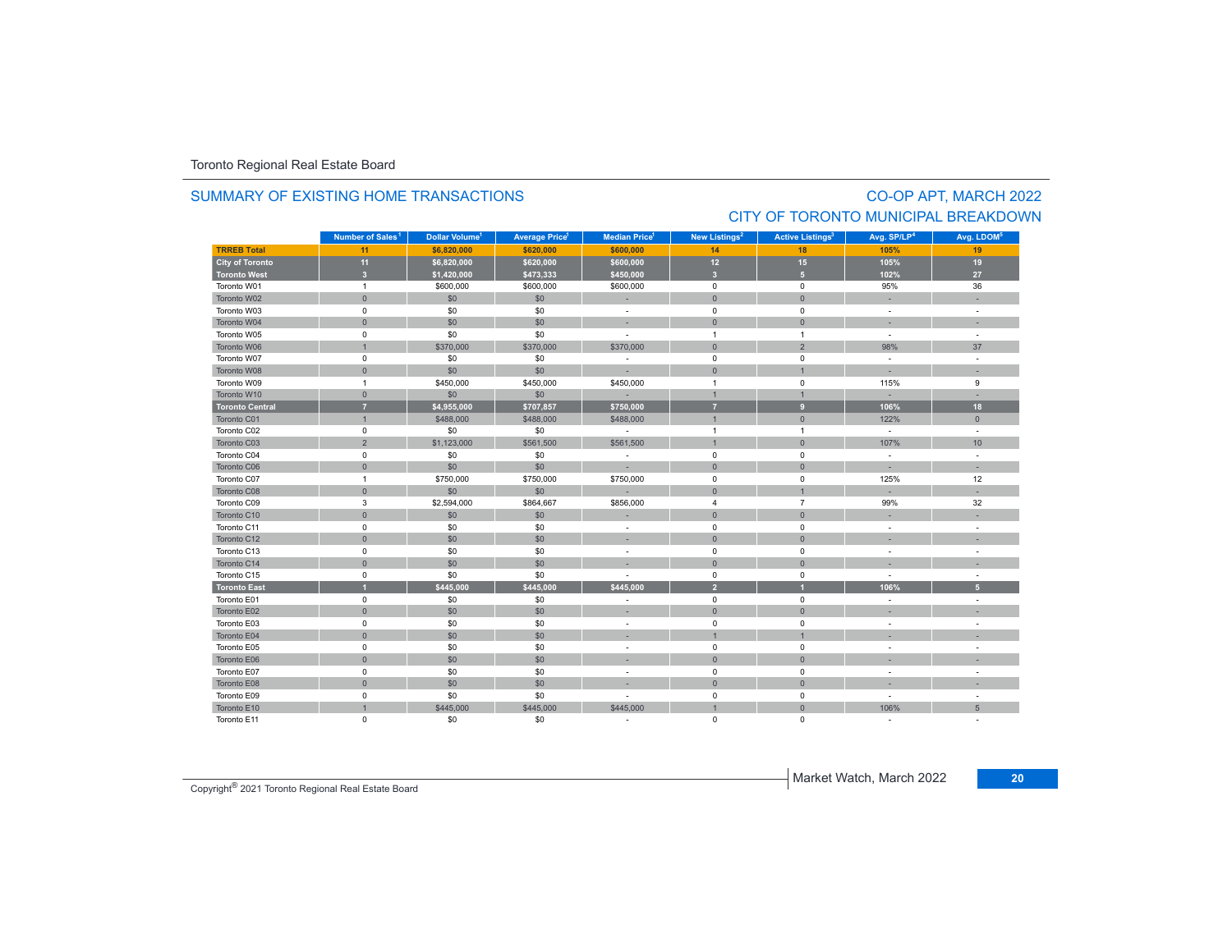#### SUMMARY OF EXISTING HOME TRANSACTIONS

# CO-OP APT, MARCH 2022 CITY OF TORONTO MUNICIPAL BREAKDOWN

|                        | Number of Sales <sup>1</sup> | Dollar Volume <sup>1</sup> | <b>Average Price<sup>1</sup></b> | <b>Median Price</b> <sup>1</sup> | New Listings <sup>2</sup> | <b>Active Listings<sup>3</sup></b> | Avg. SP/LP <sup>4</sup>  | Avg. LDOM <sup>5</sup>   |
|------------------------|------------------------------|----------------------------|----------------------------------|----------------------------------|---------------------------|------------------------------------|--------------------------|--------------------------|
| <b>TRREB Total</b>     | 11                           | \$6,820,000                | \$620,000                        | \$600,000                        | 14                        | 18                                 | 105%                     | 19                       |
| City of Toronto        | 11                           | \$6,820,000                | \$620,000                        | \$600,000                        | $12$                      | 15                                 | 105%                     | 19                       |
| <b>Toronto West</b>    | $\overline{\mathbf{3}}$      | \$1,420,000                | \$473,333                        | \$450,000                        | $\overline{\mathbf{3}}$   | 5 <sup>1</sup>                     | 102%                     | 27                       |
| Toronto W01            | $\overline{1}$               | \$600,000                  | \$600,000                        | \$600,000                        | $\mathbf 0$               | $\mathbf 0$                        | 95%                      | 36                       |
| Toronto W02            | $\mathbf{0}$                 | \$0                        | \$0                              | ÷                                | $\overline{0}$            | $\overline{0}$                     |                          |                          |
| Toronto W03            | $\mathsf 0$                  | \$0                        | \$0                              | $\sim$                           | $\mathsf 0$               | $\mathbf 0$                        | $\sim$                   | $\overline{\phantom{a}}$ |
| Toronto W04            | $\mathbf{0}$                 | \$0                        | \$0                              | ٠                                | $\mathbf{0}$              | $\overline{0}$                     |                          |                          |
| Toronto W05            | 0                            | \$0                        | \$0                              |                                  | $\overline{1}$            | $\mathbf{1}$                       | $\sim$                   | $\sim$                   |
| Toronto W06            | $\mathbf{1}$                 | \$370,000                  | \$370,000                        | \$370,000                        | $\mathbf{0}$              | $\overline{2}$                     | 98%                      | 37                       |
| Toronto W07            | $\mathsf 0$                  | \$0                        | \$0                              | ÷,                               | $\mathbf 0$               | $\mathbf 0$                        | $\sim$                   |                          |
| Toronto W08            | $\mathbf 0$                  | \$0                        | \$0                              | ÷                                | $\mathbf{0}$              | $\overline{1}$                     | $\sim$                   |                          |
| Toronto W09            | $\mathbf{1}$                 | \$450,000                  | \$450,000                        | \$450,000                        | $\overline{1}$            | 0                                  | 115%                     | 9                        |
| Toronto W10            | $\mathbf{0}$                 | \$0                        | \$0                              | ×.                               | $\mathbf{1}$              | $\mathbf{1}$                       |                          |                          |
| <b>Toronto Central</b> | $\overline{7}$               | \$4,955,000                | \$707,857                        | \$750,000                        | 7                         | 9                                  | 106%                     | 18                       |
| Toronto C01            | $\mathbf{1}$                 | \$488,000                  | \$488,000                        | \$488,000                        | $\overline{1}$            | $\mathbf{0}$                       | 122%                     | $\mathbf{0}$             |
| Toronto C02            | $\mathsf 0$                  | \$0                        | \$0                              | $\sim$                           | $\overline{1}$            | $\mathbf{1}$                       | $\sim$                   | $\sim$                   |
| Toronto C03            | $\overline{2}$               | \$1,123,000                | \$561,500                        | \$561,500                        | $\overline{1}$            | $\mathbf 0$                        | 107%                     | 10                       |
| Toronto C04            | $\mathbf 0$                  | \$0                        | \$0                              | $\sim$                           | $\mathbf 0$               | $\mathbf 0$                        | $\sim$                   | ÷.                       |
| Toronto C06            | $\mathsf{O}\xspace$          | \$0                        | \$0                              |                                  | $\mathsf{O}\xspace$       | $\mathsf{O}\xspace$                |                          |                          |
| Toronto C07            | $\mathbf{1}$                 | \$750,000                  | \$750,000                        | \$750,000                        | $\mathbf 0$               | $\mathbf 0$                        | 125%                     | 12                       |
| Toronto C08            | $\mathbf{0}$                 | \$0                        | \$0                              |                                  | $\mathbf{0}$              | $\overline{1}$                     |                          |                          |
| Toronto C09            | 3                            | \$2,594,000                | \$864,667                        | \$856,000                        | $\overline{4}$            | $\overline{7}$                     | 99%                      | 32                       |
| Toronto C10            | $\mathsf{O}\xspace$          | \$0                        | \$0                              | ۰                                | $\overline{0}$            | $\mathbf{0}$                       |                          |                          |
| Toronto C11            | $\mathsf 0$                  | \$0                        | \$0                              | ٠                                | $\mathsf 0$               | $\mathsf 0$                        | $\sim$                   |                          |
| Toronto C12            | $\mathsf{O}\xspace$          | \$0                        | \$0                              | ×,                               | $\mathbf 0$               | $\overline{0}$                     |                          |                          |
| Toronto C13            | $\mathbf 0$                  | \$0                        | \$0                              | $\overline{\phantom{a}}$         | $\mathbf 0$               | $\mathbf 0$                        | $\sim$                   | ÷.                       |
| Toronto C14            | $\mathsf{O}\xspace$          | \$0                        | \$0                              |                                  | $\mathbf{0}$              | $\overline{0}$                     |                          |                          |
| Toronto C15            | $\mathsf 0$                  | \$0                        | \$0                              |                                  | $\mathsf 0$               | $\mathsf 0$                        | $\overline{\phantom{a}}$ | ÷.                       |
| <b>Toronto East</b>    | $\overline{1}$               | \$445,000                  | \$445,000                        | \$445,000                        | $\overline{2}$            |                                    | 106%                     | 5 <sup>1</sup>           |
| Toronto E01            | $\mathbf 0$                  | \$0                        | \$0                              |                                  | $\mathbf 0$               | $\mathbf 0$                        |                          |                          |
| Toronto E02            | $\mathbf{0}$                 | \$0                        | \$0                              | ×,                               | $\mathbf{0}$              | $\overline{0}$                     |                          |                          |
| Toronto E03            | 0                            | \$0                        | \$0                              | $\overline{\phantom{a}}$         | 0                         | 0                                  |                          | $\sim$                   |
| Toronto E04            | $\mathbf 0$                  | \$0                        | \$0                              |                                  | $\overline{1}$            | $\overline{1}$                     |                          |                          |
| Toronto E05            | $\mathsf 0$                  | \$0                        | \$0                              | ٠                                | $\mathsf 0$               | $\mathsf 0$                        |                          |                          |
| Toronto E06            | $\mathbf{0}$                 | \$0                        | \$0                              |                                  | $\overline{0}$            | $\overline{0}$                     |                          |                          |
| Toronto E07            | $\mathbf 0$                  | \$0                        | \$0                              | ÷.                               | $\mathbf 0$               | $\mathbf 0$                        | $\sim$                   | ä,                       |
| Toronto E08            | $\mathsf{O}\xspace$          | \$0                        | \$0                              |                                  | $\mathbf{0}$              | $\mathbf{0}$                       |                          |                          |
| Toronto E09            | $\mathsf 0$                  | \$0                        | \$0                              |                                  | $\mathsf 0$               | $\mathsf 0$                        | $\sim$                   |                          |
| Toronto E10            | $\overline{1}$               | \$445,000                  | \$445,000                        | \$445,000                        |                           | $\overline{0}$                     | 106%                     | $5\phantom{.0}$          |
| Toronto E11            | 0                            | \$0                        | \$0                              |                                  | 0                         | 0                                  |                          |                          |

Copyright® 2021 Toronto Regional Real Estate Board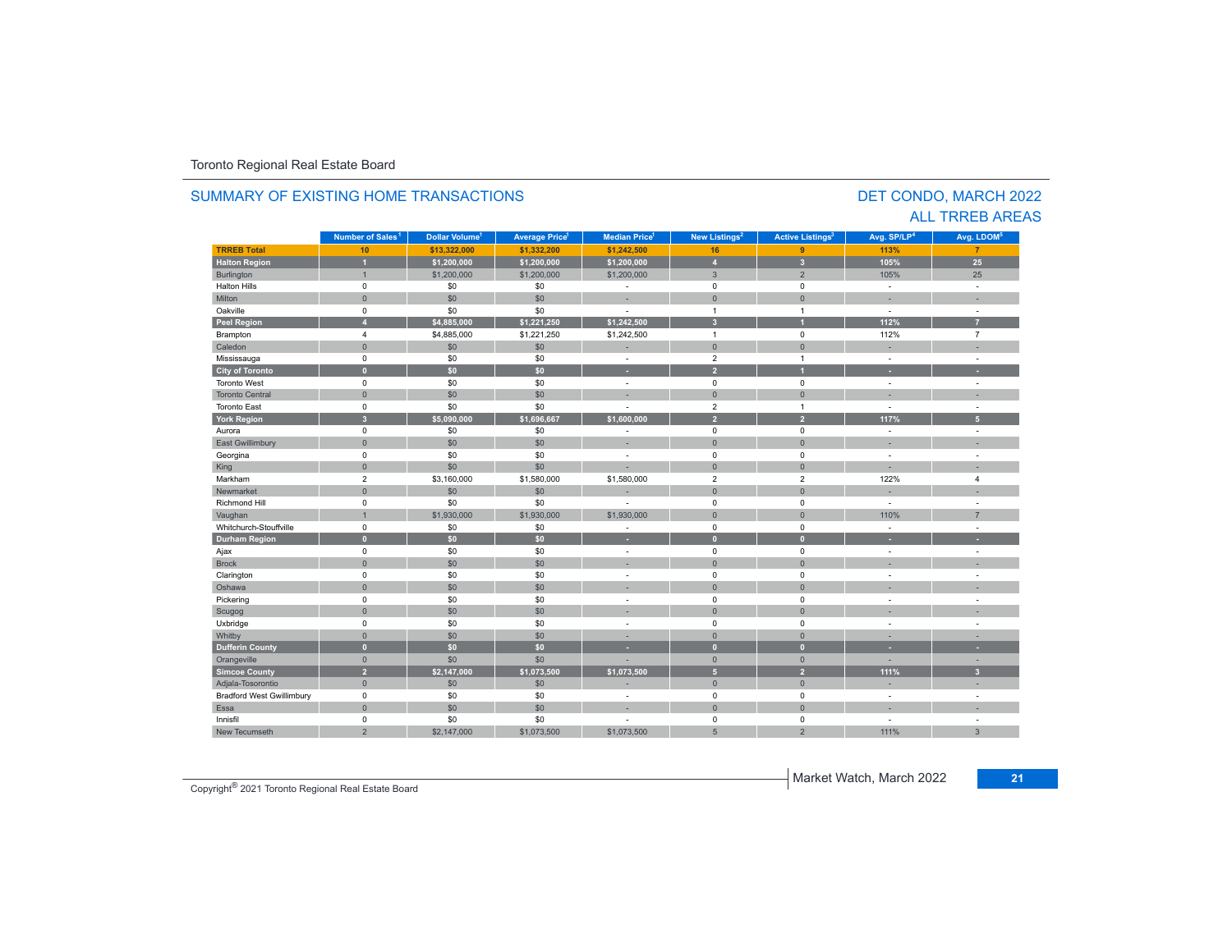#### **TRREB Total 10 \$13,322,000 \$1,332,200 \$1,242,500 16 9 113% 7 Halton Region 1 \$1,200,000 \$1,200,000 \$1,200,000 4 3 105% 25** Burlington 1 \$1,200,000 \$1,200,000 \$1,200,000 3 2 105% 25 Halton Hills 0 \$0 \$0 - 0 0 - - Miltonn 1980 - 1991 - 1992 - 1993 - 1994 - 1994 - 1995 - 1996 - 1997 - 1998 - 1999 - 1999 - 1999 - 1999 - 1999 - 199 Oakville<br>Peel Region e 0 \$0 \$0 - 1 1 - -**Peel Region 4 \$4,885,000 \$1,221,250 \$1,242,500 3 1 112% 7** Brampton 4 \$4,885,000 \$1,221,250 \$1,242,500 1 0 112% 7 Caledonn 1980 - 1980 - 1980 - 1981 - 1981 - 1982 - 1983 - 1984 - 1986 - 1986 - 1987 - 1988 - 1988 - 1988 - 1988 - 198 Mississauga 0 \$0 \$0 - 2 1 - - **City of Toronto 0 \$0 \$0 - 2 1 - -** Toronto West 0 \$0 \$0 - 0 0 - - Toronto Central 0 \$0 \$0 - 0 0 - - Toronto East 0 \$0 \$0 - 2 1 - - **York Region 3 \$5,090,000 \$1,696,667 \$1,600,000 2 2 117% 5** Aurora 0 \$0 \$0 - 0 0 - - East Gwillimbury 0 \$0 \$0 - 0 0 - - Georgina 0 \$0 \$0 - 0 0 - - King 0 \$0 \$0 - 0 0 - - Markham 2 \$3,160,000 \$1,580,000 \$1,580,000 2 2 122%122% 4 Newmarket 0 \$0 \$0 - 0 0 - - Richmond Hill 0 \$0 \$0 - 0 0 - - Vaughan 1 : 1 : 1 : 1,930,000 \$1,930,000 \$1,930,000 \$1,930,000 \$1,930,000 \$1,000 \$1,000 \$1,000 \$1,000 \$1,000 \$ Whitchurch-Stouffvillee 0 \$0 \$0 - 0 0 - -**Durham Region 0 \$0 \$0 - 0 0 - -** Ajax 0 \$0 \$0 - 0 0 - - Brock 0 \$0 \$0 - 0 0 - - Clarington 0 \$0 \$0 - 0 0 - - Oshawaa dia 1980 - Aniso ao amin'ny faritr'i Nouvelle-Aquitaine, ao amin'ny faritr'i Nouvelle-Aquitaine, ao amin'ny المال المسابق التي يقوم المسابق التي يقوم التي يقوم التي يقوم التي يقوم التي تعالى التي يقوم التي تعالى التي ي<br>التي يقوم التي يقوم التي يقوم التي يقوم التي يقوم التي يقوم التي يقوم التي يقوم التي يقوم التي يقوم التي يقوم Scugog 0 \$0 \$0 - 0 0 - - Uxbridge 0 \$0 \$0 - 0 0 - - Whitby 0 \$0 \$0 - 0 0 - - **Dufferin County 0 \$0 \$0 - 0 0 - -** Orangeville 0 \$0 \$0 - 0 0 - - **Simcoe County 2 \$2,147,000 \$1,073,500 \$1,073,500 5 2 111% 3** Adjala-Tosorontio 0 \$0 \$0 - 0 0 - - Bradford West Gwillimbury 0 \$0 \$0 - 0 0 - - Essaa dia 1980 - Aniso ao amin'ny faritr'i Nouvelle-Aquitaine, ao amin'ny faritr'i Nouvelle-Aquitaine, ao amin'ny Innisfil 0 \$0 \$0 - 0 0 - - New Tecumsethh | 2 \$2,147,000 \$1,073,500 \$1,073,500 5 2 111% **Municipality Number of Sales Dollar Volume Average Price Median Price New Listings Active Listings Avg. SP/LP Avg. LDOM Number of Sales<sup>1</sup> 1** Dollar Volume<sup>1</sup> | Average Price<sup>1</sup> | Median Price<sup>1</sup> | New Listings<sup>2</sup> | Active Listings<sup>3</sup> | Avg. SP/LP<sup>4</sup> | Avg. LDOM<sup>5</sup>

#### SUMMARY OF EXISTING HOME TRANSACTIONS

DET CONDO, MARCH 2022 ALL TRREB AREAS

Copyright® 2021 Toronto Regional Real Estate Board

Market Watch, March 2022 **21**

% 3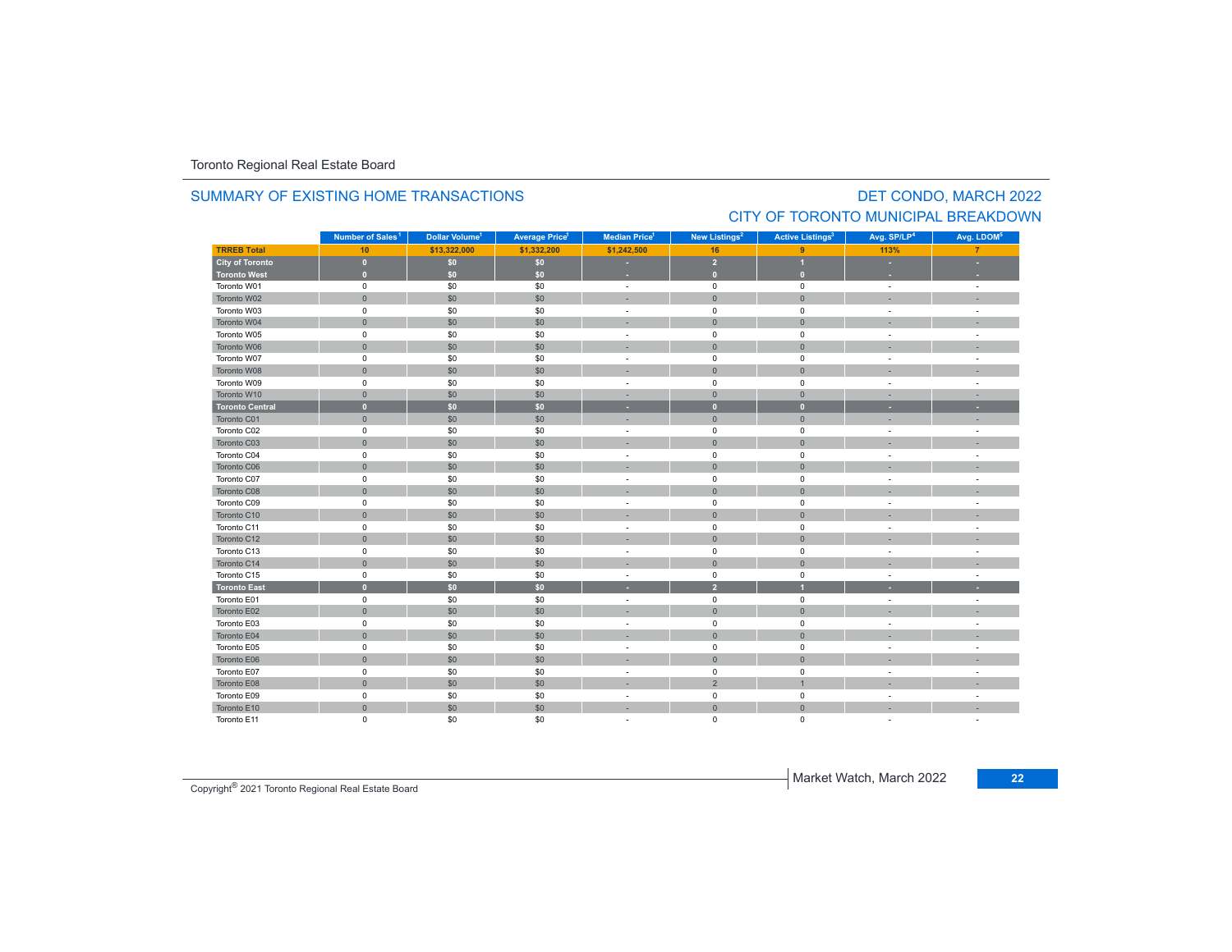#### **TRREB Total 10 \$13,322,000 \$1,332,200 \$1,242,500 16 9 113% 7 City of Toronto 0 \$0 \$0 - 2 1 - - Toronto West 0 \$0 \$0 - 0 0 - -** Toronto W01 $1$  and the contract of the contract of the contract of the contract of the contract of the contract of the contract of the contract of the contract of the contract of the contract of the contract of the contract of the c Toronto W022 - 1 0 - 1 - 50 - 50 - 50 - 1 - 0 - 1 - 0 - 1 - - 1 - -Toronto W03 $\begin{matrix} 3 \end{matrix}$  and the  $\begin{matrix} 0 \end{matrix}$  of  $\begin{matrix} 60 \end{matrix}$  ,  $\begin{matrix} 50 \end{matrix}$  ,  $\begin{matrix} 50 \end{matrix}$  , and  $\begin{matrix} 0 \end{matrix}$  , and  $\begin{matrix} 0 \end{matrix}$  , and  $\begin{matrix} 0 \end{matrix}$  , and  $\begin{matrix} 0 \end{matrix}$  , and  $\begin{matrix} 0 \end{matrix}$  , and  $\begin{matrix} 0 \end{matrix}$  , Toronto W044 0 0 0 \$0 \$0 \$0 0 - 0 0 0 0 - 1 Toronto W055 0 0 - 50 50 50 - 0 0 0 - 1 Toronto W066 - 1 0 - 1 - 50 - 50 - 50 - 50 - 0 - 0 - 0 - 1 - - 1 - -Toronto W07 $\begin{matrix}7\end{matrix}$  , the contract of the contract of the contract of the contract of the contract of the contract of the contract of the contract of the contract of the contract of the contract of the contract of the contract Toronto W088 - 1 0 | \$0 | \$0 | - - | 0 | 0 | - - | -Toronto W09 $\begin{matrix} 9 & 0 & 0 \end{matrix}$  , and  $\begin{matrix} 60 & 50 \end{matrix}$  , and  $\begin{matrix} 50 & 0 \end{matrix}$  , and  $\begin{matrix} 0 & 0 \end{matrix}$  , and  $\begin{matrix} 0 & 0 \end{matrix}$  , and  $\begin{matrix} 0 & 0 \end{matrix}$  , and  $\begin{matrix} 0 & 0 \end{matrix}$  , and  $\begin{matrix} 0 & 0 \end{matrix}$  , and  $\begin{matrix} 0 & 0 \end{matrix}$  , and Toronto W10 0 \$0 \$0 - 0 0 - - **Toronto Central 0 \$0 \$0 - 0 0 - -** Toronto C01 0 \$0 \$0 - 0 0 - - Toronto C02 0 \$0 \$0 - 0 0 - - Toronto C03 0 \$0 \$0 - 0 0 - - Toronto C04 0 \$0 \$0 - 0 0 - - Toronto C06 0 \$0 \$0 - 0 0 - - Toronto C07 0 \$0 \$0 - 0 0 - - Toronto C08 0 \$0 \$0 - 0 0 - - Toronto C09**Municipality Number of Sales Dollar Volume Average Price Median Price New Listings Active Listings Avg. SP/LP Avg. LDOM** DET CONDO, MARCH 2022 SUMMARY OF EXISTING HOME TRANSACTIONSCITY OF TORONTO MUNICIPAL BREAKDOWN**Number of Sales<sup>1</sup> 1** Dollar Volume<sup>1</sup> Average Price<sup>1</sup> | Median Price<sup>1</sup> | New Listings<sup>2</sup> | Active Listings<sup>3</sup> | Avg. SP/LP<sup>4</sup> | Avg. LDOM<sup>s</sup>

 $\begin{matrix}3\end{matrix}$  and the  $\begin{matrix}0\end{matrix}$  of  $\begin{matrix}0\end{matrix}$  ,  $\begin{matrix}0\end{matrix}$  ,  $\begin{matrix}0\end{matrix}$  ,  $\begin{matrix}0\end{matrix}$  ,  $\begin{matrix}0\end{matrix}$  ,  $\begin{matrix}0\end{matrix}$  ,  $\begin{matrix}0\end{matrix}$  ,  $\begin{matrix}0\end{matrix}$  ,  $\begin{matrix}0\end{matrix}$  ,  $\begin{matrix}0\end{matrix}$  ,  $\begin{matrix}0\end{matrix}$  ,  $\begin{matrix}$ 

 0 \$0 \$0 - 0 0 - - 0 \$0 \$0 - 0 0 - -  $\begin{matrix}0\end{matrix} \hspace{1.5cm} \begin{matrix}0\end{matrix} \hspace{1.5cm} \begin{matrix}0\end{matrix} \hspace{1.5cm} \begin{matrix}0\end{matrix} \hspace{1.5cm} \begin{matrix}0\end{matrix} \hspace{1.5cm} \begin{matrix}0\end{matrix} \hspace{1.5cm} \begin{matrix}0\end{matrix} \hspace{1.5cm} \begin{matrix}0\end{matrix} \hspace{1.5cm} \begin{matrix}0\end{matrix} \hspace{1.5cm} \begin{matrix}0\end{matrix} \hspace{1.5cm} \begin{matrix}0\end{matrix} \hspace{1.5cm}$ 0 \$0 \$0 - 0 0 - -

| Toronto C14         | $\mathbf{0}$ | \$0              | \$0 | $\sim$                   | $\Omega$ | $\mathbf{0}$ | $\overline{\phantom{a}}$ |  |
|---------------------|--------------|------------------|-----|--------------------------|----------|--------------|--------------------------|--|
| Toronto C15         |              | \$0              | \$0 | $\overline{\phantom{a}}$ |          | $\Omega$     | $\overline{\phantom{a}}$ |  |
| <b>Toronto East</b> |              | \$0 <sub>1</sub> | \$0 |                          |          |              |                          |  |
| Toronto E01         |              | \$0              | \$0 |                          |          |              |                          |  |
| Toronto E02         |              | \$0              | \$0 | $\overline{\phantom{a}}$ |          | $\Omega$     | -                        |  |
| Toronto E03         |              | \$0              | \$0 |                          |          | $\Omega$     |                          |  |
| Toronto E04         |              | \$0              | \$0 | $\overline{\phantom{a}}$ |          | $\mathbf{0}$ | $\overline{\phantom{a}}$ |  |
| Toronto E05         |              | \$0              | \$0 |                          |          |              |                          |  |
| Toronto E06         | n            | \$0              | \$0 | $\sim$                   | $\Omega$ | $\Omega$     | -                        |  |
| Toronto E07         |              | \$0              | \$0 |                          |          |              |                          |  |
| Toronto E08         |              | \$0              | \$0 |                          |          |              |                          |  |
| Toronto E09         |              | \$0              | \$0 |                          |          | O            |                          |  |
| Toronto E10         |              | \$0              | \$0 | $\sim$                   |          | $\Omega$     | $\overline{\phantom{a}}$ |  |
| Toronto E11         |              | \$0              | \$0 |                          |          |              |                          |  |

Copyright® 2021 Toronto Regional Real Estate Board

Toronto C10

Toronto C11

Toronto C12

Toronto C13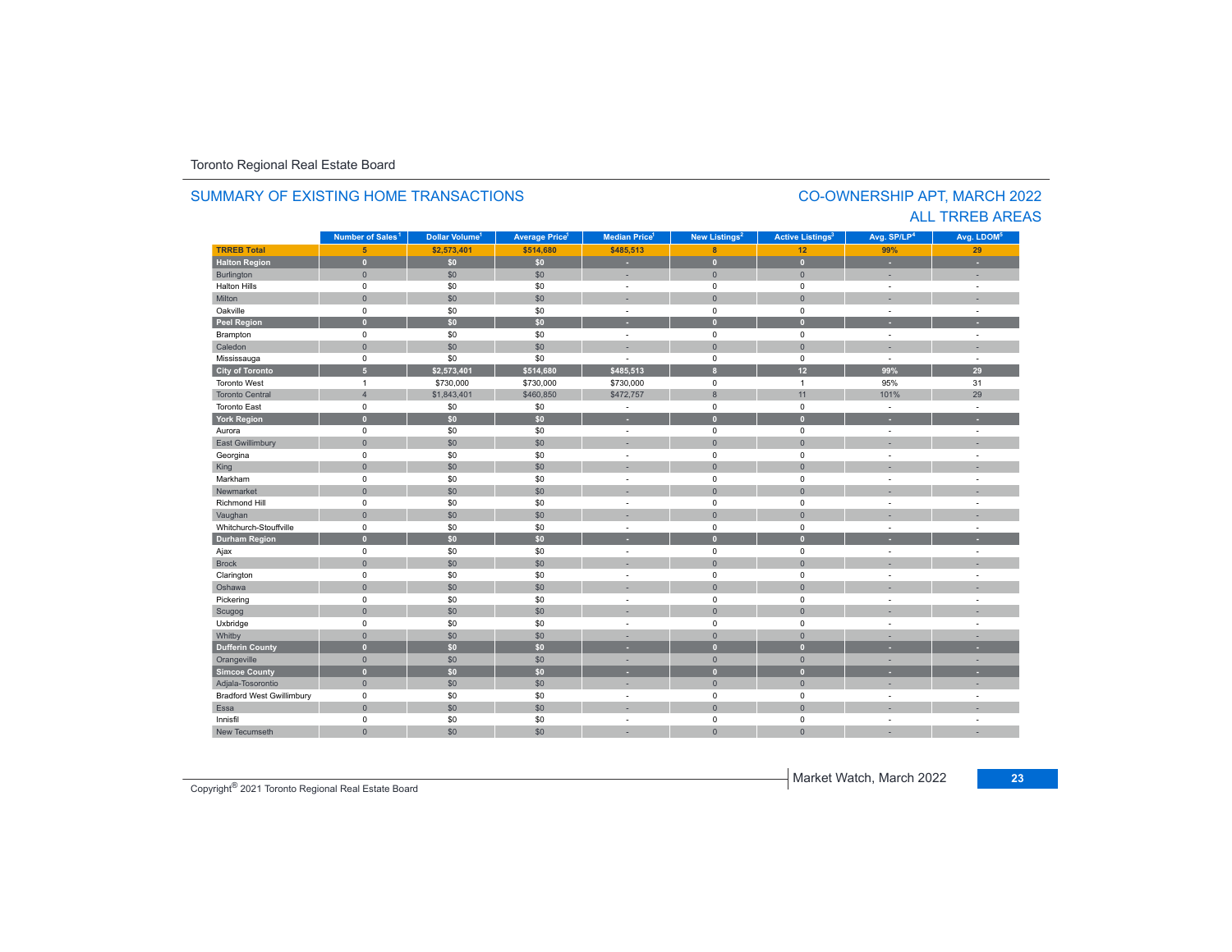#### **TR5EB Total 5 \$2,573,401 \$514,680 \$485,513 8 12 99% 29 Halton Region 0 \$0 \$0 - 0 0 - -** Burlington 0 \$0 \$0 | = 0 | = | = Halton Hills 0 \$0 \$0 - 0 0 - - Miltonn 1980 - 1991 - 1992 - 1993 - 1994 - 1994 - 1995 - 1996 - 1997 - 1998 - 1999 - 1999 - 1999 - 1999 - 1999 - 199 Oakville<br>Peel Region e 0 \$0 \$0 - 0 0 - -**Peel Region 0 \$0 \$0 - 0 0 - -** Brampton 0 \$0 \$0 - 0 0 - - Caledonn 1980 - 1980 - 1980 - 1981 - 1981 - 1982 - 1983 - 1984 - 1986 - 1986 - 1987 - 1988 - 1988 - 1988 - 1988 - 198 Mississauga 0 \$0 \$0 - 0 0 - - **City of Toronto 5 \$2,573,401 \$514,680 \$485,513 8 12 99% 29** Toronto Westt and  $\sim$  1 \$730,000 \$730,000 \$730,000 0 1 95%95% 31<br>101% 29 Toronto Central 4 \$1,843,401 \$460,850 \$472,757 8 11 101% 29 Toronto East 0 \$0 \$0 - 0 0 - - **York Region 0 \$0 \$0 - 0 0 - -** Aurora 0 \$0 \$0 - 0 0 - - East Gwillimbury 0 \$0 \$0 - 0 0 - - Georgina 0 \$0 \$0 - 0 0 - - King the second term of the second term of the second term of the second term of the second term of the second Markham 0 \$0 \$0 - 0 0 - - Newmarket 0 \$0 \$0 - 0 0 - - Richmond Hill 0 \$0 \$0 - 0 0 - - Vaughan 1980 (1980) (1980) (1980) (1980) (1980) (1980) (1980) (1980) (1980) (1980) (1980) (1980) (1980) (1980) Whitchurch-Stouffvillee 0 \$0 \$0 - 0 0 - -**Durham Region 0 \$0 \$0 - 0 0 - -** Ajax 0 \$0 \$0 - 0 0 - - Brock 0 \$0 \$0 - 0 0 - - Clarington 0 \$0 \$0 - 0 0 - - Oshawaa dia 1980 - Aniso ao amin'ny faritr'i Nouvelle-Aquitaine, ao amin'ny faritr'i Nouvelle-Aquitaine, ao amin'ny المال المسابق التي يقوم المسابق التي يقوم التي يقوم التي يقوم التي يقوم التي تعالى التي يقوم التي تعالى التي ي<br>التي يقوم التي يقوم التي يقوم التي يقوم التي يقوم التي يقوم التي يقوم التي يقوم التي يقوم التي يقوم التي يقوم Scugog 0 \$0 \$0 - 0 0 - - Uxbridge 0 \$0 \$0 - 0 0 - - Whitby 0 \$0 \$0 - 0 0 - - **Dufferin County 0 \$0 \$0 - 0 0 - -** Orangeville 0 \$0 \$0 - 0 0 - - **Simcoe County 0 \$0 \$0 - 0 0 - -** Adjala-Tosorontio 0 \$0 \$0 - 0 0 - - Bradford West Gwillimbury 0 \$0 \$0 - 0 0 - - Essaa dia 1980 - Aniso ao amin'ny faritr'i Nouvelle-Aquitaine, ao amin'ny faritr'i Nouvelle-Aquitaine, ao amin'ny Innisfil 0 \$0 \$0 - 0 0 - - New Tecumseth 0 \$0 \$0 - 0 0 - - **Municipality Number of Sales Dollar Volume Average Price Median Price New Listings Active Listings Avg. SP/LP Avg. LDOM Number of Sales<sup>1</sup> 1** Dollar Volume<sup>1</sup> | Average Price<sup>1</sup> | Median Price<sup>1</sup> | New Listings<sup>2</sup> | Active Listings<sup>3</sup> | Avg. SP/LP<sup>4</sup> | Avg. LDOM<sup>5</sup>

#### SUMMARY OF EXISTING HOME TRANSACTIONS

### CO-OWNERSHIP APT, MARCH 2022 ALL TRREB AREAS

Copyright® 2021 Toronto Regional Real Estate Board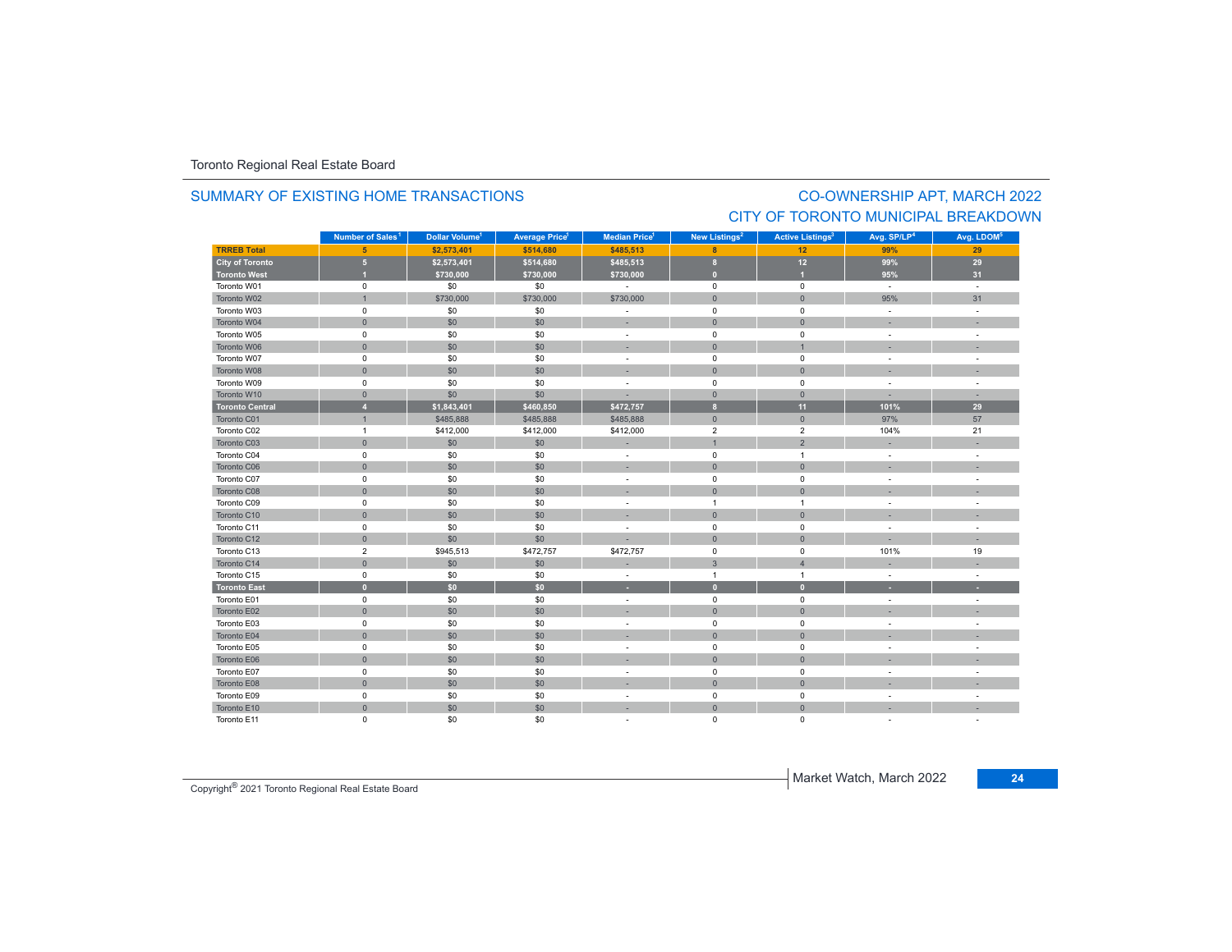#### SUMMARY OF EXISTING HOME TRANSACTIONS

## CO-OWNERSHIP APT, MARCH 2022 CITY OF TORONTO MUNICIPAL BREAKDOWN

|                        | Number of Sales <sup>1</sup> | Dollar Volume <sup>1</sup> | <b>Average Price<sup>1</sup></b> | Median Price <sup>1</sup> | New Listings <sup>2</sup> | <b>Active Listings<sup>3</sup></b> | Avg. SP/LP <sup>4</sup>  | Avg. LDOM <sup>5</sup> |
|------------------------|------------------------------|----------------------------|----------------------------------|---------------------------|---------------------------|------------------------------------|--------------------------|------------------------|
| <b>TRREB Total</b>     | 5 <sup>5</sup>               | \$2,573,401                | \$514,680                        | \$485,513                 | 8                         | 12                                 | 99%                      | 29                     |
| <b>City of Toronto</b> | $5\phantom{.0}$              | \$2,573,401                | \$514,680                        | \$485,513                 | 8                         | 12                                 | 99%                      | 29                     |
| <b>Toronto West</b>    | п                            | \$730,000                  | \$730,000                        | \$730,000                 | $\overline{0}$            |                                    | 95%                      | 31                     |
| Toronto W01            | $\pmb{0}$                    | \$0                        | \$0                              | $\sim$                    | $\mathsf 0$               | $\mathsf 0$                        | $\sim$                   | $\sim$                 |
| Toronto W02            | $\mathbf{1}$                 | \$730,000                  | \$730,000                        | \$730,000                 | $\overline{0}$            | $\overline{0}$                     | 95%                      | 31                     |
| Toronto W03            | $\mathbf 0$                  | \$0                        | \$0                              | $\overline{\phantom{a}}$  | $\mathbf 0$               | $\mathbf 0$                        | $\sim$                   | $\sim$                 |
| Toronto W04            | $\mathsf{O}\xspace$          | \$0                        | \$0                              | ×,                        | $\mathbf{0}$              | $\overline{0}$                     |                          |                        |
| Toronto W05            | 0                            | \$0                        | \$0                              | ٠                         | $\mathsf 0$               | 0                                  | $\sim$                   | ä,                     |
| Toronto W06            | $\mathbf{0}$                 | \$0                        | \$0                              | ×,                        | $\mathbf{0}$              |                                    |                          |                        |
| Toronto W07            | $\mathbf 0$                  | \$0                        | \$0                              | ٠                         | $\mathbf 0$               | 0                                  |                          |                        |
| Toronto W08            | $\mathbf{0}$                 | \$0                        | \$0                              | ۰                         | $\mathbf{0}$              | $\Omega$                           |                          |                        |
| Toronto W09            | $\mathsf 0$                  | \$0                        | \$0                              | $\overline{\phantom{a}}$  | $\mathsf 0$               | $\mathbf 0$                        | $\sim$                   | ÷.                     |
| Toronto W10            | $\mathbf{0}$                 | \$0                        | \$0                              |                           | $\overline{0}$            | $\mathbf{0}$                       |                          |                        |
| <b>Toronto Central</b> | $\overline{4}$               | \$1,843,401                | \$460.850                        | \$472,757                 | $\mathbf{8}$              | 11                                 | 101%                     | 29                     |
| Toronto C01            | $\mathbf{1}$                 | \$485,888                  | \$485,888                        | \$485,888                 | $\overline{0}$            | $\mathbf{0}$                       | 97%                      | 57                     |
| Toronto C02            | $\overline{1}$               | \$412,000                  | \$412,000                        | \$412,000                 | $\overline{2}$            | $\overline{2}$                     | 104%                     | 21                     |
| Toronto C03            | $\mathbf{0}$                 | \$0                        | \$0                              | ÷                         | $\overline{1}$            | $\overline{2}$                     |                          |                        |
| Toronto C04            | $\mathsf 0$                  | \$0                        | \$0                              | ÷.                        | $\mathsf 0$               | $\mathbf{1}$                       | $\sim$                   | ÷.                     |
| Toronto C06            | $\mathsf{O}\xspace$          | \$0                        | \$0                              | ×.                        | $\mathsf{O}\xspace$       | $\pmb{0}$                          |                          |                        |
| Toronto C07            | $\mathbf 0$                  | \$0                        | \$0                              | ÷                         | $\mathbf 0$               | $\mathbf 0$                        |                          |                        |
| Toronto C08            | $\mathbf{0}$                 | \$0                        | \$0                              |                           | $\Omega$                  | $\Omega$                           |                          |                        |
| Toronto C09            | 0                            | \$0                        | \$0                              | $\overline{\phantom{a}}$  | $\overline{1}$            | 1                                  |                          |                        |
| Toronto C10            | $\mathbf 0$                  | \$0                        | \$0                              |                           | $\mathbf{0}$              | $\mathbf 0$                        |                          |                        |
| Toronto C11            | $\mathbf 0$                  | \$0                        | \$0                              | ٠                         | $\mathbf 0$               | $\mathbf 0$                        |                          |                        |
| Toronto C12            | $\mathbf 0$                  | \$0                        | \$0                              |                           | $\overline{0}$            | $\overline{0}$                     | $\overline{\phantom{a}}$ | ×.                     |
| Toronto C13            | $\overline{2}$               | \$945,513                  | \$472,757                        | \$472,757                 | $\mathbf 0$               | $\mathbf 0$                        | 101%                     | 19                     |
| Toronto C14            | $\mathsf{O}\xspace$          | \$0                        | \$0                              |                           | $\mathbf{3}$              | $\overline{4}$                     |                          |                        |
| Toronto C15            | $\mathsf 0$                  | \$0                        | \$0                              | $\overline{\phantom{a}}$  | $\overline{1}$            | $\mathbf{1}$                       | $\sim$                   | ÷.                     |
| <b>Toronto East</b>    | $\bullet$                    | \$0                        | \$0                              | ٠                         | $\overline{0}$            | $\mathbf{0}$                       | ×.                       | н                      |
| Toronto E01            | $\mathbf 0$                  | \$0                        | \$0                              | ٠                         | $\mathbf 0$               | $\mathbf 0$                        |                          |                        |
| Toronto E02            | $\mathbf{0}$                 | \$0                        | \$0                              |                           | $\mathbf{0}$              | $\overline{0}$                     |                          |                        |
| Toronto E03            | $\mathsf 0$                  | \$0                        | \$0                              | ÷                         | 0                         | 0                                  |                          | $\sim$                 |
| Toronto E04            | $\mathbf 0$                  | \$0                        | \$0                              |                           | $\bullet$                 | $\mathbf{0}$                       |                          |                        |
| Toronto E05            | $\mathsf 0$                  | \$0                        | \$0                              | ٠                         | $\mathsf 0$               | $\mathsf 0$                        |                          |                        |
| Toronto E06            | $\mathsf{O}\xspace$          | \$0                        | \$0                              |                           | $\mathbf{0}$              | $\overline{0}$                     |                          |                        |
| Toronto E07            | $\mathbf 0$                  | \$0                        | \$0                              | ٠                         | $\mathbf 0$               | $\mathbf 0$                        | $\sim$                   | ÷                      |
| Toronto E08            | $\mathsf{O}\xspace$          | \$0                        | \$0                              |                           | $\mathbf{0}$              | $\overline{0}$                     |                          |                        |
| Toronto E09            | $\mathsf 0$                  | \$0                        | \$0                              | ÷.                        | $\mathsf 0$               | $\mathbf 0$                        |                          |                        |
| Toronto E10            | $\mathsf{O}\xspace$          | \$0                        | \$0                              | ×                         | $\mathsf{O}\xspace$       | $\overline{0}$                     |                          |                        |
| Toronto E11            | 0                            | \$0                        | \$0                              |                           | 0                         | 0                                  |                          |                        |

Copyright® 2021 Toronto Regional Real Estate Board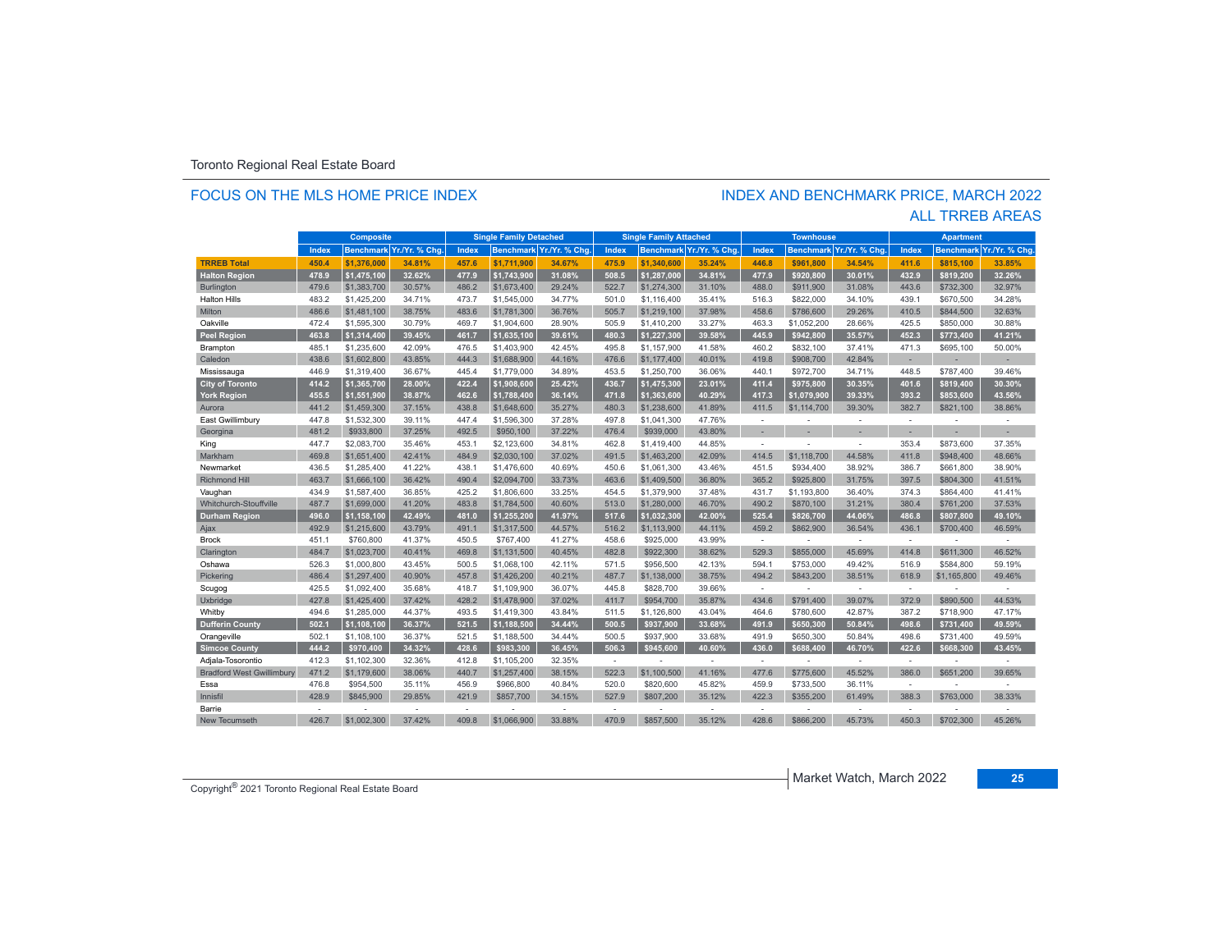#### FOCUS ON THE MLS HOME PRICE INDEX

# INDEX AND BENCHMARK PRICE, MARCH 2022

|                                  | <b>Composite</b> |                  |                |       | <b>Single Family Detached</b> |                         |        | <b>Single Family Attached</b> |                          |        | <b>Townhouse</b> |               |                          | <b>Apartment</b> |                         |
|----------------------------------|------------------|------------------|----------------|-------|-------------------------------|-------------------------|--------|-------------------------------|--------------------------|--------|------------------|---------------|--------------------------|------------------|-------------------------|
|                                  | Index            | <b>Benchmark</b> | Yr./Yr. % Chg. | Index |                               | Benchmark Yr./Yr. % Chg | Index  |                               | Benchmark Yr./Yr. % Chg. | Index  | <b>Benchmark</b> | Yr./Yr. % Chg | Index                    |                  | Benchmark Yr./Yr. % Chg |
| <b>TRREB Total</b>               | 450.4            | \$1.376.000      | 34.81%         | 457.6 | \$1.711.900                   | 34.67%                  | 475.9  | \$1,340,600                   | 35.24%                   | 446.8  | \$961.800        | 34.54%        | 411.6                    | \$815.100        | 33.85%                  |
| <b>Halton Region</b>             | 478.9            | \$1,475,100      | 32.62%         | 477.9 | \$1,743,900                   | 31.08%                  | 508.5  | \$1.287.000                   | 34.81%                   | 477.9  | \$920.800        | 30.01%        | 432.9                    | \$819.200        | 32.26%                  |
| Burlington                       | 479.6            | \$1,383,700      | 30.57%         | 486.2 | \$1,673,400                   | 29.24%                  | 522.7  | \$1,274,300                   | 31.10%                   | 488.0  | \$911,900        | 31.08%        | 443.6                    | \$732,300        | 32.97%                  |
| <b>Halton Hills</b>              | 483.2            | \$1,425,200      | 34.71%         | 473.7 | \$1,545,000                   | 34.77%                  | 501.0  | \$1,116,400                   | 35.41%                   | 516.3  | \$822,000        | 34.10%        | 439.1                    | \$670,500        | 34.28%                  |
| Milton                           | 486.6            | \$1,481,100      | 38.75%         | 483.6 | \$1,781,300                   | 36.76%                  | 505.7  | \$1,219,100                   | 37.98%                   | 458.6  | \$786,600        | 29.26%        | 410.5                    | \$844,500        | 32.63%                  |
| Oakville                         | 472.4            | \$1,595,300      | 30.79%         | 469.7 | \$1,904,600                   | 28.90%                  | 505.9  | \$1,410,200                   | 33.27%                   | 463.3  | \$1,052,200      | 28.66%        | 425.5                    | \$850,000        | 30.88%                  |
| <b>Peel Region</b>               | 463.8            | \$1,314,400      | 39.45%         | 461.7 | \$1,635,100                   | 39.61%                  | 480.3  | \$1,227,300                   | 39.58%                   | 445.9  | \$942,800        | 35.57%        | 452.3                    | \$773,400        | 41.21%                  |
| Brampton                         | 485.1            | \$1,235,600      | 42.09%         | 476.5 | \$1,403,900                   | 42.45%                  | 495.8  | \$1,157,900                   | 41.58%                   | 460.2  | \$832,100        | 37.41%        | 471.3                    | \$695,100        | 50.00%                  |
| Caledon                          | 438.6            | \$1,602,800      | 43.85%         | 444.3 | \$1,688,900                   | 44.16%                  | 476.6  | \$1,177,400                   | 40.01%                   | 419.8  | \$908,700        | 42.84%        | $\overline{\phantom{a}}$ | ×.               | ×                       |
| Mississauga                      | 446.9            | \$1,319,400      | 36.67%         | 445.4 | \$1,779,000                   | 34.89%                  | 453.5  | \$1,250,700                   | 36.06%                   | 440.1  | \$972,700        | 34.71%        | 448.5                    | \$787,400        | 39.46%                  |
| <b>City of Toronto</b>           | 414.2            | \$1,365,700      | 28.00%         | 422.4 | \$1,908,600                   | 25.42%                  | 436.7  | \$1,475,300                   | 23.01%                   | 411.4  | \$975,800        | 30.35%        | 401.6                    | \$819,400        | 30.30%                  |
| <b>York Region</b>               | 455.5            | \$1,551,900      | 38.87%         | 462.6 | \$1,788,400                   | 36.14%                  | 471.8  | \$1,363,600                   | 40.29%                   | 417.3  | \$1,079,900      | 39.33%        | 393.2                    | \$853,600        | 43.56%                  |
| Aurora                           | 441.2            | \$1,459,300      | 37.15%         | 438.8 | \$1,648,600                   | 35.27%                  | 480.3  | \$1,238,600                   | 41.89%                   | 411.5  | \$1,114,700      | 39.30%        | 382.7                    | \$821,100        | 38.86%                  |
| East Gwillimbury                 | 447.8            | \$1,532,300      | 39.11%         | 447.4 | \$1,596,300                   | 37.28%                  | 497.8  | \$1,041,300                   | 47.76%                   | $\sim$ | $\sim$           | ÷             | . —                      | $\sim$           |                         |
| Georgina                         | 481.2            | \$933,800        | 37.25%         | 492.5 | \$950,100                     | 37.22%                  | 476.4  | \$939,000                     | 43.80%                   | ×.     |                  |               | ä,                       |                  |                         |
| King                             | 447.7            | \$2,083,700      | 35.46%         | 453.1 | \$2,123,600                   | 34.81%                  | 462.8  | \$1,419,400                   | 44.85%                   | ÷      |                  | ÷             | 353.4                    | \$873,600        | 37.35%                  |
| Markham                          | 469.8            | \$1,651,400      | 42.41%         | 484.9 | \$2,030,100                   | 37.02%                  | 491.5  | \$1,463,200                   | 42.09%                   | 414.5  | \$1,118,700      | 44.58%        | 411.8                    | \$948,400        | 48.66%                  |
| Newmarket                        | 436.5            | \$1,285,400      | 41.22%         | 438.1 | \$1,476,600                   | 40.69%                  | 450.6  | \$1,061,300                   | 43.46%                   | 451.5  | \$934,400        | 38.92%        | 386.7                    | \$661,800        | 38.90%                  |
| <b>Richmond Hill</b>             | 463.7            | \$1,666,100      | 36.42%         | 490.4 | \$2,094,700                   | 33.73%                  | 463.6  | \$1,409,500                   | 36.80%                   | 365.2  | \$925,800        | 31.75%        | 397.5                    | \$804,300        | 41.51%                  |
| Vaughan                          | 434.9            | \$1,587,400      | 36.85%         | 425.2 | \$1,806,600                   | 33.25%                  | 454.5  | \$1,379,900                   | 37.48%                   | 431.7  | \$1,193,800      | 36.40%        | 374.3                    | \$864,400        | 41.41%                  |
| <b>Whitchurch-Stouffville</b>    | 487.7            | \$1,699,000      | 41.20%         | 483.8 | \$1,784,500                   | 40.60%                  | 513.0  | \$1,280,000                   | 46.70%                   | 490.2  | \$870,100        | 31.21%        | 380.4                    | \$761.200        | 37.53%                  |
| <b>Durham Region</b>             | 496.0            | \$1,158,100      | 42.49%         | 481.0 | \$1,255,200                   | 41.97%                  | 517.6  | \$1,032,300                   | 42.00%                   | 525.4  | \$826,700        | 44.06%        | 486.8                    | \$807.800        | 49.10%                  |
| Ajax                             | 492.9            | \$1,215,600      | 43.79%         | 491.1 | \$1,317,500                   | 44.57%                  | 516.2  | \$1,113,900                   | 44.11%                   | 459.2  | \$862,900        | 36.54%        | 436.1                    | \$700,400        | 46.59%                  |
| <b>Brock</b>                     | 451.1            | \$760,800        | 41.37%         | 450.5 | \$767.400                     | 41.27%                  | 458.6  | \$925,000                     | 43.99%                   | ×.     | ÷                | ÷             | $\sim$                   | $\sim$           | ÷                       |
| Clarington                       | 484.7            | \$1,023,700      | 40.41%         | 469.8 | \$1,131,500                   | 40.45%                  | 482.8  | \$922,300                     | 38.62%                   | 529.3  | \$855,000        | 45.69%        | 414.8                    | \$611,300        | 46.52%                  |
| Oshawa                           | 526.3            | \$1,000,800      | 43.45%         | 500.5 | \$1,068,100                   | 42.11%                  | 571.5  | \$956,500                     | 42.13%                   | 594.1  | \$753,000        | 49.42%        | 516.9                    | \$584,800        | 59.19%                  |
| Pickering                        | 486.4            | \$1,297,400      | 40.90%         | 457.8 | \$1,426,200                   | 40.21%                  | 487.7  | \$1,138,000                   | 38.75%                   | 494.2  | \$843,200        | 38.51%        | 618.9                    | \$1,165,800      | 49.46%                  |
| Scugog                           | 425.5            | \$1,092,400      | 35.68%         | 418.7 | \$1,109,900                   | 36.07%                  | 445.8  | \$828,700                     | 39.66%                   | ÷      |                  | $\sim$        | ۰.                       |                  |                         |
| Uxbridge                         | 427.8            | \$1,425,400      | 37.42%         | 428.2 | \$1,478,900                   | 37.02%                  | 411.7  | \$954,700                     | 35.87%                   | 434.6  | \$791,400        | 39.07%        | 372.9                    | \$890,500        | 44.53%                  |
| Whitby                           | 494.6            | \$1,285,000      | 44.37%         | 493.5 | \$1,419,300                   | 43.84%                  | 511.5  | \$1,126,800                   | 43.04%                   | 464.6  | \$780,600        | 42.87%        | 387.2                    | \$718,900        | 47.17%                  |
| <b>Dufferin County</b>           | 502.1            | \$1,108,100      | 36.37%         | 521.5 | \$1,188,500                   | 34.44%                  | 500.5  | \$937.900                     | 33.68%                   | 491.9  | \$650.300        | 50.84%        | 498.6                    | \$731,400        | 49.59%                  |
| Orangeville                      | 502.1            | \$1,108,100      | 36.37%         | 521.5 | \$1,188,500                   | 34.44%                  | 500.5  | \$937.900                     | 33.68%                   | 491.9  | \$650,300        | 50.84%        | 498.6                    | \$731.400        | 49.59%                  |
| <b>Simcoe County</b>             | 444.2            | \$970,400        | 34.32%         | 428.6 | \$983,300                     | 36.45%                  | 506.3  | \$945,600                     | 40.60%                   | 436.0  | \$688,400        | 46.70%        | 422.6                    | \$668,300        | 43.45%                  |
| Adjala-Tosorontio                | 412.3            | \$1,102,300      | 32.36%         | 412.8 | \$1,105,200                   | 32.35%                  | $\sim$ |                               |                          | $\sim$ |                  | ٠             | $\overline{\phantom{a}}$ |                  |                         |
| <b>Bradford West Gwillimbury</b> | 471.2            | \$1,179,600      | 38.06%         | 440.7 | \$1,257,400                   | 38.15%                  | 522.3  | \$1,100,500                   | 41.16%                   | 477.6  | \$775,600        | 45.52%        | 386.0                    | \$651,200        | 39.65%                  |
| Essa                             | 476.8            | \$954,500        | 35.11%         | 456.9 | \$966,800                     | 40.84%                  | 520.0  | \$820,600                     | 45.82%                   | 459.9  | \$733,500        | 36.11%        | $\sim$                   |                  |                         |
| Innisfil                         | 428.9            | \$845,900        | 29.85%         | 421.9 | \$857,700                     | 34.15%                  | 527.9  | \$807,200                     | 35.12%                   | 422.3  | \$355,200        | 61.49%        | 388.3                    | \$763,000        | 38.33%                  |
| Barrie                           | $\sim$           |                  |                | ÷     |                               |                         | $\sim$ |                               | ٠                        | ÷      |                  |               | ÷                        |                  |                         |
| New Tecumseth                    | 426.7            | \$1,002,300      | 37.42%         | 409.8 | \$1,066,900                   | 33.88%                  | 470.9  | \$857,500                     | 35.12%                   | 428.6  | \$866,200        | 45.73%        | 450.3                    | \$702,300        | 45.26%                  |

#### ALL TRREB AREAS

Copyright® 2021 Toronto Regional Real Estate Board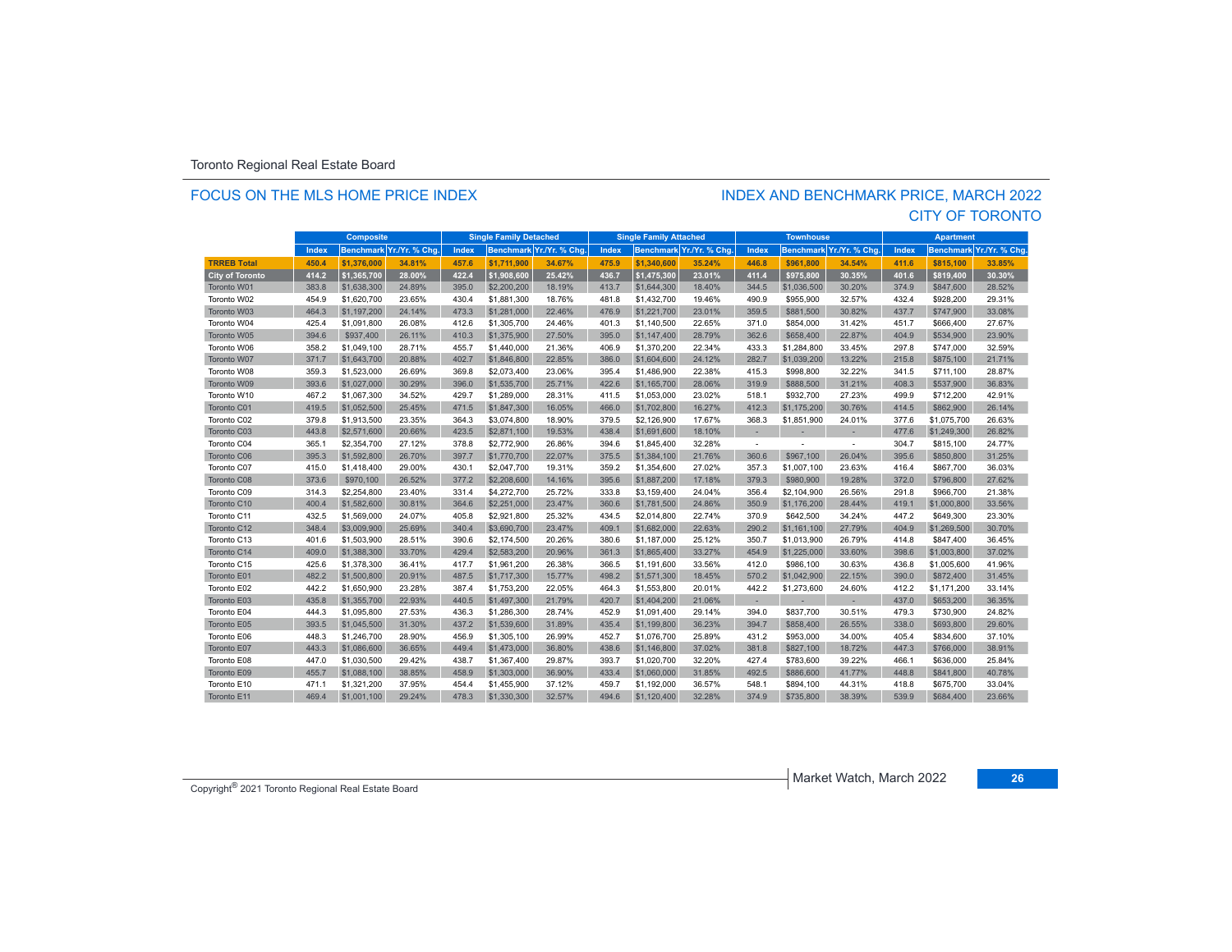#### FOCUS ON THE MLS HOME PRICE INDEX

#### CITY OF TORONTO INDEX AND BENCHMARK PRICE, MARCH 2022

|                        |       | <b>Composite</b> |                         | <b>Single Family Detached</b> |                  |                | <b>Single Family Attached</b> |                  |               | <b>Townhouse</b>         |                  |               | <b>Apartment</b> |                  |                |
|------------------------|-------|------------------|-------------------------|-------------------------------|------------------|----------------|-------------------------------|------------------|---------------|--------------------------|------------------|---------------|------------------|------------------|----------------|
|                        | Index |                  | Benchmark Yr./Yr. % Chg | Index                         | <b>Benchmark</b> | Yr./Yr. % Chg. | Index                         | <b>Benchmark</b> | Yr./Yr. % Chg | Index                    | <b>Benchmark</b> | Yr./Yr. % Chg | <b>Index</b>     | <b>Benchmark</b> | Yr./Yr. % Chg. |
| <b>TRREB Total</b>     | 450.4 | \$1,376,000      | 34.81%                  | 457.6                         | \$1,711,900      | 34.67%         | 475.9                         | \$1,340,600      | 35.24%        | 446.8                    | \$961.800        | 34.54%        | 411.6            | \$815.100        | 33.85%         |
| <b>City of Toronto</b> | 414.2 | \$1,365,700      | 28.00%                  | 422.4                         | \$1,908,600      | 25.42%         | 436.7                         | \$1,475,300      | 23.01%        | 411.4                    | \$975.800        | 30.35%        | 401.6            | \$819.400        | 30.30%         |
| Toronto W01            | 383.8 | \$1,638,300      | 24.89%                  | 395.0                         | \$2,200,200      | 18.19%         | 413.7                         | \$1,644,300      | 18.40%        | 344.5                    | \$1,036,500      | 30.20%        | 374.9            | \$847,600        | 28.52%         |
| Toronto W02            | 454.9 | \$1,620,700      | 23.65%                  | 430.4                         | \$1,881,300      | 18.76%         | 481.8                         | \$1,432,700      | 19.46%        | 490.9                    | \$955,900        | 32.57%        | 432.4            | \$928.200        | 29.31%         |
| Toronto W03            | 464.3 | \$1,197,200      | 24.14%                  | 473.3                         | \$1,281,000      | 22.46%         | 476.9                         | \$1,221,700      | 23.01%        | 359.5                    | \$881,500        | 30.82%        | 437.7            | \$747,900        | 33.08%         |
| Toronto W04            | 425.4 | \$1,091,800      | 26.08%                  | 412.6                         | \$1,305,700      | 24.46%         | 401.3                         | \$1,140,500      | 22.65%        | 371.0                    | \$854,000        | 31.42%        | 451.7            | \$666,400        | 27.67%         |
| Toronto W05            | 394.6 | \$937,400        | 26.11%                  | 410.3                         | \$1,375,900      | 27.50%         | 395.0                         | \$1,147,400      | 28.79%        | 362.6                    | \$658,400        | 22.87%        | 404.9            | \$534,900        | 23.90%         |
| Toronto W06            | 358.2 | \$1,049,100      | 28.71%                  | 455.7                         | \$1,440,000      | 21.36%         | 406.9                         | \$1,370,200      | 22.34%        | 433.3                    | \$1,284,800      | 33.45%        | 297.8            | \$747.000        | 32.59%         |
| Toronto W07            | 371.7 | \$1,643,700      | 20.88%                  | 402.7                         | \$1,846,800      | 22.85%         | 386.0                         | \$1,604,600      | 24.12%        | 282.7                    | \$1,039,200      | 13.22%        | 215.8            | \$875,100        | 21.71%         |
| Toronto W08            | 359.3 | \$1,523,000      | 26.69%                  | 369.8                         | \$2,073,400      | 23.06%         | 395.4                         | \$1,486,900      | 22.38%        | 415.3                    | \$998,800        | 32.22%        | 341.5            | \$711,100        | 28.87%         |
| Toronto W09            | 393.6 | \$1,027,000      | 30.29%                  | 396.0                         | \$1,535,700      | 25.71%         | 422.6                         | \$1,165,700      | 28.06%        | 319.9                    | \$888,500        | 31.21%        | 408.3            | \$537,900        | 36.83%         |
| Toronto W10            | 467.2 | \$1,067,300      | 34.52%                  | 429.7                         | \$1,289,000      | 28.31%         | 411.5                         | \$1,053,000      | 23.02%        | 518.1                    | \$932,700        | 27.23%        | 499.9            | \$712,200        | 42.91%         |
| Toronto C01            | 419.5 | \$1,052,500      | 25.45%                  | 471.5                         | \$1,847,300      | 16.05%         | 466.0                         | \$1,702,800      | 16.27%        | 412.3                    | \$1,175,200      | 30.76%        | 414.5            | \$862,900        | 26.14%         |
| Toronto C02            | 379.8 | \$1,913,500      | 23.35%                  | 364.3                         | \$3,074,800      | 18.90%         | 379.5                         | \$2,126,900      | 17.67%        | 368.3                    | \$1,851,900      | 24.01%        | 377.6            | \$1,075,700      | 26.63%         |
| Toronto C03            | 443.8 | \$2,571,600      | 20.66%                  | 423.5                         | \$2,871,100      | 19.53%         | 438.4                         | \$1,691,600      | 18.10%        |                          |                  |               | 477.6            | \$1,249,300      | 26.82%         |
| Toronto C04            | 365.1 | \$2,354,700      | 27.12%                  | 378.8                         | \$2,772,900      | 26.86%         | 394.6                         | \$1.845.400      | 32.28%        | $\overline{\phantom{a}}$ |                  | $\sim$        | 304.7            | \$815,100        | 24.77%         |
| Toronto C06            | 395.3 | \$1,592,800      | 26.70%                  | 397.7                         | \$1,770,700      | 22.07%         | 375.5                         | \$1,384,100      | 21.76%        | 360.6                    | \$967,100        | 26.04%        | 395.6            | \$850,800        | 31.25%         |
| Toronto C07            | 415.0 | \$1,418,400      | 29.00%                  | 430.1                         | \$2,047,700      | 19.31%         | 359.2                         | \$1,354,600      | 27.02%        | 357.3                    | \$1,007,100      | 23.63%        | 416.4            | \$867,700        | 36.03%         |
| Toronto C08            | 373.6 | \$970,100        | 26.52%                  | 377.2                         | \$2,208,600      | 14.16%         | 395.6                         | \$1,887,200      | 17.18%        | 379.3                    | \$980,900        | 19.28%        | 372.0            | \$796,800        | 27.62%         |
| Toronto C09            | 314.3 | \$2,254,800      | 23.40%                  | 331.4                         | \$4,272,700      | 25.72%         | 333.8                         | \$3.159.400      | 24.04%        | 356.4                    | \$2,104,900      | 26.56%        | 291.8            | \$966.700        | 21.38%         |
| Toronto C10            | 400.4 | \$1,582,600      | 30.81%                  | 364.6                         | \$2,251,000      | 23.47%         | 360.6                         | \$1,781,500      | 24.86%        | 350.9                    | \$1,176,200      | 28.44%        | 419.1            | \$1,000,800      | 33.56%         |
| Toronto C11            | 432.5 | \$1,569,000      | 24.07%                  | 405.8                         | \$2,921,800      | 25.32%         | 434.5                         | \$2,014,800      | 22.74%        | 370.9                    | \$642,500        | 34.24%        | 447.2            | \$649,300        | 23.30%         |
| Toronto C12            | 348.4 | \$3,009.900      | 25.69%                  | 340.4                         | \$3,690,700      | 23.47%         | 409.1                         | \$1,682,000      | 22.63%        | 290.2                    | \$1,161,100      | 27.79%        | 404.9            | \$1,269,500      | 30.70%         |
| Toronto C13            | 401.6 | \$1,503,900      | 28.51%                  | 390.6                         | \$2,174.500      | 20.26%         | 380.6                         | \$1,187,000      | 25.12%        | 350.7                    | \$1,013,900      | 26.79%        | 414.8            | \$847.400        | 36.45%         |
| Toronto C14            | 409.0 | \$1,388,300      | 33.70%                  | 429.4                         | \$2,583,200      | 20.96%         | 361.3                         | \$1,865,400      | 33.27%        | 454.9                    | \$1,225,000      | 33.60%        | 398.6            | \$1,003,800      | 37.02%         |
| Toronto C15            | 425.6 | \$1,378,300      | 36.41%                  | 417.7                         | \$1,961,200      | 26.38%         | 366.5                         | \$1,191,600      | 33.56%        | 412.0                    | \$986.100        | 30.63%        | 436.8            | \$1,005,600      | 41.96%         |
| Toronto E01            | 482.2 | \$1,500,800      | 20.91%                  | 487.5                         | \$1,717,300      | 15.77%         | 498.2                         | \$1,571,300      | 18.45%        | 570.2                    | \$1,042,900      | 22.15%        | 390.0            | \$872,400        | 31.45%         |
| Toronto E02            | 442.2 | \$1,650,900      | 23.28%                  | 387.4                         | \$1,753,200      | 22.05%         | 464.3                         | \$1,553,800      | 20.01%        | 442.2                    | \$1,273,600      | 24.60%        | 412.2            | \$1,171,200      | 33.14%         |
| Toronto E03            | 435.8 | \$1,355,700      | 22.93%                  | 440.5                         | \$1,497,300      | 21.79%         | 420.7                         | \$1,404,200      | 21.06%        | $\overline{\phantom{a}}$ | $\sim$           | ×.            | 437.0            | \$653.200        | 36.35%         |
| Toronto E04            | 444.3 | \$1,095,800      | 27.53%                  | 436.3                         | \$1,286,300      | 28.74%         | 452.9                         | \$1,091,400      | 29.14%        | 394.0                    | \$837,700        | 30.51%        | 479.3            | \$730.900        | 24.82%         |
| Toronto E05            | 393.5 | \$1,045,500      | 31.30%                  | 437.2                         | \$1,539,600      | 31.89%         | 435.4                         | \$1,199,800      | 36.23%        | 394.7                    | \$858,400        | 26.55%        | 338.0            | \$693,800        | 29.60%         |
| Toronto E06            | 448.3 | \$1,246,700      | 28.90%                  | 456.9                         | \$1,305,100      | 26.99%         | 452.7                         | \$1,076,700      | 25.89%        | 431.2                    | \$953,000        | 34.00%        | 405.4            | \$834.600        | 37.10%         |
| Toronto E07            | 443.3 | \$1,086,600      | 36.65%                  | 449.4                         | \$1,473,000      | 36.80%         | 438.6                         | \$1,146,800      | 37.02%        | 381.8                    | \$827.100        | 18.72%        | 447.3            | \$766,000        | 38.91%         |
| Toronto E08            | 447.0 | \$1,030,500      | 29.42%                  | 438.7                         | \$1,367,400      | 29.87%         | 393.7                         | \$1,020,700      | 32.20%        | 427.4                    | \$783,600        | 39.22%        | 466.1            | \$636,000        | 25.84%         |
| Toronto E09            | 455.7 | \$1,088,100      | 38.85%                  | 458.9                         | \$1,303,000      | 36.90%         | 433.4                         | \$1,060,000      | 31.85%        | 492.5                    | \$886,600        | 41.77%        | 448.8            | \$841,800        | 40.78%         |
| Toronto E10            | 471.1 | \$1.321.200      | 37.95%                  | 454.4                         | \$1,455,900      | 37.12%         | 459.7                         | \$1.192.000      | 36.57%        | 548.1                    | \$894,100        | 44.31%        | 418.8            | \$675.700        | 33.04%         |
| Toronto E11            | 469.4 | \$1,001.100      | 29.24%                  | 478.3                         | \$1,330,300      | 32.57%         | 494.6                         | \$1,120,400      | 32.28%        | 374.9                    | \$735,800        | 38.39%        | 539.9            | \$684,400        | 23.66%         |

Copyright® 2021 Toronto Regional Real Estate Board